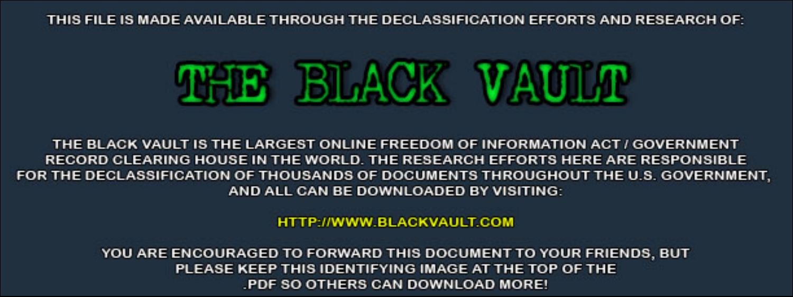THIS FILE IS MADE AVAILABLE THROUGH THE DECLASSIFICATION EFFORTS AND RESEARCH OF:



THE BLACK VAULT IS THE LARGEST ONLINE FREEDOM OF INFORMATION ACT / GOVERNMENT RECORD CLEARING HOUSE IN THE WORLD. THE RESEARCH EFFORTS HERE ARE RESPONSIBLE FOR THE DECLASSIFICATION OF THOUSANDS OF DOCUMENTS THROUGHOUT THE U.S. GOVERNMENT, AND ALL CAN BE DOWNLOADED BY VISITING:

**HTTP://WWW.BLACKVAULT.COM** 

YOU ARE ENCOURAGED TO FORWARD THIS DOCUMENT TO YOUR FRIENDS, BUT PLEASE KEEP THIS IDENTIFYING IMAGE AT THE TOP OF THE PDF SO OTHERS CAN DOWNLOAD MORE!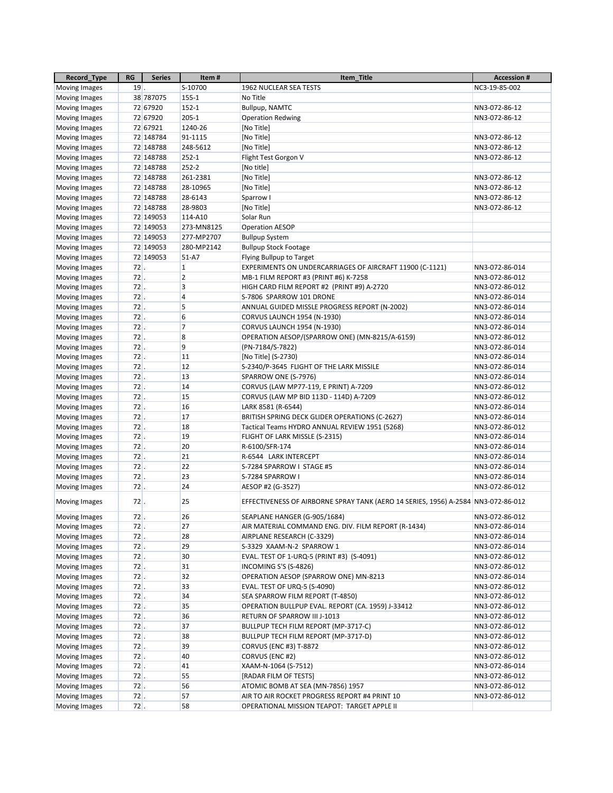| Record_Type          | RG     | <b>Series</b> | Item#                   | Item_Title                                                                        | <b>Accession#</b>                |
|----------------------|--------|---------------|-------------------------|-----------------------------------------------------------------------------------|----------------------------------|
| Moving Images        | 19     |               | S-10700                 | 1962 NUCLEAR SEA TESTS                                                            | NC3-19-85-002                    |
| Moving Images        |        | 38 787075     | 155-1                   | No Title                                                                          |                                  |
| Moving Images        |        | 72 67920      | $152 - 1$               | Bullpup, NAMTC                                                                    | NN3-072-86-12                    |
| Moving Images        |        | 72 67920      | $205 - 1$               | <b>Operation Redwing</b>                                                          | NN3-072-86-12                    |
| Moving Images        |        | 72 67921      | 1240-26                 | [No Title]                                                                        |                                  |
| Moving Images        |        | 72 148784     | 91-1115                 | [No Title]                                                                        | NN3-072-86-12                    |
| Moving Images        |        | 72 148788     | 248-5612                | [No Title]                                                                        | NN3-072-86-12                    |
| Moving Images        |        | 72 148788     | $252 - 1$               | Flight Test Gorgon V                                                              | NN3-072-86-12                    |
| Moving Images        |        | 72 148788     | $252 - 2$               | [No title]                                                                        |                                  |
| Moving Images        |        | 72 148788     | 261-2381                | [No Title]                                                                        | NN3-072-86-12                    |
| Moving Images        |        | 72 148788     | 28-10965                | [No Title]                                                                        | NN3-072-86-12                    |
| Moving Images        |        | 72 148788     | 28-6143                 | Sparrow I                                                                         | NN3-072-86-12                    |
|                      |        | 72 148788     |                         |                                                                                   | NN3-072-86-12                    |
| Moving Images        |        |               | 28-9803                 | [No Title]                                                                        |                                  |
| Moving Images        |        | 72 149053     | 114-A10                 | Solar Run                                                                         |                                  |
| Moving Images        |        | 72 149053     | 273-MN8125              | <b>Operation AESOP</b>                                                            |                                  |
| Moving Images        |        | 72 149053     | 277-MP2707              | <b>Bullpup System</b>                                                             |                                  |
| Moving Images        |        | 72 149053     | 280-MP2142              | <b>Bullpup Stock Footage</b>                                                      |                                  |
| Moving Images        |        | 72 149053     | 51-A7                   | Flying Bullpup to Target                                                          |                                  |
| Moving Images        | $72$ . |               | $\overline{1}$          | EXPERIMENTS ON UNDERCARRIAGES OF AIRCRAFT 11900 (C-1121)                          | NN3-072-86-014                   |
| Moving Images        | $72$ . |               | $\overline{2}$          | MB-1 FILM REPORT #3 (PRINT #6) K-7258                                             | NN3-072-86-012                   |
| Moving Images        | $72$ . |               | $\overline{\mathbf{3}}$ | HIGH CARD FILM REPORT #2 (PRINT #9) A-2720                                        | NN3-072-86-012                   |
| Moving Images        | $72$ . |               | $\overline{4}$          | S-7806 SPARROW 101 DRONE                                                          | NN3-072-86-014                   |
| Moving Images        | $72$ . |               | 5                       | ANNUAL GUIDED MISSLE PROGRESS REPORT (N-2002)                                     | NN3-072-86-014                   |
| Moving Images        | $72$ . |               | 6                       | <b>CORVUS LAUNCH 1954 (N-1930)</b>                                                | NN3-072-86-014                   |
| Moving Images        | $72$ . |               | $\overline{7}$          | <b>CORVUS LAUNCH 1954 (N-1930)</b>                                                | NN3-072-86-014                   |
| Moving Images        | $72$ . |               | 8                       | OPERATION AESOP/(SPARROW ONE) (MN-8215/A-6159)                                    | NN3-072-86-012                   |
| Moving Images        | $72$ . |               | $\overline{9}$          | (PN-7184/S-7822)                                                                  | NN3-072-86-014                   |
| Moving Images        | $72$ . |               | 11                      | [No Title] (S-2730)                                                               | NN3-072-86-014                   |
| Moving Images        | $72$ . |               | 12                      | S-2340/P-3645 FLIGHT OF THE LARK MISSILE                                          | NN3-072-86-014                   |
| Moving Images        | $72$ . |               | 13                      | SPARROW ONE (S-7976)                                                              | NN3-072-86-014                   |
| Moving Images        | $72$ . |               | 14                      | CORVUS (LAW MP77-119, E PRINT) A-7209                                             | NN3-072-86-012                   |
| Moving Images        | $72$ . |               | 15                      | CORVUS (LAW MP BID 113D - 114D) A-7209                                            | NN3-072-86-012                   |
| Moving Images        | $72$ . |               | 16                      | LARK 8581 (R-6544)                                                                | NN3-072-86-014                   |
| Moving Images        | $72$ . |               | 17                      | BRITISH SPRING DECK GLIDER OPERATIONS (C-2627)                                    | NN3-072-86-014                   |
| Moving Images        | $72$ . |               | 18                      | Tactical Teams HYDRO ANNUAL REVIEW 1951 (5268)                                    | NN3-072-86-012                   |
| Moving Images        | $72$ . |               | 19                      | FLIGHT OF LARK MISSLE (S-2315)                                                    | NN3-072-86-014                   |
| Moving Images        | $72$ . |               | 20                      | R-6100/SFR-174                                                                    | NN3-072-86-014                   |
|                      | $72$ . |               | 21                      |                                                                                   |                                  |
| Moving Images        | $72$ . |               | 22                      | R-6544 LARK INTERCEPT<br>S-7284 SPARROW I STAGE #5                                | NN3-072-86-014<br>NN3-072-86-014 |
| Moving Images        |        |               |                         |                                                                                   |                                  |
| Moving Images        | $72$ . |               | 23                      | S-7284 SPARROW I                                                                  | NN3-072-86-014                   |
| Moving Images        | $72$ . |               | 24                      | AESOP #2 (G-3527)                                                                 | NN3-072-86-012                   |
| Moving Images        | $72$ . |               | 25                      | EFFECTIVENESS OF AIRBORNE SPRAY TANK (AERO 14 SERIES, 1956) A-2584 NN3-072-86-012 |                                  |
| Moving Images        | $72$ . |               | 26                      | SEAPLANE HANGER (G-905/1684)                                                      | NN3-072-86-012                   |
| <b>Moving Images</b> | $72$ . |               | 27                      | AIR MATERIAL COMMAND ENG. DIV. FILM REPORT (R-1434)                               | NN3-072-86-014                   |
| Moving Images        | $72$ . |               | 28                      | AIRPLANE RESEARCH (C-3329)                                                        | NN3-072-86-014                   |
| Moving Images        | $72$ . |               | 29                      | S-3329 XAAM-N-2 SPARROW 1                                                         | NN3-072-86-014                   |
| Moving Images        | $72$ . |               | 30                      | EVAL. TEST OF 1-URQ-5 (PRINT #3) (S-4091)                                         | NN3-072-86-012                   |
| Moving Images        | $72$ . |               | 31                      | INCOMING S'S (S-4826)                                                             | NN3-072-86-012                   |
| Moving Images        | $72$ . |               | 32                      | OPERATION AESOP (SPARROW ONE) MN-8213                                             | NN3-072-86-014                   |
| Moving Images        | $72$ . |               | 33                      | EVAL. TEST OF URQ-5 (S-4090)                                                      | NN3-072-86-012                   |
| Moving Images        | $72$ . |               | 34                      | SEA SPARROW FILM REPORT (T-4850)                                                  | NN3-072-86-012                   |
| Moving Images        | $72$ . |               | 35                      | OPERATION BULLPUP EVAL. REPORT (CA. 1959) J-33412                                 | NN3-072-86-012                   |
| Moving Images        | $72$ . |               | 36                      | RETURN OF SPARROW III J-1013                                                      | NN3-072-86-012                   |
|                      |        |               | 37                      | BULLPUP TECH FILM REPORT (MP-3717-C)                                              | NN3-072-86-012                   |
| Moving Images        | $72$ . |               |                         |                                                                                   |                                  |
| Moving Images        | $72$ . |               | 38                      | BULLPUP TECH FILM REPORT (MP-3717-D)                                              | NN3-072-86-012                   |
| Moving Images        | $72$ . |               | 39                      | CORVUS (ENC #3) T-8872                                                            | NN3-072-86-012                   |
| Moving Images        | $72$ . |               | 40                      | CORVUS (ENC #2)                                                                   | NN3-072-86-012                   |
| Moving Images        | $72$ . |               | 41                      | XAAM-N-1064 (S-7512)                                                              | NN3-072-86-014                   |
| Moving Images        | $72$ . |               | 55                      | [RADAR FILM OF TESTS]                                                             | NN3-072-86-012                   |
| Moving Images        | $72$ . |               | 56                      | ATOMIC BOMB AT SEA (MN-7856) 1957                                                 | NN3-072-86-012                   |
| Moving Images        | $72$ . |               | 57                      | AIR TO AIR ROCKET PROGRESS REPORT #4 PRINT 10                                     | NN3-072-86-012                   |
| <b>Moving Images</b> | $72$ . |               | 58                      | OPERATIONAL MISSION TEAPOT: TARGET APPLE II                                       |                                  |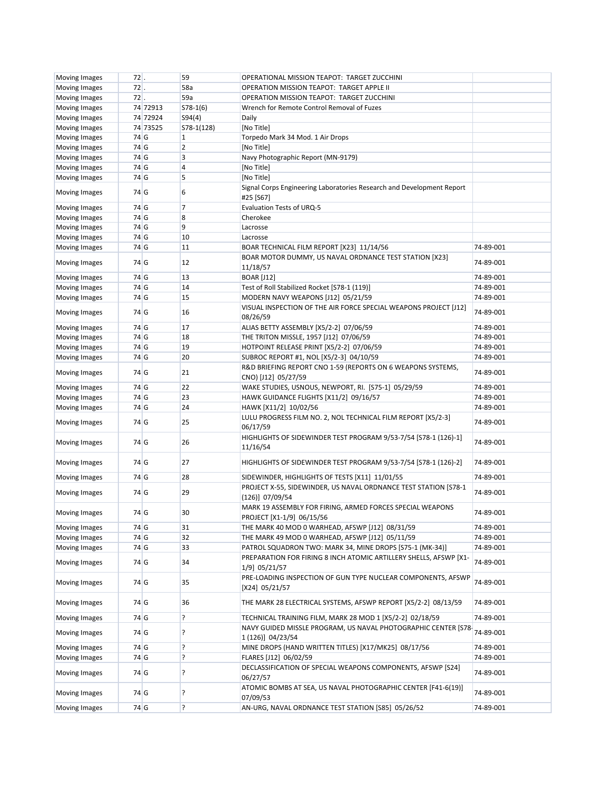| Moving Images                  | $72$ .          |          | 59             | OPERATIONAL MISSION TEAPOT: TARGET ZUCCHINI                                            |           |
|--------------------------------|-----------------|----------|----------------|----------------------------------------------------------------------------------------|-----------|
| Moving Images                  | $72$ .          |          | 58a            | OPERATION MISSION TEAPOT: TARGET APPLE II                                              |           |
| Moving Images                  | $72$ .          |          | 59a            | OPERATION MISSION TEAPOT: TARGET ZUCCHINI                                              |           |
| Moving Images                  |                 | 74 72913 | $S78-1(6)$     | Wrench for Remote Control Removal of Fuzes                                             |           |
| Moving Images                  |                 | 74 72924 | S94(4)         | Daily                                                                                  |           |
| Moving Images                  |                 | 74 73525 | S78-1(128)     | [No Title]                                                                             |           |
| Moving Images                  | $74$ G          |          | $\mathbf{1}$   | Torpedo Mark 34 Mod. 1 Air Drops                                                       |           |
| Moving Images                  | 74 G            |          | $\overline{2}$ | [No Title]                                                                             |           |
| Moving Images                  | 74 G            |          | 3              | Navy Photographic Report (MN-9179)                                                     |           |
| Moving Images                  | 74 G            |          | 4              | [No Title]                                                                             |           |
| Moving Images                  | 74 G            |          | 5              | [No Title]                                                                             |           |
| Moving Images                  | 74 G            |          | 6              | Signal Corps Engineering Laboratories Research and Development Report<br>#25 [S67]     |           |
| Moving Images                  | 74 G            |          | $\overline{7}$ | <b>Evaluation Tests of URQ-5</b>                                                       |           |
| Moving Images                  | 74 G            |          | 8              | Cherokee                                                                               |           |
| Moving Images                  | $74$ G          |          | 9              | Lacrosse                                                                               |           |
| Moving Images                  | 74 G            |          | 10             | Lacrosse                                                                               |           |
| Moving Images                  | 74 G            |          | 11             | BOAR TECHNICAL FILM REPORT [X23] 11/14/56                                              | 74-89-001 |
| Moving Images                  | 74 G            |          | 12             | BOAR MOTOR DUMMY, US NAVAL ORDNANCE TEST STATION [X23]<br>11/18/57                     | 74-89-001 |
| Moving Images                  | 74 G            |          | 13             | <b>BOAR [J12]</b>                                                                      | 74-89-001 |
| Moving Images                  | 74 G            |          | 14             | Test of Roll Stabilized Rocket [S78-1 (119)]                                           | 74-89-001 |
| Moving Images                  | 74 G            |          | 15             | MODERN NAVY WEAPONS [J12] 05/21/59                                                     | 74-89-001 |
| Moving Images                  | 74 G            |          | 16             | VISUAL INSPECTION OF THE AIR FORCE SPECIAL WEAPONS PROJECT [J12]<br>08/26/59           | 74-89-001 |
|                                | 74 G            |          | 17             | ALIAS BETTY ASSEMBLY [X5/2-2] 07/06/59                                                 | 74-89-001 |
| Moving Images                  | 74 G            |          | 18             | THE TRITON MISSLE, 1957 [J12] 07/06/59                                                 | 74-89-001 |
| Moving Images<br>Moving Images | 74 G            |          | 19             | HOTPOINT RELEASE PRINT [X5/2-2] 07/06/59                                               | 74-89-001 |
| Moving Images                  | 74 G            |          | 20             | SUBROC REPORT #1, NOL [X5/2-3] 04/10/59                                                | 74-89-001 |
|                                |                 |          |                | R&D BRIEFING REPORT CNO 1-59 (REPORTS ON 6 WEAPONS SYSTEMS,                            |           |
| Moving Images                  | 74 G            |          | 21             | CNO) [J12] 05/27/59                                                                    | 74-89-001 |
| Moving Images                  | 74 G            |          | 22             | WAKE STUDIES, USNOUS, NEWPORT, RI. [S75-1] 05/29/59                                    | 74-89-001 |
| Moving Images                  | $74$ G          |          | 23             | HAWK GUIDANCE FLIGHTS [X11/2] 09/16/57                                                 | 74-89-001 |
| Moving Images                  | 74 G            |          | 24             | HAWK [X11/2] 10/02/56                                                                  | 74-89-001 |
| Moving Images                  | 74 G            |          | 25             | LULU PROGRESS FILM NO. 2, NOL TECHNICAL FILM REPORT [X5/2-3]<br>06/17/59               | 74-89-001 |
| Moving Images                  | 74 G            |          | 26             | HIGHLIGHTS OF SIDEWINDER TEST PROGRAM 9/53-7/54 [S78-1 (126)-1]<br>11/16/54            | 74-89-001 |
| Moving Images                  | 74 G            |          | 27             | HIGHLIGHTS OF SIDEWINDER TEST PROGRAM 9/53-7/54 [S78-1 (126)-2]                        | 74-89-001 |
| Moving Images                  | 74 G            |          | 28             | SIDEWINDER, HIGHLIGHTS OF TESTS [X11] 11/01/55                                         | 74-89-001 |
| Moving Images                  | 74 G            |          | 29             | PROJECT X-55, SIDEWINDER, US NAVAL ORDNANCE TEST STATION [S78-1<br>(126)] 07/09/54     | 74-89-001 |
| Moving Images                  | 74 G            |          | 30             | MARK 19 ASSEMBLY FOR FIRING, ARMED FORCES SPECIAL WEAPONS<br>PROJECT [X1-1/9] 06/15/56 | 74-89-001 |
| Moving Images                  | 74 G            |          | 31             | THE MARK 40 MOD 0 WARHEAD, AFSWP [J12] 08/31/59                                        | 74-89-001 |
| Moving Images                  | 74 <sub>6</sub> |          | 32             | THE MARK 49 MOD 0 WARHEAD, AFSWP [J12] 05/11/59                                        | 74-89-001 |
| Moving Images                  | $74$ G          |          | 33             | PATROL SQUADRON TWO: MARK 34, MINE DROPS [S75-1 (MK-34)]                               | 74-89-001 |
| Moving Images                  | 74 G            |          | 34             | PREPARATION FOR FIRING 8 INCH ATOMIC ARTILLERY SHELLS, AFSWP [X1-<br>1/9] 05/21/57     | 74-89-001 |
| Moving Images                  | 74 G            |          | 35             | PRE-LOADING INSPECTION OF GUN TYPE NUCLEAR COMPONENTS, AFSWP<br>[X24] 05/21/57         | 74-89-001 |
| Moving Images                  | 74 G            |          | 36             | THE MARK 28 ELECTRICAL SYSTEMS, AFSWP REPORT [X5/2-2] 08/13/59                         | 74-89-001 |
| Moving Images                  | 74 G            |          | ?              | TECHNICAL TRAINING FILM, MARK 28 MOD 1 [X5/2-2] 02/18/59                               | 74-89-001 |
| Moving Images                  | 74 G            |          | 5              | NAVY GUIDED MISSLE PROGRAM, US NAVAL PHOTOGRAPHIC CENTER [S78-                         | 74-89-001 |
|                                |                 |          |                | 1 (126)] 04/23/54                                                                      |           |
| Moving Images                  | $74$ G          |          | ?              | MINE DROPS (HAND WRITTEN TITLES) [X17/MK25] 08/17/56                                   | 74-89-001 |
| Moving Images                  | $74$ G          |          | Ċ.             | FLARES [J12] 06/02/59                                                                  | 74-89-001 |
| Moving Images                  | 74 G            |          | 5              | DECLASSIFICATION OF SPECIAL WEAPONS COMPONENTS, AFSWP [S24]<br>06/27/57                | 74-89-001 |
| Moving Images                  | 74 G            |          | 5              | ATOMIC BOMBS AT SEA, US NAVAL PHOTOGRAPHIC CENTER [F41-6(19)]<br>07/09/53              | 74-89-001 |
| Moving Images                  | 74 G            |          | Ś.             | AN-URG, NAVAL ORDNANCE TEST STATION [S85] 05/26/52                                     | 74-89-001 |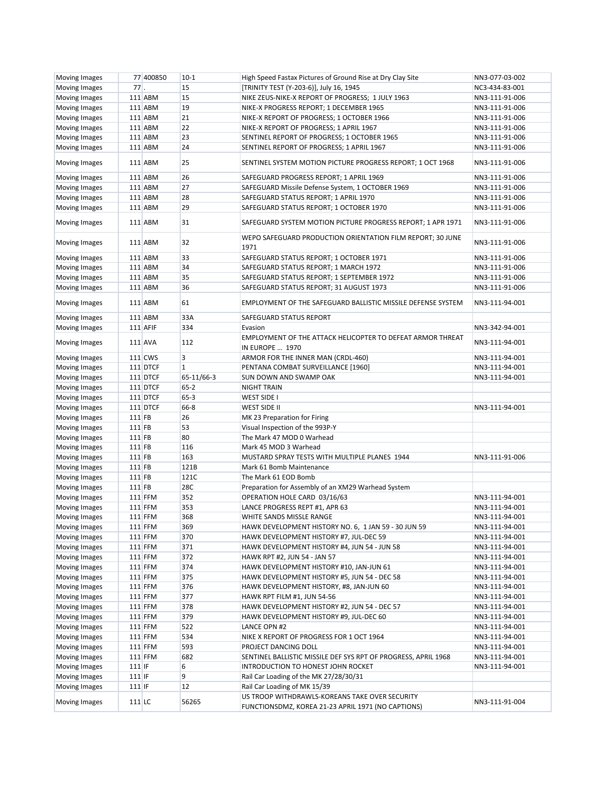| Moving Images        |          | 77 400850       | $10-1$       | High Speed Fastax Pictures of Ground Rise at Dry Clay Site                                           | NN3-077-03-002 |
|----------------------|----------|-----------------|--------------|------------------------------------------------------------------------------------------------------|----------------|
| Moving Images        | $77$ .   |                 | 15           | [TRINITY TEST (Y-203-6)], July 16, 1945                                                              | NC3-434-83-001 |
| Moving Images        |          | 111 ABM         | 15           | NIKE ZEUS-NIKE-X REPORT OF PROGRESS; 1 JULY 1963                                                     | NN3-111-91-006 |
| Moving Images        |          | 111 ABM         | 19           | NIKE-X PROGRESS REPORT; 1 DECEMBER 1965                                                              | NN3-111-91-006 |
| Moving Images        |          | 111 ABM         | 21           | NIKE-X REPORT OF PROGRESS; 1 OCTOBER 1966                                                            | NN3-111-91-006 |
| Moving Images        |          | 111 ABM         | 22           | NIKE-X REPORT OF PROGRESS; 1 APRIL 1967                                                              | NN3-111-91-006 |
| Moving Images        |          | 111 ABM         | 23           | SENTINEL REPORT OF PROGRESS; 1 OCTOBER 1965                                                          | NN3-111-91-006 |
| Moving Images        |          | 111 ABM         | 24           | SENTINEL REPORT OF PROGRESS; 1 APRIL 1967                                                            | NN3-111-91-006 |
| Moving Images        |          | 111 ABM         | 25           | SENTINEL SYSTEM MOTION PICTURE PROGRESS REPORT; 1 OCT 1968                                           | NN3-111-91-006 |
| Moving Images        |          | 111 ABM         | 26           | SAFEGUARD PROGRESS REPORT; 1 APRIL 1969                                                              | NN3-111-91-006 |
| Moving Images        |          | 111 ABM         | 27           | SAFEGUARD Missile Defense System, 1 OCTOBER 1969                                                     | NN3-111-91-006 |
|                      |          | 111 ABM         | 28           | SAFEGUARD STATUS REPORT; 1 APRIL 1970                                                                | NN3-111-91-006 |
| Moving Images        |          |                 | 29           |                                                                                                      |                |
| Moving Images        |          | 111 ABM         |              | SAFEGUARD STATUS REPORT; 1 OCTOBER 1970                                                              | NN3-111-91-006 |
| Moving Images        |          | 111 ABM         | 31           | SAFEGUARD SYSTEM MOTION PICTURE PROGRESS REPORT; 1 APR 1971                                          | NN3-111-91-006 |
| Moving Images        |          | 111 ABM         | 32           | WEPO SAFEGUARD PRODUCTION ORIENTATION FILM REPORT; 30 JUNE<br>1971                                   | NN3-111-91-006 |
| Moving Images        |          | 111 ABM         | 33           | SAFEGUARD STATUS REPORT; 1 OCTOBER 1971                                                              | NN3-111-91-006 |
| Moving Images        |          | 111 ABM         | 34           | SAFEGUARD STATUS REPORT; 1 MARCH 1972                                                                | NN3-111-91-006 |
| Moving Images        |          | 111 ABM         | 35           | SAFEGUARD STATUS REPORT; 1 SEPTEMBER 1972                                                            | NN3-111-91-006 |
| Moving Images        |          | 111 ABM         | 36           | SAFEGUARD STATUS REPORT; 31 AUGUST 1973                                                              | NN3-111-91-006 |
| Moving Images        |          | 111 ABM         | 61           | EMPLOYMENT OF THE SAFEGUARD BALLISTIC MISSILE DEFENSE SYSTEM                                         | NN3-111-94-001 |
| Moving Images        |          | 111 ABM         | 33A          | SAFEGUARD STATUS REPORT                                                                              |                |
| Moving Images        |          | <b>111 AFIF</b> | 334          | Evasion                                                                                              | NN3-342-94-001 |
|                      |          |                 |              | EMPLOYMENT OF THE ATTACK HELICOPTER TO DEFEAT ARMOR THREAT                                           |                |
| Moving Images        |          | 111 AVA         | 112          | <b>IN EUROPE  1970</b>                                                                               | NN3-111-94-001 |
| Moving Images        |          | 111 CWS         | 3            | ARMOR FOR THE INNER MAN (CRDL-460)                                                                   | NN3-111-94-001 |
| Moving Images        |          | 111 DTCF        | $\mathbf{1}$ | PENTANA COMBAT SURVEILLANCE [1960]                                                                   | NN3-111-94-001 |
| Moving Images        |          | 111 DTCF        | 65-11/66-3   | SUN DOWN AND SWAMP OAK                                                                               | NN3-111-94-001 |
| <b>Moving Images</b> |          | 111 DTCF        | $65 - 2$     | <b>NIGHT TRAIN</b>                                                                                   |                |
| Moving Images        |          | 111 DTCF        | $65 - 3$     | WEST SIDE I                                                                                          |                |
| Moving Images        |          | 111 DTCF        | 66-8         | WEST SIDE II                                                                                         | NN3-111-94-001 |
| Moving Images        | 111 FB   |                 | 26           | MK 23 Preparation for Firing                                                                         |                |
| Moving Images        | 111 FB   |                 | 53           | Visual Inspection of the 993P-Y                                                                      |                |
|                      | 111 FB   |                 | 80           | The Mark 47 MOD 0 Warhead                                                                            |                |
| Moving Images        | 111 FB   |                 | 116          | Mark 45 MOD 3 Warhead                                                                                |                |
| Moving Images        |          |                 |              |                                                                                                      |                |
| Moving Images        | 111 FB   |                 | 163          | MUSTARD SPRAY TESTS WITH MULTIPLE PLANES 1944                                                        | NN3-111-91-006 |
| Moving Images        | 111 FB   |                 | 121B         | Mark 61 Bomb Maintenance                                                                             |                |
| Moving Images        | 111 FB   |                 | 121C         | The Mark 61 EOD Bomb                                                                                 |                |
| Moving Images        | 111 FB   |                 | 28C          | Preparation for Assembly of an XM29 Warhead System                                                   | NN3-111-94-001 |
| Moving Images        |          | 111 FFM         | 352          | OPERATION HOLE CARD 03/16/63                                                                         |                |
| Moving Images        |          | 111 FFM         | 353          | LANCE PROGRESS REPT #1, APR 63                                                                       | NN3-111-94-001 |
| Moving Images        |          | 111 FFM         | 368          | WHITE SANDS MISSLE RANGE                                                                             | NN3-111-94-001 |
| Moving Images        |          | 111 FFM         | 369          | HAWK DEVELOPMENT HISTORY NO. 6, 1 JAN 59 - 30 JUN 59                                                 | NN3-111-94-001 |
| Moving Images        |          | 111 FFM         | 370          | HAWK DEVELOPMENT HISTORY #7, JUL-DEC 59                                                              | NN3-111-94-001 |
| Moving Images        |          | 111 FFM         | 371          | HAWK DEVELOPMENT HISTORY #4, JUN 54 - JUN 58                                                         | NN3-111-94-001 |
| Moving Images        |          | 111 FFM         | 372          | <b>HAWK RPT #2, JUN 54 - JAN 57</b>                                                                  | NN3-111-94-001 |
| Moving Images        |          | 111 FFM         | 374          | HAWK DEVELOPMENT HISTORY #10, JAN-JUN 61                                                             | NN3-111-94-001 |
| Moving Images        |          | 111 FFM         | 375          | HAWK DEVELOPMENT HISTORY #5, JUN 54 - DEC 58                                                         | NN3-111-94-001 |
| Moving Images        |          | 111 FFM         | 376          | HAWK DEVELOPMENT HISTORY, #8, JAN-JUN 60                                                             | NN3-111-94-001 |
| Moving Images        |          | 111 FFM         | 377          | HAWK RPT FILM #1, JUN 54-56                                                                          | NN3-111-94-001 |
| Moving Images        |          | 111 FFM         | 378          | HAWK DEVELOPMENT HISTORY #2, JUN 54 - DEC 57                                                         | NN3-111-94-001 |
| Moving Images        |          | 111 FFM         | 379          | HAWK DEVELOPMENT HISTORY #9, JUL-DEC 60                                                              | NN3-111-94-001 |
| Moving Images        |          | 111 FFM         | 522          | LANCE OPN #2                                                                                         | NN3-111-94-001 |
| Moving Images        |          | 111 FFM         | 534          | NIKE X REPORT OF PROGRESS FOR 1 OCT 1964                                                             | NN3-111-94-001 |
| Moving Images        |          | 111 FFM         | 593          | PROJECT DANCING DOLL                                                                                 | NN3-111-94-001 |
| Moving Images        |          | 111 FFM         | 682          | SENTINEL BALLISTIC MISSILE DEF SYS RPT OF PROGRESS, APRIL 1968                                       | NN3-111-94-001 |
| Moving Images        | $111$ IF |                 | 6            | INTRODUCTION TO HONEST JOHN ROCKET                                                                   | NN3-111-94-001 |
| Moving Images        | $111$ IF |                 | 9            | Rail Car Loading of the MK 27/28/30/31                                                               |                |
| Moving Images        | $111$ IF |                 | 12           | Rail Car Loading of MK 15/39                                                                         |                |
| Moving Images        | $111$ LC |                 | 56265        | US TROOP WITHDRAWLS-KOREANS TAKE OVER SECURITY<br>FUNCTIONSDMZ, KOREA 21-23 APRIL 1971 (NO CAPTIONS) | NN3-111-91-004 |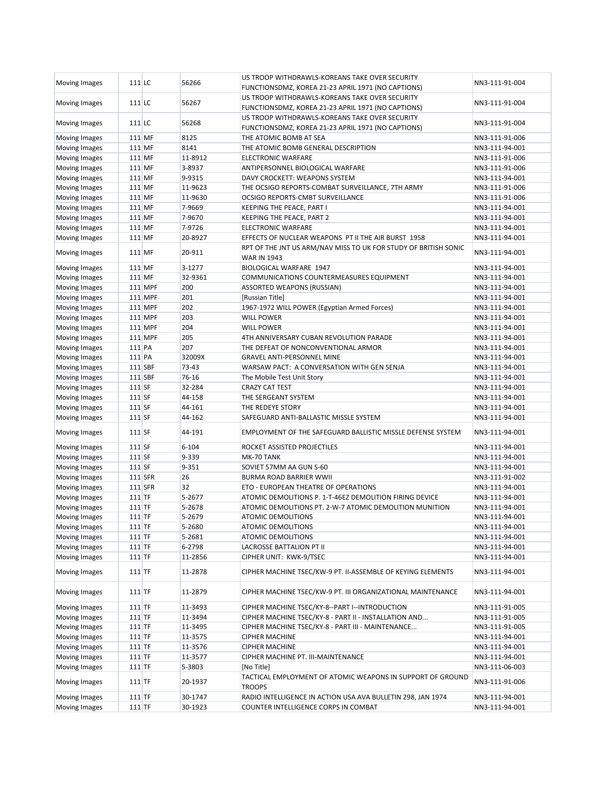| Moving Images        | $111$ LC       |         | 56266     | US TROOP WITHDRAWLS-KOREANS TAKE OVER SECURITY                                                       | NN3-111-91-004                   |
|----------------------|----------------|---------|-----------|------------------------------------------------------------------------------------------------------|----------------------------------|
|                      |                |         |           | FUNCTIONSDMZ, KOREA 21-23 APRIL 1971 (NO CAPTIONS)                                                   |                                  |
| Moving Images        | $111$ LC       |         | 56267     | US TROOP WITHDRAWLS-KOREANS TAKE OVER SECURITY                                                       | NN3-111-91-004                   |
|                      |                |         |           | FUNCTIONSDMZ, KOREA 21-23 APRIL 1971 (NO CAPTIONS)                                                   |                                  |
| Moving Images        | 111 LC         |         | 56268     | US TROOP WITHDRAWLS-KOREANS TAKE OVER SECURITY<br>FUNCTIONSDMZ, KOREA 21-23 APRIL 1971 (NO CAPTIONS) | NN3-111-91-004                   |
| Moving Images        | 111 MF         |         | 8125      | THE ATOMIC BOMB AT SEA                                                                               | NN3-111-91-006                   |
| Moving Images        | 111 MF         |         | 8141      | THE ATOMIC BOMB GENERAL DESCRIPTION                                                                  | NN3-111-94-001                   |
| <b>Moving Images</b> | 111 MF         |         | 11-8912   | <b>ELECTRONIC WARFARE</b>                                                                            | NN3-111-91-006                   |
| Moving Images        | 111 MF         |         | 3-8937    | ANTIPERSONNEL BIOLOGICAL WARFARE                                                                     | NN3-111-91-006                   |
| <b>Moving Images</b> | 111 MF         |         | 9-9315    | DAVY CROCKETT: WEAPONS SYSTEM                                                                        | NN3-111-94-001                   |
| <b>Moving Images</b> | 111 MF         |         | 11-9623   | THE OCSIGO REPORTS-COMBAT SURVEILLANCE, 7TH ARMY                                                     | NN3-111-91-006                   |
|                      |                |         | 11-9630   |                                                                                                      |                                  |
| Moving Images        | 111 MF         |         |           | OCSIGO REPORTS-CMBT SURVEILLANCE                                                                     | NN3-111-91-006                   |
| Moving Images        | 111 MF         |         | 7-9669    | KEEPING THE PEACE, PART I                                                                            | NN3-111-94-001                   |
| <b>Moving Images</b> | 111 MF         |         | 7-9670    | KEEPING THE PEACE, PART 2                                                                            | NN3-111-94-001                   |
| Moving Images        | 111 MF         |         | 7-9726    | <b>ELECTRONIC WARFARE</b>                                                                            | NN3-111-94-001                   |
| Moving Images        | 111 MF         |         | 20-8927   | EFFECTS OF NUCLEAR WEAPONS PT II THE AIR BURST 1958                                                  | NN3-111-94-001                   |
| Moving Images        | 111 MF         |         | 20-911    | RPT OF THE JNT US ARM/NAV MISS TO UK FOR STUDY OF BRITISH SONIC<br><b>WAR IN 1943</b>                | NN3-111-94-001                   |
| Moving Images        | 111 MF         |         | 3-1277    | BIOLOGICAL WARFARE 1947                                                                              | NN3-111-94-001                   |
| <b>Moving Images</b> | 111 MF         |         | 32-9361   | COMMUNICATIONS COUNTERMEASURES EQUIPMENT                                                             | NN3-111-94-001                   |
| Moving Images        |                | 111 MPF | 200       | <b>ASSORTED WEAPONS (RUSSIAN)</b>                                                                    | NN3-111-94-001                   |
| <b>Moving Images</b> |                | 111 MPF | 201       | [Russian Title]                                                                                      | NN3-111-94-001                   |
| <b>Moving Images</b> |                | 111 MPF | 202       | 1967-1972 WILL POWER (Egyptian Armed Forces)                                                         | NN3-111-94-001                   |
| Moving Images        |                | 111 MPF | 203       | <b>WILL POWER</b>                                                                                    | NN3-111-94-001                   |
| Moving Images        |                | 111 MPF | 204       | <b>WILL POWER</b>                                                                                    | NN3-111-94-001                   |
|                      |                |         |           |                                                                                                      |                                  |
| <b>Moving Images</b> |                | 111 MPF | 205       | 4TH ANNIVERSARY CUBAN REVOLUTION PARADE                                                              | NN3-111-94-001                   |
| Moving Images        | 111 PA         |         | 207       | THE DEFEAT OF NONCONVENTIONAL ARMOR                                                                  | NN3-111-94-001                   |
| <b>Moving Images</b> | 111 PA         |         | 32009X    | GRAVEL ANTI-PERSONNEL MINE                                                                           | NN3-111-94-001                   |
| Moving Images        | 111 SBF        |         | 73-43     | WARSAW PACT: A CONVERSATION WITH GEN SENJA                                                           | NN3-111-94-001                   |
| Moving Images        | 111 SBF        |         | 76-16     | The Mobile Test Unit Story                                                                           | NN3-111-94-001                   |
| <b>Moving Images</b> | 111 SF         |         | 32-284    | <b>CRAZY CAT TEST</b>                                                                                | NN3-111-94-001                   |
| Moving Images        | 111 SF         |         | 44-158    | THE SERGEANT SYSTEM                                                                                  | NN3-111-94-001                   |
| Moving Images        | 111 SF         |         | 44-161    | THE REDEYE STORY                                                                                     | NN3-111-94-001                   |
| <b>Moving Images</b> | 111 SF         |         | 44-162    | SAFEGUARD ANTI-BALLASTIC MISSLE SYSTEM                                                               | NN3-111-94-001                   |
| Moving Images        | 111 SF         |         | 44-191    | EMPLOYMENT OF THE SAFEGUARD BALLISTIC MISSLE DEFENSE SYSTEM                                          | NN3-111-94-001                   |
| Moving Images        | 111 SF         |         | $6 - 104$ | ROCKET ASSISTED PROJECTILES                                                                          | NN3-111-94-001                   |
| <b>Moving Images</b> | 111 SF         |         | 9-339     | MK-70 TANK                                                                                           | NN3-111-94-001                   |
| Moving Images        | 111 SF         |         | 9-351     | SOVIET 57MM AA GUN S-60                                                                              | NN3-111-94-001                   |
| Moving Images        |                |         | 26        |                                                                                                      |                                  |
|                      | <b>111 SFR</b> |         |           | BURMA ROAD BARRIER WWII                                                                              | NN3-111-91-002                   |
| <b>Moving Images</b> |                | 111 SFR | 32        | ETO - EUROPEAN THEATRE OF OPERATIONS                                                                 | NN3-111-94-001                   |
| Moving Images        | 111 TF         |         | 5-2677    | ATOMIC DEMOLITIONS P. 1-T-46EZ DEMOLITION FIRING DEVICE                                              | NN3-111-94-001                   |
| Moving Images        | 111 TF         |         | 5-2678    | ATOMIC DEMOLITIONS PT. 2-W-7 ATOMIC DEMOLITION MUNITION                                              | NN3-111-94-001                   |
| <b>Moving Images</b> | $111$ TF       |         | 5-2679    | <b>ATOMIC DEMOLITIONS</b>                                                                            | NN3-111-94-001                   |
| Moving Images        | $111$ TF       |         | 5-2680    | ATOMIC DEMOLITIONS                                                                                   | NN3-111-94-001                   |
| Moving Images        | $111$ TF       |         | 5-2681    | ATOMIC DEMOLITIONS                                                                                   | NN3-111-94-001                   |
| Moving Images        | $111$ TF       |         | 6-2798    | LACROSSE BATTALION PT II                                                                             | NN3-111-94-001                   |
| Moving Images        | $111$ TF       |         | 11-2856   | CIPHER UNIT: KWK-9/TSEC                                                                              | NN3-111-94-001                   |
| Moving Images        | $111$ TF       |         | 11-2878   | CIPHER MACHINE TSEC/KW-9 PT. II-ASSEMBLE OF KEYING ELEMENTS                                          | NN3-111-94-001                   |
| Moving Images        | $111$ TF       |         | 11-2879   | CIPHER MACHINE TSEC/KW-9 PT. III ORGANIZATIONAL MAINTENANCE                                          | NN3-111-94-001                   |
| Moving Images        | $111$ TF       |         | 11-3493   | CIPHER MACHINE TSEC/KY-8--PART I--INTRODUCTION                                                       | NN3-111-91-005                   |
|                      |                |         |           |                                                                                                      |                                  |
| Moving Images        | $111$ TF       |         | 11-3494   | CIPHER MACHINE TSEC/KY-8 - PART II - INSTALLATION AND                                                | NN3-111-91-005<br>NN3-111-91-005 |
| Moving Images        | $111$ TF       |         | 11-3495   | CIPHER MACHINE TSEC/KY-8 - PART III - MAINTENANCE                                                    |                                  |
| Moving Images        | $111$ TF       |         | 11-3575   | <b>CIPHER MACHINE</b>                                                                                | NN3-111-94-001                   |
| Moving Images        | $111$ TF       |         | 11-3576   | <b>CIPHER MACHINE</b>                                                                                | NN3-111-94-001                   |
| Moving Images        | $111$ TF       |         | 11-3577   | CIPHER MACHINE PT. III-MAINTENANCE                                                                   | NN3-111-94-001                   |
| Moving Images        | $111$ TF       |         | 5-3803    | [No Title]                                                                                           | NN3-111-06-003                   |
| Moving Images        | $111$ TF       |         | 20-1937   | TACTICAL EMPLOYMENT OF ATOMIC WEAPONS IN SUPPORT OF GROUND<br><b>TROOPS</b>                          | NN3-111-91-006                   |
| Moving Images        | $111$ TF       |         | 30-1747   | RADIO INTELLIGENCE IN ACTION USA AVA BULLETIN 298, JAN 1974                                          | NN3-111-94-001                   |
| Moving Images        | $111$ TF       |         | 30-1923   | COUNTER INTELLIGENCE CORPS IN COMBAT                                                                 | NN3-111-94-001                   |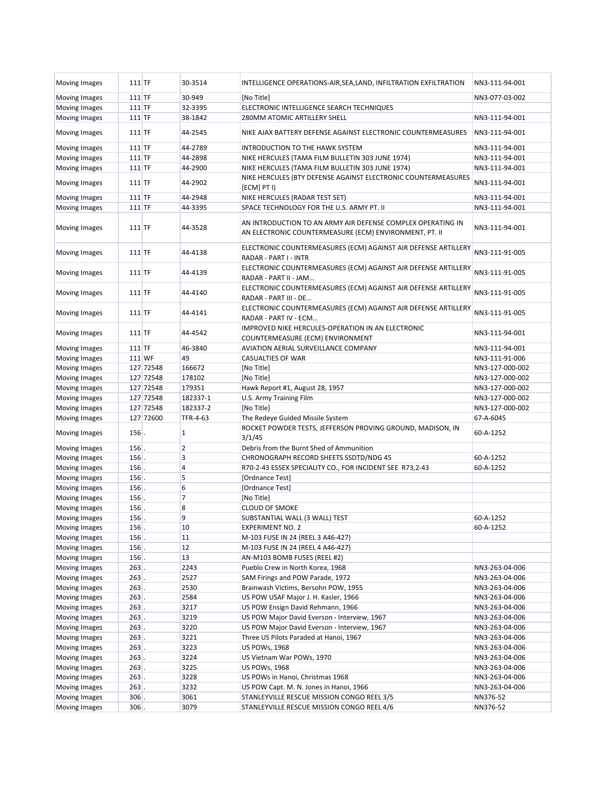| Moving Images        | 111 TF   |           | 30-3514        | INTELLIGENCE OPERATIONS-AIR, SEA, LAND, INFILTRATION EXFILTRATION                                                     | NN3-111-94-001  |
|----------------------|----------|-----------|----------------|-----------------------------------------------------------------------------------------------------------------------|-----------------|
| Moving Images        | $111$ TF |           | 30-949         | [No Title]                                                                                                            | NN3-077-03-002  |
| Moving Images        | 111 TF   |           | 32-3395        | ELECTRONIC INTELLIGENCE SEARCH TECHNIQUES                                                                             |                 |
| <b>Moving Images</b> | $111$ TF |           | 38-1842        | 280MM ATOMIC ARTILLERY SHELL                                                                                          | NN3-111-94-001  |
| Moving Images        | 111 TF   |           | 44-2545        | NIKE AJAX BATTERY DEFENSE AGAINST ELECTRONIC COUNTERMEASURES                                                          | NN3-111-94-001  |
| Moving Images        | 111 TF   |           | 44-2789        | INTRODUCTION TO THE HAWK SYSTEM                                                                                       | NN3-111-94-001  |
| <b>Moving Images</b> | $111$ TF |           | 44-2898        | NIKE HERCULES (TAMA FILM BULLETIN 303 JUNE 1974)                                                                      | NN3-111-94-001  |
| Moving Images        | 111 TF   |           | 44-2900        | NIKE HERCULES (TAMA FILM BULLETIN 303 JUNE 1974)                                                                      | NN3-111-94-001  |
| Moving Images        | $111$ TF |           | 44-2902        | NIKE HERCULES (BTY DEFENSE AGAINST ELECTRONIC COUNTERMEASURES<br>[ECM] PT I)                                          | NN3-111-94-001  |
| Moving Images        | 111 TF   |           | 44-2948        | NIKE HERCULES (RADAR TEST SET)                                                                                        | NN3-111-94-001  |
| Moving Images        | 111 TF   |           | 44-3395        | SPACE TECHNOLOGY FOR THE U.S. ARMY PT. II                                                                             | NN3-111-94-001  |
| Moving Images        | $111$ TF |           | 44-3528        | AN INTRODUCTION TO AN ARMY AIR DEFENSE COMPLEX OPERATING IN<br>AN ELECTRONIC COUNTERMEASURE (ECM) ENVIRONMENT, PT. II | NN3-111-94-001  |
| Moving Images        | 111 TF   |           | 44-4138        | ELECTRONIC COUNTERMEASURES (ECM) AGAINST AIR DEFENSE ARTILLERY<br>RADAR - PART I - INTR                               | NN3-111-91-005  |
| Moving Images        | $111$ TF |           | 44-4139        | ELECTRONIC COUNTERMEASURES (ECM) AGAINST AIR DEFENSE ARTILLERY<br>RADAR - PART II - JAM                               | NN3-111-91-005  |
| Moving Images        | 111 TF   |           | 44-4140        | ELECTRONIC COUNTERMEASURES (ECM) AGAINST AIR DEFENSE ARTILLERY<br>RADAR - PART III - DE                               | NN3-111-91-005  |
| Moving Images        | 111 TF   |           | 44-4141        | ELECTRONIC COUNTERMEASURES (ECM) AGAINST AIR DEFENSE ARTILLERY<br>RADAR - PART IV - ECM                               | NN3-111-91-005  |
| Moving Images        | 111 TF   |           | 44-4542        | IMPROVED NIKE HERCULES-OPERATION IN AN ELECTRONIC<br>COUNTERMEASURE (ECM) ENVIRONMENT                                 | NN3-111-94-001  |
| Moving Images        | 111 TF   |           | 46-3840        | <b>AVIATION AERIAL SURVEILLANCE COMPANY</b>                                                                           | NN3-111-94-001  |
| Moving Images        | 111 WF   |           | 49             | <b>CASUALTIES OF WAR</b>                                                                                              | NN3-111-91-006  |
| <b>Moving Images</b> |          | 127 72548 | 166672         | [No Title]                                                                                                            | NN3-127-000-002 |
| Moving Images        |          | 127 72548 | 178102         | [No Title]                                                                                                            | NN3-127-000-002 |
| Moving Images        |          | 127 72548 | 179351         | Hawk Report #1, August 28, 1957                                                                                       | NN3-127-000-002 |
| <b>Moving Images</b> |          | 127 72548 | 182337-1       | U.S. Army Training Film                                                                                               | NN3-127-000-002 |
| Moving Images        |          | 127 72548 | 182337-2       | [No Title]                                                                                                            | NN3-127-000-002 |
| <b>Moving Images</b> |          | 127 72600 | TFR-4-63       | The Redeye Guided Missile System                                                                                      | 67-A-6045       |
| Moving Images        | 156      |           | $\overline{1}$ | ROCKET POWDER TESTS, JEFFERSON PROVING GROUND, MADISON, IN<br>3/1/45                                                  | 60-A-1252       |
| Moving Images        | 156      |           | $\overline{2}$ | Debris from the Burnt Shed of Ammunition                                                                              |                 |
| Moving Images        | $156$ .  |           | 3              | CHRONOGRAPH RECORD SHEETS SSDTD/NDG 45                                                                                | 60-A-1252       |
| Moving Images        | 156.     |           | 4              | R70-2-43 ESSEX SPECIALITY CO., FOR INCIDENT SEE R73,2-43                                                              | 60-A-1252       |
| Moving Images        | 156.     |           | 5              | [Ordnance Test]                                                                                                       |                 |
| Moving Images        | $156$ .  |           | 6              | [Ordnance Test]                                                                                                       |                 |
| Moving Images        | 156      |           | $\overline{7}$ | [No Title]                                                                                                            |                 |
| Moving Images        | 156.     |           | 8              | <b>CLOUD OF SMOKE</b>                                                                                                 |                 |
| Moving Images        | $156$ .  |           | 9              | SUBSTANTIAL WALL (3 WALL) TEST                                                                                        | 60-A-1252       |
| Moving Images        | $156$ .  |           | 10             | <b>EXPERIMENT NO. 2</b>                                                                                               | 60-A-1252       |
| Moving Images        | $156$ .  |           | 11             | M-103 FUSE IN 24 (REEL 3 A46-427)                                                                                     |                 |
| Moving Images        | $156$ .  |           | 12             | M-103 FUSE IN 24 (REEL 4 A46-427)                                                                                     |                 |
| Moving Images        | $156$ .  |           | 13             | AN-M103 BOMB FUSES (REEL #2)                                                                                          |                 |
| Moving Images        | $263$ .  |           | 2243           | Pueblo Crew in North Korea, 1968                                                                                      | NN3-263-04-006  |
| Moving Images        | $263$ .  |           | 2527           | SAM Firings and POW Parade, 1972                                                                                      | NN3-263-04-006  |
| Moving Images        | $263$ .  |           | 2530           | Brainwash Victims, Bersohn POW, 1955                                                                                  | NN3-263-04-006  |
| Moving Images        | $263$ .  |           | 2584           | US POW USAF Major J. H. Kasler, 1966                                                                                  | NN3-263-04-006  |
| Moving Images        | $263$ .  |           | 3217           | US POW Ensign David Rehmann, 1966                                                                                     | NN3-263-04-006  |
| Moving Images        | $263$ .  |           | 3219           | US POW Major David Everson - Interview, 1967                                                                          | NN3-263-04-006  |
| Moving Images        | $263$ .  |           | 3220           | US POW Major David Everson - Interview, 1967                                                                          | NN3-263-04-006  |
| Moving Images        | $263$ .  |           | 3221           | Three US Pilots Paraded at Hanoi, 1967                                                                                | NN3-263-04-006  |
| Moving Images        | $263$ .  |           | 3223           | <b>US POWs, 1968</b>                                                                                                  | NN3-263-04-006  |
| Moving Images        | $263$ .  |           | 3224           | US Vietnam War POWs, 1970                                                                                             | NN3-263-04-006  |
| Moving Images        | $263$ .  |           | 3225           | <b>US POWs, 1968</b>                                                                                                  | NN3-263-04-006  |
| Moving Images        | $263$ .  |           | 3228           | US POWs in Hanoi, Christmas 1968                                                                                      | NN3-263-04-006  |
| Moving Images        | $263$ .  |           | 3232           | US POW Capt. M. N. Jones in Hanoi, 1966                                                                               | NN3-263-04-006  |
| Moving Images        | $306$ .  |           | 3061           | STANLEYVILLE RESCUE MISSION CONGO REEL 3/5                                                                            | NN376-52        |
| Moving Images        | $306$ .  |           | 3079           | STANLEYVILLE RESCUE MISSION CONGO REEL 4/6                                                                            | NN376-52        |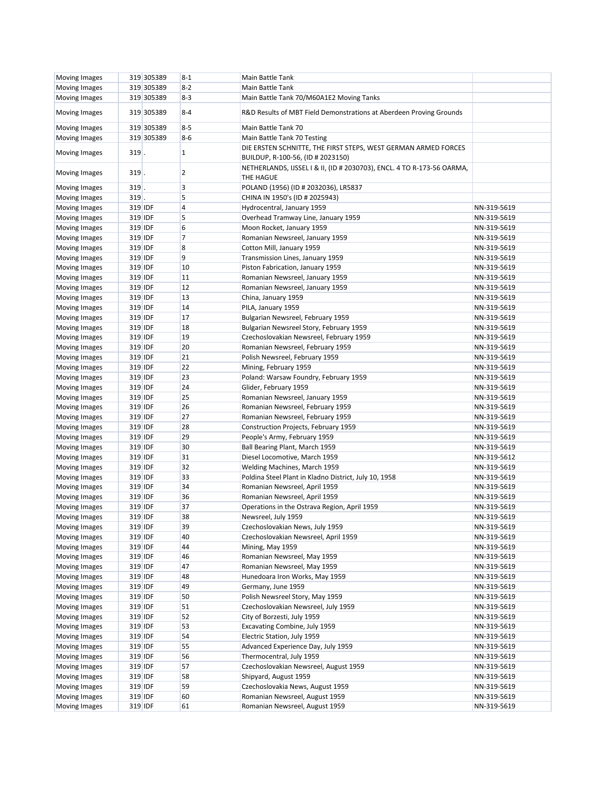| Moving Images        |         | 319 305389 | $8 - 1$          | Main Battle Tank                                                                                    |                            |
|----------------------|---------|------------|------------------|-----------------------------------------------------------------------------------------------------|----------------------------|
| Moving Images        |         | 319 305389 | $8 - 2$          | Main Battle Tank                                                                                    |                            |
| Moving Images        |         | 319 305389 | $8 - 3$          | Main Battle Tank 70/M60A1E2 Moving Tanks                                                            |                            |
| Moving Images        |         | 319 305389 | $8 - 4$          | R&D Results of MBT Field Demonstrations at Aberdeen Proving Grounds                                 |                            |
| <b>Moving Images</b> |         | 319 305389 | $8 - 5$          | Main Battle Tank 70                                                                                 |                            |
| Moving Images        |         | 319 305389 | $8-6$            | Main Battle Tank 70 Testing                                                                         |                            |
|                      |         |            |                  |                                                                                                     |                            |
| Moving Images        | $319$ . |            | $\mathbf{1}$     | DIE ERSTEN SCHNITTE, THE FIRST STEPS, WEST GERMAN ARMED FORCES<br>BUILDUP, R-100-56, (ID # 2023150) |                            |
| Moving Images        | $319$ . |            | $\overline{2}$   | NETHERLANDS, IJSSEL I & II, (ID # 2030703), ENCL. 4 TO R-173-56 OARMA,<br>THE HAGUE                 |                            |
| Moving Images        | 319     |            | $\overline{3}$   | POLAND (1956) (ID # 2032036), LR5837                                                                |                            |
| Moving Images        | $319$ . |            | 5                | CHINA IN 1950's (ID # 2025943)                                                                      |                            |
| Moving Images        | 319 IDF |            | $\overline{4}$   | Hydrocentral, January 1959                                                                          | NN-319-5619                |
| Moving Images        | 319 IDF |            | 5                | Overhead Tramway Line, January 1959                                                                 | NN-319-5619                |
| Moving Images        | 319 IDF |            | 6                | Moon Rocket, January 1959                                                                           | NN-319-5619                |
|                      |         |            | $\overline{7}$   |                                                                                                     |                            |
| Moving Images        | 319 IDF |            |                  | Romanian Newsreel, January 1959                                                                     | NN-319-5619                |
| Moving Images        | 319 IDF |            | $\boldsymbol{8}$ | Cotton Mill, January 1959                                                                           | NN-319-5619                |
| Moving Images        | 319 IDF |            | $\overline{9}$   | Transmission Lines, January 1959                                                                    | NN-319-5619                |
| Moving Images        | 319 IDF |            | 10               | Piston Fabrication, January 1959                                                                    | NN-319-5619                |
| Moving Images        | 319 IDF |            | 11               | Romanian Newsreel, January 1959                                                                     | NN-319-5619                |
| Moving Images        | 319 IDF |            | 12               | Romanian Newsreel, January 1959                                                                     | NN-319-5619                |
| Moving Images        | 319 IDF |            | 13               | China, January 1959                                                                                 | NN-319-5619                |
| Moving Images        | 319 IDF |            | 14               | PILA, January 1959                                                                                  | NN-319-5619                |
| Moving Images        | 319 IDF |            | 17               | Bulgarian Newsreel, February 1959                                                                   | NN-319-5619                |
| Moving Images        | 319 IDF |            | 18               | Bulgarian Newsreel Story, February 1959                                                             | NN-319-5619                |
| Moving Images        | 319 IDF |            | 19               | Czechoslovakian Newsreel, February 1959                                                             | NN-319-5619                |
| Moving Images        | 319 IDF |            | 20               | Romanian Newsreel, February 1959                                                                    | NN-319-5619                |
| Moving Images        | 319 IDF |            | 21               | Polish Newsreel, February 1959                                                                      | NN-319-5619                |
| Moving Images        | 319 IDF |            | 22               | Mining, February 1959                                                                               | NN-319-5619                |
| Moving Images        | 319 IDF |            | 23               | Poland: Warsaw Foundry, February 1959                                                               | NN-319-5619                |
| Moving Images        | 319 IDF |            | 24               | Glider, February 1959                                                                               | NN-319-5619                |
|                      |         |            | 25               |                                                                                                     |                            |
| Moving Images        | 319 IDF |            |                  | Romanian Newsreel, January 1959                                                                     | NN-319-5619                |
| Moving Images        | 319 IDF |            | 26               | Romanian Newsreel, February 1959                                                                    | NN-319-5619                |
| Moving Images        | 319 IDF |            | 27               | Romanian Newsreel, February 1959                                                                    | NN-319-5619                |
| Moving Images        | 319 IDF |            | 28               | Construction Projects, February 1959                                                                | NN-319-5619                |
| Moving Images        | 319 IDF |            | 29               | People's Army, February 1959                                                                        | NN-319-5619                |
| Moving Images        | 319 IDF |            | 30               | Ball Bearing Plant, March 1959                                                                      | NN-319-5619                |
| Moving Images        | 319 IDF |            | 31               | Diesel Locomotive, March 1959                                                                       | NN-319-5612                |
| Moving Images        | 319 IDF |            | 32               | Welding Machines, March 1959                                                                        | NN-319-5619                |
| Moving Images        | 319 IDF |            | 33               | Poldina Steel Plant in Kladno District, July 10, 1958                                               | NN-319-5619                |
| Moving Images        | 319 IDF |            | 34               | Romanian Newsreel, April 1959                                                                       | NN-319-5619                |
| Moving Images        | 319 IDF |            | 36               | Romanian Newsreel, April 1959                                                                       | NN-319-5619                |
| Moving Images        | 319 IDF |            | 37               | Operations in the Ostrava Region, April 1959                                                        | NN-319-5619                |
| Moving Images        | 319 IDF |            | 38               | Newsreel, July 1959                                                                                 | NN-319-5619                |
| Moving Images        | 319 IDF |            | 39               | Czechoslovakian News, July 1959                                                                     | NN-319-5619                |
| Moving Images        | 319 IDF |            | 40               | Czechoslovakian Newsreel, April 1959                                                                | NN-319-5619                |
| Moving Images        | 319 IDF |            | 44               | Mining, May 1959                                                                                    | NN-319-5619                |
| Moving Images        | 319 IDF |            | 46               | Romanian Newsreel, May 1959                                                                         | NN-319-5619                |
| Moving Images        | 319 IDF |            | 47               | Romanian Newsreel, May 1959                                                                         | NN-319-5619                |
| Moving Images        | 319 IDF |            | 48               | Hunedoara Iron Works, May 1959                                                                      | NN-319-5619                |
|                      |         |            | 49               |                                                                                                     |                            |
| Moving Images        | 319 IDF |            |                  | Germany, June 1959<br>Polish Newsreel Story, May 1959                                               | NN-319-5619<br>NN-319-5619 |
| Moving Images        | 319 IDF |            | 50               |                                                                                                     |                            |
| Moving Images        | 319 IDF |            | 51               | Czechoslovakian Newsreel, July 1959                                                                 | NN-319-5619                |
| Moving Images        | 319 IDF |            | 52               | City of Borzesti, July 1959                                                                         | NN-319-5619                |
| Moving Images        | 319 IDF |            | 53               | Excavating Combine, July 1959                                                                       | NN-319-5619                |
| Moving Images        | 319 IDF |            | 54               | Electric Station, July 1959                                                                         | NN-319-5619                |
| Moving Images        | 319 IDF |            | 55               | Advanced Experience Day, July 1959                                                                  | NN-319-5619                |
| Moving Images        | 319 IDF |            | 56               | Thermocentral, July 1959                                                                            | NN-319-5619                |
| Moving Images        | 319 IDF |            | 57               | Czechoslovakian Newsreel, August 1959                                                               | NN-319-5619                |
| Moving Images        | 319 IDF |            | 58               | Shipyard, August 1959                                                                               | NN-319-5619                |
| Moving Images        | 319 IDF |            | 59               | Czechoslovakia News, August 1959                                                                    | NN-319-5619                |
| Moving Images        | 319 IDF |            | 60               | Romanian Newsreel, August 1959                                                                      | NN-319-5619                |
| Moving Images        | 319 IDF |            | 61               | Romanian Newsreel, August 1959                                                                      | NN-319-5619                |
|                      |         |            |                  |                                                                                                     |                            |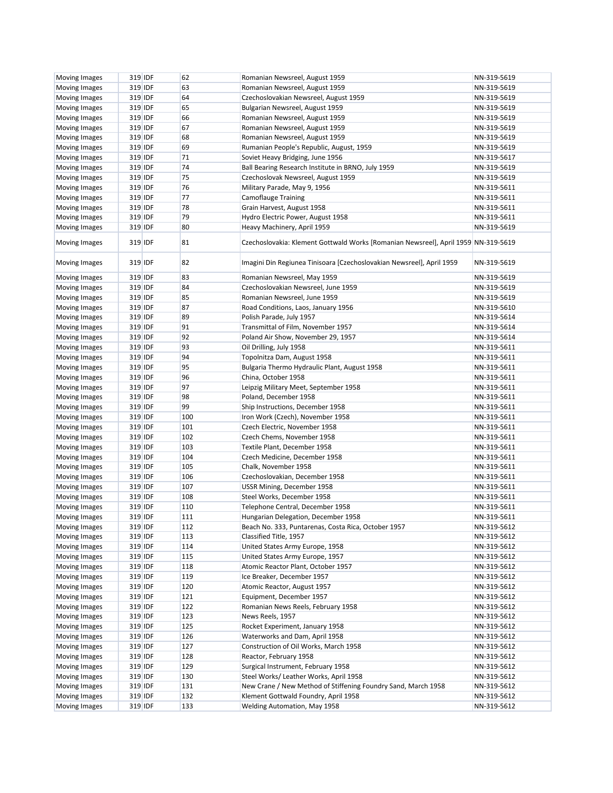| Moving Images        | 319 IDF | 62  | Romanian Newsreel, August 1959                                                     | NN-319-5619 |
|----------------------|---------|-----|------------------------------------------------------------------------------------|-------------|
| <b>Moving Images</b> | 319 IDF | 63  | Romanian Newsreel, August 1959                                                     | NN-319-5619 |
| <b>Moving Images</b> | 319 IDF | 64  | Czechoslovakian Newsreel, August 1959                                              | NN-319-5619 |
| Moving Images        | 319 IDF | 65  | Bulgarian Newsreel, August 1959                                                    | NN-319-5619 |
| <b>Moving Images</b> | 319 IDF | 66  | Romanian Newsreel, August 1959                                                     | NN-319-5619 |
| <b>Moving Images</b> | 319 IDF | 67  | Romanian Newsreel, August 1959                                                     | NN-319-5619 |
| Moving Images        | 319 IDF | 68  | Romanian Newsreel, August 1959                                                     | NN-319-5619 |
| <b>Moving Images</b> | 319 IDF | 69  | Rumanian People's Republic, August, 1959                                           | NN-319-5619 |
| <b>Moving Images</b> | 319 IDF | 71  | Soviet Heavy Bridging, June 1956                                                   | NN-319-5617 |
| Moving Images        | 319 IDF | 74  | Ball Bearing Research Institute in BRNO, July 1959                                 | NN-319-5619 |
| Moving Images        | 319 IDF | 75  | Czechoslovak Newsreel, August 1959                                                 | NN-319-5619 |
| Moving Images        | 319 IDF | 76  | Military Parade, May 9, 1956                                                       | NN-319-5611 |
| Moving Images        | 319 IDF | 77  | Camoflauge Training                                                                | NN-319-5611 |
|                      | 319 IDF | 78  |                                                                                    | NN-319-5611 |
| <b>Moving Images</b> |         |     | Grain Harvest, August 1958                                                         |             |
| <b>Moving Images</b> | 319 IDF | 79  | Hydro Electric Power, August 1958                                                  | NN-319-5611 |
| Moving Images        | 319 IDF | 80  | Heavy Machinery, April 1959                                                        | NN-319-5619 |
| Moving Images        | 319 IDF | 81  | Czechoslovakia: Klement Gottwald Works [Romanian Newsreel], April 1959 NN-319-5619 |             |
| <b>Moving Images</b> | 319 IDF | 82  | Imagini Din Regiunea Tinisoara [Czechoslovakian Newsreel], April 1959              | NN-319-5619 |
| Moving Images        | 319 IDF | 83  | Romanian Newsreel, May 1959                                                        | NN-319-5619 |
| Moving Images        | 319 IDF | 84  | Czechoslovakian Newsreel, June 1959                                                | NN-319-5619 |
| Moving Images        | 319 IDF | 85  | Romanian Newsreel, June 1959                                                       | NN-319-5619 |
| <b>Moving Images</b> | 319 IDF | 87  | Road Conditions, Laos, January 1956                                                | NN-319-5610 |
| Moving Images        | 319 IDF | 89  | Polish Parade, July 1957                                                           | NN-319-5614 |
| <b>Moving Images</b> | 319 IDF | 91  | Transmittal of Film, November 1957                                                 | NN-319-5614 |
| <b>Moving Images</b> | 319 IDF | 92  | Poland Air Show, November 29, 1957                                                 | NN-319-5614 |
| Moving Images        | 319 IDF | 93  | Oil Drilling, July 1958                                                            | NN-319-5611 |
| Moving Images        | 319 IDF | 94  | Topolnitza Dam, August 1958                                                        | NN-319-5611 |
| <b>Moving Images</b> | 319 IDF | 95  | Bulgaria Thermo Hydraulic Plant, August 1958                                       | NN-319-5611 |
| Moving Images        | 319 IDF | 96  | China, October 1958                                                                | NN-319-5611 |
| Moving Images        | 319 IDF | 97  | Leipzig Military Meet, September 1958                                              | NN-319-5611 |
| <b>Moving Images</b> | 319 IDF | 98  | Poland, December 1958                                                              | NN-319-5611 |
| Moving Images        | 319 IDF | 99  | Ship Instructions, December 1958                                                   | NN-319-5611 |
| Moving Images        | 319 IDF | 100 | Iron Work (Czech), November 1958                                                   | NN-319-5611 |
| <b>Moving Images</b> | 319 IDF | 101 | Czech Electric, November 1958                                                      | NN-319-5611 |
|                      | 319 IDF | 102 | Czech Chems, November 1958                                                         | NN-319-5611 |
| Moving Images        |         |     |                                                                                    |             |
| Moving Images        | 319 IDF | 103 | Textile Plant, December 1958                                                       | NN-319-5611 |
| <b>Moving Images</b> | 319 IDF | 104 | Czech Medicine, December 1958                                                      | NN-319-5611 |
| Moving Images        | 319 IDF | 105 | Chalk, November 1958                                                               | NN-319-5611 |
| Moving Images        | 319 IDF | 106 | Czechoslovakian, December 1958                                                     | NN-319-5611 |
| <b>Moving Images</b> | 319 IDF | 107 | USSR Mining, December 1958                                                         | NN-319-5611 |
| Moving Images        | 319 IDF | 108 | Steel Works, December 1958                                                         | NN-319-5611 |
| Moving Images        | 319 IDF | 110 | Telephone Central, December 1958                                                   | NN-319-5611 |
| <b>Moving Images</b> | 319 IDF | 111 | Hungarian Delegation, December 1958                                                | NN-319-5611 |
| Moving Images        | 319 IDF | 112 | Beach No. 333, Puntarenas, Costa Rica, October 1957                                | NN-319-5612 |
| Moving Images        | 319 IDF | 113 | Classified Title, 1957                                                             | NN-319-5612 |
| Moving Images        | 319 IDF | 114 | United States Army Europe, 1958                                                    | NN-319-5612 |
| Moving Images        | 319 IDF | 115 | United States Army Europe, 1957                                                    | NN-319-5612 |
| Moving Images        | 319 IDF | 118 | Atomic Reactor Plant, October 1957                                                 | NN-319-5612 |
| Moving Images        | 319 IDF | 119 | Ice Breaker, December 1957                                                         | NN-319-5612 |
| Moving Images        | 319 IDF | 120 | Atomic Reactor, August 1957                                                        | NN-319-5612 |
| Moving Images        | 319 IDF | 121 | Equipment, December 1957                                                           | NN-319-5612 |
| Moving Images        | 319 IDF | 122 | Romanian News Reels, February 1958                                                 | NN-319-5612 |
| Moving Images        | 319 IDF | 123 | News Reels, 1957                                                                   | NN-319-5612 |
| Moving Images        | 319 IDF | 125 | Rocket Experiment, January 1958                                                    | NN-319-5612 |
| Moving Images        | 319 IDF | 126 | Waterworks and Dam, April 1958                                                     | NN-319-5612 |
| Moving Images        | 319 IDF | 127 | Construction of Oil Works, March 1958                                              | NN-319-5612 |
| Moving Images        | 319 IDF | 128 | Reactor, February 1958                                                             | NN-319-5612 |
| Moving Images        | 319 IDF | 129 | Surgical Instrument, February 1958                                                 | NN-319-5612 |
| Moving Images        | 319 IDF | 130 | Steel Works/ Leather Works, April 1958                                             | NN-319-5612 |
| Moving Images        | 319 IDF | 131 | New Crane / New Method of Stiffening Foundry Sand, March 1958                      | NN-319-5612 |
| Moving Images        | 319 IDF | 132 | Klement Gottwald Foundry, April 1958                                               | NN-319-5612 |
| Moving Images        | 319 IDF | 133 | Welding Automation, May 1958                                                       | NN-319-5612 |
|                      |         |     |                                                                                    |             |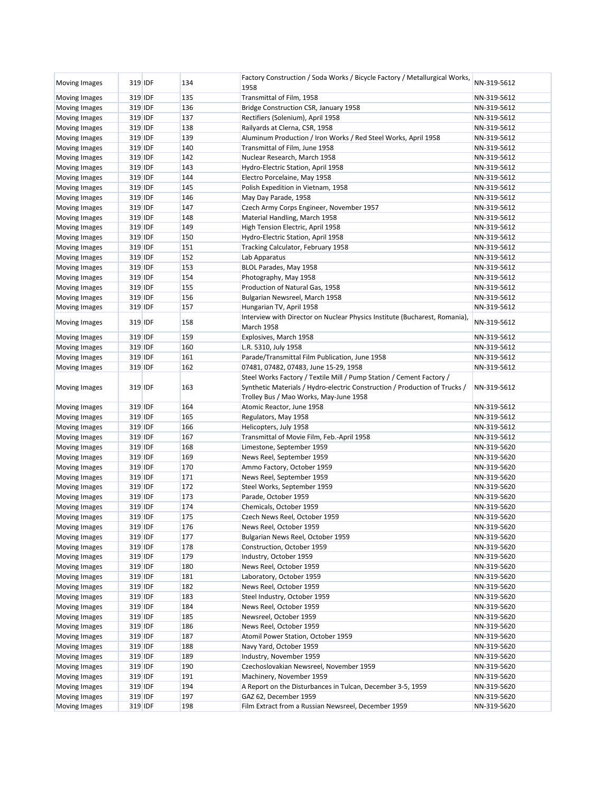| <b>Moving Images</b>           | 319 IDF | 134 | Factory Construction / Soda Works / Bicycle Factory / Metallurgical Works,<br>1958                                                                                                           | NN-319-5612                |
|--------------------------------|---------|-----|----------------------------------------------------------------------------------------------------------------------------------------------------------------------------------------------|----------------------------|
| <b>Moving Images</b>           | 319 IDF | 135 | Transmittal of Film, 1958                                                                                                                                                                    | NN-319-5612                |
| Moving Images                  | 319 IDF | 136 | Bridge Construction CSR, January 1958                                                                                                                                                        | NN-319-5612                |
| Moving Images                  | 319 IDF | 137 | Rectifiers (Solenium), April 1958                                                                                                                                                            | NN-319-5612                |
| <b>Moving Images</b>           | 319 IDF | 138 | Railyards at Clerna, CSR, 1958                                                                                                                                                               | NN-319-5612                |
| Moving Images                  | 319 IDF | 139 | Aluminum Production / Iron Works / Red Steel Works, April 1958                                                                                                                               | NN-319-5612                |
| Moving Images                  | 319 IDF | 140 | Transmittal of Film, June 1958                                                                                                                                                               | NN-319-5612                |
| Moving Images                  | 319 IDF | 142 | Nuclear Research, March 1958                                                                                                                                                                 | NN-319-5612                |
| Moving Images                  | 319 IDF | 143 | Hydro-Electric Station, April 1958                                                                                                                                                           | NN-319-5612                |
| Moving Images                  | 319 IDF | 144 | Electro Porcelaine, May 1958                                                                                                                                                                 | NN-319-5612                |
| Moving Images                  | 319 IDF | 145 | Polish Expedition in Vietnam, 1958                                                                                                                                                           | NN-319-5612                |
| Moving Images                  | 319 IDF | 146 | May Day Parade, 1958                                                                                                                                                                         | NN-319-5612                |
| Moving Images                  | 319 IDF | 147 | Czech Army Corps Engineer, November 1957                                                                                                                                                     | NN-319-5612                |
| Moving Images                  | 319 IDF | 148 | Material Handling, March 1958                                                                                                                                                                | NN-319-5612                |
| Moving Images                  | 319 IDF | 149 | High Tension Electric, April 1958                                                                                                                                                            | NN-319-5612                |
| Moving Images                  | 319 IDF | 150 | Hydro-Electric Station, April 1958                                                                                                                                                           | NN-319-5612                |
| Moving Images                  | 319 IDF | 151 | Tracking Calculator, February 1958                                                                                                                                                           | NN-319-5612                |
| Moving Images                  | 319 IDF | 152 | Lab Apparatus                                                                                                                                                                                | NN-319-5612                |
| Moving Images                  | 319 IDF | 153 | BLOL Parades, May 1958                                                                                                                                                                       | NN-319-5612                |
| Moving Images                  | 319 IDF | 154 | Photography, May 1958                                                                                                                                                                        | NN-319-5612                |
| Moving Images                  | 319 IDF | 155 | Production of Natural Gas, 1958                                                                                                                                                              | NN-319-5612                |
| Moving Images                  | 319 IDF | 156 | Bulgarian Newsreel, March 1958                                                                                                                                                               | NN-319-5612                |
| Moving Images                  | 319 IDF | 157 | Hungarian TV, April 1958                                                                                                                                                                     | NN-319-5612                |
| Moving Images                  | 319 IDF | 158 | Interview with Director on Nuclear Physics Institute (Bucharest, Romania),<br><b>March 1958</b>                                                                                              | NN-319-5612                |
|                                | 319 IDF | 159 | Explosives, March 1958                                                                                                                                                                       | NN-319-5612                |
| Moving Images                  | 319 IDF | 160 |                                                                                                                                                                                              |                            |
| Moving Images<br>Moving Images | 319 IDF | 161 | L.R. 5310, July 1958<br>Parade/Transmittal Film Publication, June 1958                                                                                                                       | NN-319-5612<br>NN-319-5612 |
|                                |         |     |                                                                                                                                                                                              |                            |
| Moving Images                  | 319 IDF | 162 | 07481, 07482, 07483, June 15-29, 1958                                                                                                                                                        | NN-319-5612                |
| Moving Images                  | 319 IDF | 163 | Steel Works Factory / Textile Mill / Pump Station / Cement Factory /<br>Synthetic Materials / Hydro-electric Construction / Production of Trucks /<br>Trolley Bus / Mao Works, May-June 1958 | NN-319-5612                |
| <b>Moving Images</b>           | 319 IDF | 164 | Atomic Reactor, June 1958                                                                                                                                                                    | NN-319-5612                |
| Moving Images                  | 319 IDF | 165 | Regulators, May 1958                                                                                                                                                                         | NN-319-5612                |
| Moving Images                  | 319 IDF | 166 | Helicopters, July 1958                                                                                                                                                                       | NN-319-5612                |
| <b>Moving Images</b>           | 319 IDF | 167 | Transmittal of Movie Film, Feb.-April 1958                                                                                                                                                   | NN-319-5612                |
| Moving Images                  | 319 IDF | 168 | Limestone, September 1959                                                                                                                                                                    | NN-319-5620                |
| Moving Images                  | 319 IDF | 169 | News Reel, September 1959                                                                                                                                                                    | NN-319-5620                |
| <b>Moving Images</b>           | 319 IDF | 170 | Ammo Factory, October 1959                                                                                                                                                                   | NN-319-5620                |
| Moving Images                  | 319 IDF | 171 | News Reel, September 1959                                                                                                                                                                    | NN-319-5620                |
| Moving Images                  | 319 IDF | 172 | Steel Works, September 1959                                                                                                                                                                  | NN-319-5620                |
| Moving Images                  | 319 IDF | 173 | Parade, October 1959                                                                                                                                                                         | NN-319-5620                |
| Moving Images                  | 319 IDF | 174 | Chemicals, October 1959                                                                                                                                                                      | NN-319-5620                |
| Moving Images                  | 319 IDF | 175 | Czech News Reel, October 1959                                                                                                                                                                | NN-319-5620                |
| Moving Images                  | 319 IDF | 176 | News Reel, October 1959                                                                                                                                                                      | NN-319-5620                |
| Moving Images                  | 319 IDF | 177 | Bulgarian News Reel, October 1959                                                                                                                                                            | NN-319-5620                |
| Moving Images                  | 319 IDF | 178 | Construction, October 1959                                                                                                                                                                   | NN-319-5620                |
| Moving Images                  | 319 IDF | 179 | Industry, October 1959                                                                                                                                                                       | NN-319-5620                |
| Moving Images                  | 319 IDF | 180 | News Reel, October 1959                                                                                                                                                                      | NN-319-5620                |
| Moving Images                  | 319 IDF | 181 | Laboratory, October 1959                                                                                                                                                                     | NN-319-5620                |
| Moving Images                  | 319 IDF | 182 | News Reel, October 1959                                                                                                                                                                      | NN-319-5620                |
| Moving Images                  | 319 IDF | 183 | Steel Industry, October 1959                                                                                                                                                                 | NN-319-5620                |
| Moving Images                  | 319 IDF | 184 | News Reel, October 1959                                                                                                                                                                      | NN-319-5620                |
| Moving Images                  | 319 IDF | 185 | Newsreel, October 1959                                                                                                                                                                       | NN-319-5620                |
| Moving Images                  | 319 IDF | 186 | News Reel, October 1959                                                                                                                                                                      | NN-319-5620                |
| Moving Images                  | 319 IDF | 187 | Atomil Power Station, October 1959                                                                                                                                                           | NN-319-5620                |
| Moving Images                  | 319 IDF | 188 | Navy Yard, October 1959                                                                                                                                                                      | NN-319-5620                |
| Moving Images                  | 319 IDF | 189 | Industry, November 1959                                                                                                                                                                      | NN-319-5620                |
| Moving Images                  | 319 IDF | 190 | Czechoslovakian Newsreel, November 1959                                                                                                                                                      | NN-319-5620                |
| Moving Images                  | 319 IDF | 191 | Machinery, November 1959                                                                                                                                                                     | NN-319-5620                |
| Moving Images                  | 319 IDF | 194 | A Report on the Disturbances in Tulcan, December 3-5, 1959                                                                                                                                   | NN-319-5620                |
| Moving Images                  | 319 IDF | 197 | GAZ 62, December 1959                                                                                                                                                                        | NN-319-5620                |
| Moving Images                  | 319 IDF | 198 | Film Extract from a Russian Newsreel, December 1959                                                                                                                                          | NN-319-5620                |
|                                |         |     |                                                                                                                                                                                              |                            |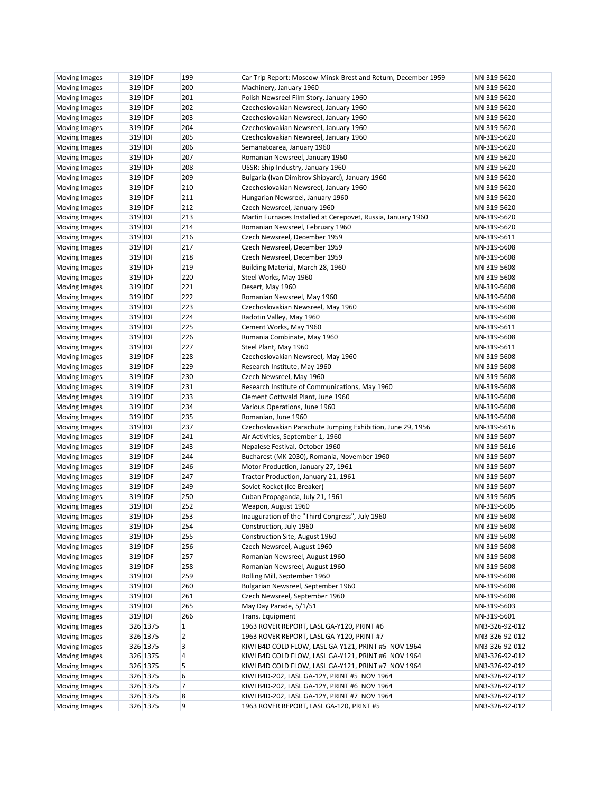| Moving Images        | 319 IDF |          | 199            | Car Trip Report: Moscow-Minsk-Brest and Return, December 1959 | NN-319-5620    |
|----------------------|---------|----------|----------------|---------------------------------------------------------------|----------------|
| Moving Images        | 319 IDF |          | 200            | Machinery, January 1960                                       | NN-319-5620    |
| Moving Images        | 319 IDF |          | 201            | Polish Newsreel Film Story, January 1960                      | NN-319-5620    |
| Moving Images        | 319 IDF |          | 202            | Czechoslovakian Newsreel, January 1960                        | NN-319-5620    |
| Moving Images        | 319 IDF |          | 203            | Czechoslovakian Newsreel, January 1960                        | NN-319-5620    |
| Moving Images        | 319 IDF |          | 204            | Czechoslovakian Newsreel, January 1960                        | NN-319-5620    |
| Moving Images        | 319 IDF |          | 205            | Czechoslovakian Newsreel, January 1960                        | NN-319-5620    |
| Moving Images        | 319 IDF |          | 206            | Semanatoarea, January 1960                                    | NN-319-5620    |
| Moving Images        | 319 IDF |          | 207            | Romanian Newsreel, January 1960                               | NN-319-5620    |
| Moving Images        | 319 IDF |          | 208            | USSR: Ship Industry, January 1960                             | NN-319-5620    |
| Moving Images        | 319 IDF |          | 209            | Bulgaria (Ivan Dimitrov Shipyard), January 1960               | NN-319-5620    |
| Moving Images        | 319 IDF |          | 210            | Czechoslovakian Newsreel, January 1960                        | NN-319-5620    |
| Moving Images        | 319 IDF |          | 211            | Hungarian Newsreel, January 1960                              | NN-319-5620    |
| Moving Images        | 319 IDF |          | 212            | Czech Newsreel, January 1960                                  | NN-319-5620    |
| Moving Images        | 319 IDF |          | 213            | Martin Furnaces Installed at Cerepovet, Russia, January 1960  | NN-319-5620    |
| Moving Images        | 319 IDF |          | 214            | Romanian Newsreel, February 1960                              | NN-319-5620    |
| Moving Images        | 319 IDF |          | 216            | Czech Newsreel, December 1959                                 | NN-319-5611    |
| Moving Images        | 319 IDF |          | 217            | Czech Newsreel, December 1959                                 | NN-319-5608    |
| Moving Images        | 319 IDF |          | 218            | Czech Newsreel, December 1959                                 | NN-319-5608    |
| Moving Images        | 319 IDF |          | 219            | Building Material, March 28, 1960                             | NN-319-5608    |
| Moving Images        | 319 IDF |          | 220            | Steel Works, May 1960                                         | NN-319-5608    |
| Moving Images        | 319 IDF |          | 221            | Desert, May 1960                                              | NN-319-5608    |
| Moving Images        | 319 IDF |          | 222            | Romanian Newsreel, May 1960                                   | NN-319-5608    |
| Moving Images        | 319 IDF |          | 223            | Czechoslovakian Newsreel, May 1960                            | NN-319-5608    |
| Moving Images        | 319 IDF |          | 224            | Radotin Valley, May 1960                                      | NN-319-5608    |
| Moving Images        | 319 IDF |          | 225            | Cement Works, May 1960                                        | NN-319-5611    |
| Moving Images        | 319 IDF |          | 226            | Rumania Combinate, May 1960                                   | NN-319-5608    |
| Moving Images        | 319 IDF |          | 227            | Steel Plant, May 1960                                         | NN-319-5611    |
| Moving Images        | 319 IDF |          | 228            | Czechoslovakian Newsreel, May 1960                            | NN-319-5608    |
| Moving Images        | 319 IDF |          | 229            | Research Institute, May 1960                                  | NN-319-5608    |
| Moving Images        | 319 IDF |          | 230            | Czech Newsreel, May 1960                                      | NN-319-5608    |
| Moving Images        | 319 IDF |          | 231            | Research Institute of Communications, May 1960                | NN-319-5608    |
| Moving Images        | 319 IDF |          | 233            | Clement Gottwald Plant, June 1960                             | NN-319-5608    |
| Moving Images        | 319 IDF |          | 234            | Various Operations, June 1960                                 | NN-319-5608    |
| Moving Images        | 319 IDF |          | 235            | Romanian, June 1960                                           | NN-319-5608    |
| Moving Images        | 319 IDF |          | 237            | Czechoslovakian Parachute Jumping Exhibition, June 29, 1956   | NN-319-5616    |
| Moving Images        | 319 IDF |          | 241            | Air Activities, September 1, 1960                             | NN-319-5607    |
| Moving Images        | 319 IDF |          | 243            | Nepalese Festival, October 1960                               | NN-319-5616    |
| Moving Images        | 319 IDF |          | 244            | Bucharest (MK 2030), Romania, November 1960                   | NN-319-5607    |
| Moving Images        | 319 IDF |          | 246            | Motor Production, January 27, 1961                            | NN-319-5607    |
| Moving Images        | 319 IDF |          | 247            | Tractor Production, January 21, 1961                          | NN-319-5607    |
| Moving Images        | 319 IDF |          | 249            | Soviet Rocket (Ice Breaker)                                   | NN-319-5607    |
| Moving Images        | 319 IDF |          | 250            | Cuban Propaganda, July 21, 1961                               | NN-319-5605    |
| Moving Images        | 319 IDF |          | 252            | Weapon, August 1960                                           | NN-319-5605    |
| <b>Moving Images</b> | 319 IDF |          | 253            | Inauguration of the "Third Congress", July 1960               | NN-319-5608    |
| Moving Images        | 319 IDF |          | 254            | Construction, July 1960                                       | NN-319-5608    |
| Moving Images        | 319 IDF |          | 255            | Construction Site, August 1960                                | NN-319-5608    |
| Moving Images        | 319 IDF |          | 256            | Czech Newsreel, August 1960                                   | NN-319-5608    |
| Moving Images        | 319 IDF |          | 257            | Romanian Newsreel, August 1960                                | NN-319-5608    |
| Moving Images        | 319 IDF |          | 258            | Romanian Newsreel, August 1960                                | NN-319-5608    |
| Moving Images        | 319 IDF |          | 259            | Rolling Mill, September 1960                                  | NN-319-5608    |
| Moving Images        | 319 IDF |          | 260            | Bulgarian Newsreel, September 1960                            | NN-319-5608    |
| Moving Images        | 319 IDF |          | 261            | Czech Newsreel, September 1960                                | NN-319-5608    |
| Moving Images        | 319 IDF |          | 265            | May Day Parade, 5/1/51                                        | NN-319-5603    |
| Moving Images        | 319 IDF |          | 266            | Trans. Equipment                                              | NN-319-5601    |
| Moving Images        |         | 326 1375 | 1              | 1963 ROVER REPORT, LASL GA-Y120, PRINT #6                     | NN3-326-92-012 |
| Moving Images        |         | 326 1375 | $\overline{2}$ | 1963 ROVER REPORT, LASL GA-Y120, PRINT #7                     | NN3-326-92-012 |
| Moving Images        |         | 326 1375 | 3              | KIWI B4D COLD FLOW, LASL GA-Y121, PRINT #5 NOV 1964           | NN3-326-92-012 |
| Moving Images        |         | 326 1375 | 4              | KIWI B4D COLD FLOW, LASL GA-Y121, PRINT #6 NOV 1964           | NN3-326-92-012 |
| Moving Images        |         | 326 1375 | 5              | KIWI B4D COLD FLOW, LASL GA-Y121, PRINT #7 NOV 1964           | NN3-326-92-012 |
| Moving Images        |         | 326 1375 | 6              | KIWI B4D-202, LASL GA-12Y, PRINT #5 NOV 1964                  | NN3-326-92-012 |
| Moving Images        |         | 326 1375 | 7              | KIWI B4D-202, LASL GA-12Y, PRINT #6 NOV 1964                  | NN3-326-92-012 |
| Moving Images        |         | 326 1375 | 8              | KIWI B4D-202, LASL GA-12Y, PRINT #7 NOV 1964                  | NN3-326-92-012 |
| Moving Images        |         | 326 1375 | 9              | 1963 ROVER REPORT, LASL GA-120, PRINT #5                      | NN3-326-92-012 |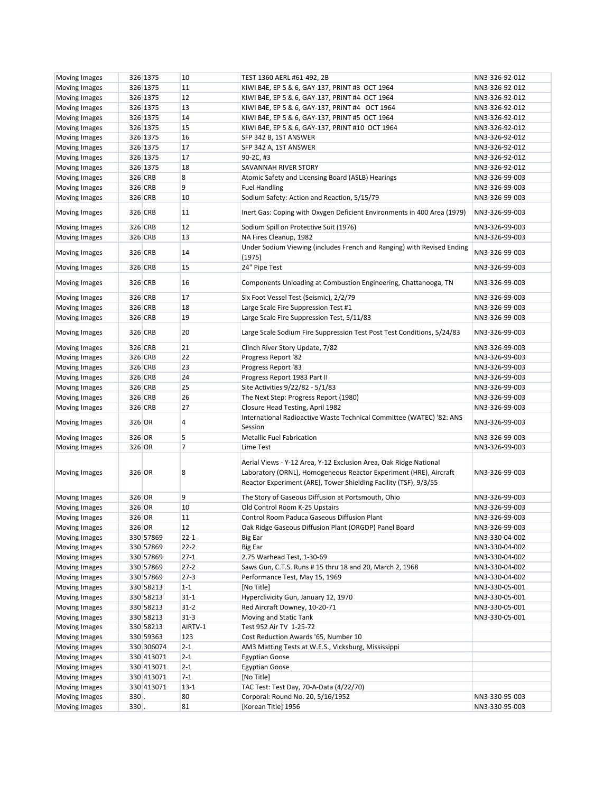| Moving Images        |         | 326 1375   | 10               | TEST 1360 AERL #61-492, 2B                                                                                                                                                                                 | NN3-326-92-012 |
|----------------------|---------|------------|------------------|------------------------------------------------------------------------------------------------------------------------------------------------------------------------------------------------------------|----------------|
| Moving Images        |         | 326 1375   | 11               | KIWI B4E, EP 5 & 6, GAY-137, PRINT #3 OCT 1964                                                                                                                                                             | NN3-326-92-012 |
| Moving Images        |         | 326 1375   | 12               | KIWI B4E, EP 5 & 6, GAY-137, PRINT #4 OCT 1964                                                                                                                                                             | NN3-326-92-012 |
| Moving Images        |         | 326 1375   | 13               | KIWI B4E, EP 5 & 6, GAY-137, PRINT #4 OCT 1964                                                                                                                                                             | NN3-326-92-012 |
| Moving Images        |         | 326 1375   | 14               | KIWI B4E, EP 5 & 6, GAY-137, PRINT #5 OCT 1964                                                                                                                                                             | NN3-326-92-012 |
| Moving Images        |         | 326 1375   | 15               | KIWI B4E, EP 5 & 6, GAY-137, PRINT #10 OCT 1964                                                                                                                                                            | NN3-326-92-012 |
| Moving Images        |         | 326 1375   | 16               | SFP 342 B, 1ST ANSWER                                                                                                                                                                                      | NN3-326-92-012 |
| Moving Images        |         | 326 1375   | 17               | SFP 342 A, 1ST ANSWER                                                                                                                                                                                      | NN3-326-92-012 |
| Moving Images        |         | 326 1375   | 17               | 90-2C, #3                                                                                                                                                                                                  | NN3-326-92-012 |
| Moving Images        |         | 326 1375   | 18               | SAVANNAH RIVER STORY                                                                                                                                                                                       | NN3-326-92-012 |
|                      |         |            | $\boldsymbol{8}$ |                                                                                                                                                                                                            | NN3-326-99-003 |
| Moving Images        | 326 CRB |            | 9                | Atomic Safety and Licensing Board (ASLB) Hearings                                                                                                                                                          |                |
| Moving Images        | 326 CRB |            |                  | <b>Fuel Handling</b>                                                                                                                                                                                       | NN3-326-99-003 |
| Moving Images        | 326 CRB |            | 10               | Sodium Safety: Action and Reaction, 5/15/79                                                                                                                                                                | NN3-326-99-003 |
| Moving Images        | 326 CRB |            | 11               | Inert Gas: Coping with Oxygen Deficient Environments in 400 Area (1979)                                                                                                                                    | NN3-326-99-003 |
| Moving Images        | 326 CRB |            | 12               | Sodium Spill on Protective Suit (1976)                                                                                                                                                                     | NN3-326-99-003 |
| Moving Images        | 326 CRB |            | 13               | NA Fires Cleanup, 1982                                                                                                                                                                                     | NN3-326-99-003 |
| Moving Images        | 326 CRB |            | 14               | Under Sodium Viewing (includes French and Ranging) with Revised Ending<br>(1975)                                                                                                                           | NN3-326-99-003 |
| Moving Images        | 326 CRB |            | 15               | 24" Pipe Test                                                                                                                                                                                              | NN3-326-99-003 |
| Moving Images        | 326 CRB |            | 16               | Components Unloading at Combustion Engineering, Chattanooga, TN                                                                                                                                            | NN3-326-99-003 |
| Moving Images        | 326 CRB |            | 17               | Six Foot Vessel Test (Seismic), 2/2/79                                                                                                                                                                     | NN3-326-99-003 |
|                      | 326 CRB |            | 18               | Large Scale Fire Suppression Test #1                                                                                                                                                                       | NN3-326-99-003 |
| Moving Images        |         |            |                  |                                                                                                                                                                                                            |                |
| Moving Images        | 326 CRB |            | 19               | Large Scale Fire Suppression Test, 5/11/83                                                                                                                                                                 | NN3-326-99-003 |
| Moving Images        | 326 CRB |            | 20               | Large Scale Sodium Fire Suppression Test Post Test Conditions, 5/24/83                                                                                                                                     | NN3-326-99-003 |
| Moving Images        | 326 CRB |            | 21               | Clinch River Story Update, 7/82                                                                                                                                                                            | NN3-326-99-003 |
| Moving Images        | 326 CRB |            | 22               | Progress Report '82                                                                                                                                                                                        | NN3-326-99-003 |
| Moving Images        | 326 CRB |            | 23               | Progress Report '83                                                                                                                                                                                        | NN3-326-99-003 |
| Moving Images        | 326 CRB |            | 24               | Progress Report 1983 Part II                                                                                                                                                                               | NN3-326-99-003 |
| Moving Images        | 326 CRB |            | 25               | Site Activities 9/22/82 - 5/1/83                                                                                                                                                                           | NN3-326-99-003 |
| Moving Images        | 326 CRB |            | 26               | The Next Step: Progress Report (1980)                                                                                                                                                                      | NN3-326-99-003 |
| Moving Images        | 326 CRB |            | 27               | Closure Head Testing, April 1982                                                                                                                                                                           | NN3-326-99-003 |
| Moving Images        | 326 OR  |            | 4                | International Radioactive Waste Technical Committee (WATEC) '82: ANS<br>Session                                                                                                                            | NN3-326-99-003 |
|                      | 326 OR  |            | 5                | <b>Metallic Fuel Fabrication</b>                                                                                                                                                                           | NN3-326-99-003 |
| Moving Images        |         |            | $\overline{7}$   |                                                                                                                                                                                                            | NN3-326-99-003 |
| Moving Images        | 326 OR  |            |                  | Lime Test                                                                                                                                                                                                  |                |
| Moving Images        | 326 OR  |            | 8                | Aerial Views - Y-12 Area, Y-12 Exclusion Area, Oak Ridge National<br>Laboratory (ORNL), Homogeneous Reactor Experiment (HRE), Aircraft<br>Reactor Experiment (ARE), Tower Shielding Facility (TSF), 9/3/55 | NN3-326-99-003 |
| Moving Images        | 326 OR  |            | 9                | The Story of Gaseous Diffusion at Portsmouth, Ohio                                                                                                                                                         | NN3-326-99-003 |
| Moving Images        | 326 OR  |            | 10               | Old Control Room K-25 Upstairs                                                                                                                                                                             | NN3-326-99-003 |
| <b>Moving Images</b> | 326 OR  |            | 11               | Control Room Paduca Gaseous Diffusion Plant                                                                                                                                                                | NN3-326-99-003 |
| <b>Moving Images</b> | 326 OR  |            | <b>12</b>        | Oak Ridge Gaseous Diffusion Plant (ORGDP) Panel Board                                                                                                                                                      | NN3-326-99-003 |
| Moving Images        |         | 330 57869  | $22 - 1$         | <b>Big Ear</b>                                                                                                                                                                                             | NN3-330-04-002 |
| Moving Images        |         | 330 57869  | $22 - 2$         | Big Ear                                                                                                                                                                                                    | NN3-330-04-002 |
| Moving Images        |         | 330 57869  | $27-1$           | 2.75 Warhead Test, 1-30-69                                                                                                                                                                                 | NN3-330-04-002 |
| Moving Images        |         | 330 57869  | $27-2$           | Saws Gun, C.T.S. Runs # 15 thru 18 and 20, March 2, 1968                                                                                                                                                   | NN3-330-04-002 |
| Moving Images        |         | 330 57869  | $27-3$           | Performance Test, May 15, 1969                                                                                                                                                                             | NN3-330-04-002 |
| Moving Images        |         | 330 58213  | $1 - 1$          | [No Title]                                                                                                                                                                                                 | NN3-330-05-001 |
| Moving Images        |         | 330 58213  | $31 - 1$         | Hyperclivicity Gun, January 12, 1970                                                                                                                                                                       | NN3-330-05-001 |
| Moving Images        |         | 330 58213  | $31 - 2$         | Red Aircraft Downey, 10-20-71                                                                                                                                                                              | NN3-330-05-001 |
|                      |         | 330 58213  | $31 - 3$         | Moving and Static Tank                                                                                                                                                                                     | NN3-330-05-001 |
| Moving Images        |         |            |                  |                                                                                                                                                                                                            |                |
| Moving Images        |         | 330 58213  | AIRTV-1          | Test 952 Air TV 1-25-72                                                                                                                                                                                    |                |
| Moving Images        |         | 330 59363  | 123              | Cost Reduction Awards '65, Number 10                                                                                                                                                                       |                |
| Moving Images        |         | 330 306074 | $2 - 1$          | AM3 Matting Tests at W.E.S., Vicksburg, Mississippi                                                                                                                                                        |                |
| Moving Images        |         | 330 413071 | $2 - 1$          | <b>Egyptian Goose</b>                                                                                                                                                                                      |                |
| Moving Images        |         | 330 413071 | $2 - 1$          | <b>Egyptian Goose</b>                                                                                                                                                                                      |                |
| Moving Images        |         | 330 413071 | $7 - 1$          | [No Title]                                                                                                                                                                                                 |                |
| Moving Images        |         | 330 413071 | $13-1$           | TAC Test: Test Day, 70-A-Data (4/22/70)                                                                                                                                                                    |                |
| Moving Images        | $330$ . |            | 80               | Corporal: Round No. 20, 5/16/1952                                                                                                                                                                          | NN3-330-95-003 |
| Moving Images        | $330$ . |            | 81               | [Korean Title] 1956                                                                                                                                                                                        | NN3-330-95-003 |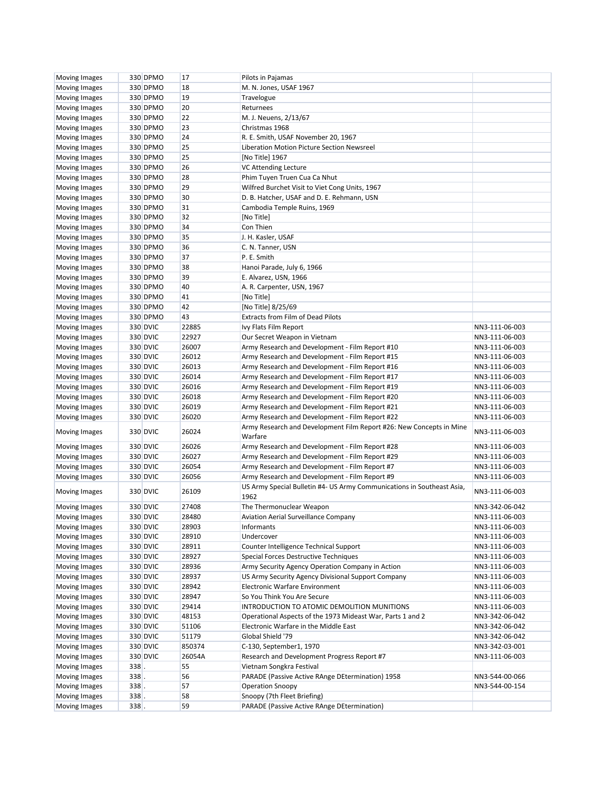| Moving Images        |         | 330 DPMO | 17     | Pilots in Pajamas                                                      |                                  |
|----------------------|---------|----------|--------|------------------------------------------------------------------------|----------------------------------|
| <b>Moving Images</b> |         | 330 DPMO | 18     | M. N. Jones, USAF 1967                                                 |                                  |
| Moving Images        |         | 330 DPMO | 19     | Travelogue                                                             |                                  |
| Moving Images        |         | 330 DPMO | 20     | Returnees                                                              |                                  |
| Moving Images        |         | 330 DPMO | 22     | M. J. Neuens, 2/13/67                                                  |                                  |
| Moving Images        |         | 330 DPMO | 23     | Christmas 1968                                                         |                                  |
| Moving Images        |         | 330 DPMO | 24     | R. E. Smith, USAF November 20, 1967                                    |                                  |
| Moving Images        |         | 330 DPMO | 25     | Liberation Motion Picture Section Newsreel                             |                                  |
| Moving Images        |         | 330 DPMO | 25     | [No Title] 1967                                                        |                                  |
| Moving Images        |         | 330 DPMO | 26     | VC Attending Lecture                                                   |                                  |
| Moving Images        |         | 330 DPMO | 28     | Phim Tuyen Truen Cua Ca Nhut                                           |                                  |
| Moving Images        |         | 330 DPMO | 29     | Wilfred Burchet Visit to Viet Cong Units, 1967                         |                                  |
| Moving Images        |         | 330 DPMO | 30     | D. B. Hatcher, USAF and D. E. Rehmann, USN                             |                                  |
| Moving Images        |         | 330 DPMO | 31     | Cambodia Temple Ruins, 1969                                            |                                  |
|                      |         | 330 DPMO | 32     | [No Title]                                                             |                                  |
| Moving Images        |         | 330 DPMO | 34     | Con Thien                                                              |                                  |
| Moving Images        |         |          |        |                                                                        |                                  |
| Moving Images        |         | 330 DPMO | 35     | J. H. Kasler, USAF                                                     |                                  |
| Moving Images        |         | 330 DPMO | 36     | C. N. Tanner, USN                                                      |                                  |
| Moving Images        |         | 330 DPMO | 37     | P. E. Smith                                                            |                                  |
| Moving Images        |         | 330 DPMO | 38     | Hanoi Parade, July 6, 1966                                             |                                  |
| Moving Images        |         | 330 DPMO | 39     | E. Alvarez, USN, 1966                                                  |                                  |
| Moving Images        |         | 330 DPMO | 40     | A. R. Carpenter, USN, 1967                                             |                                  |
| Moving Images        |         | 330 DPMO | 41     | [No Title]                                                             |                                  |
| Moving Images        |         | 330 DPMO | 42     | [No Title] 8/25/69                                                     |                                  |
| Moving Images        |         | 330 DPMO | 43     | <b>Extracts from Film of Dead Pilots</b>                               |                                  |
| Moving Images        |         | 330 DVIC | 22885  | Ivy Flats Film Report                                                  | NN3-111-06-003                   |
| Moving Images        |         | 330 DVIC | 22927  | Our Secret Weapon in Vietnam                                           | NN3-111-06-003                   |
| Moving Images        |         | 330 DVIC | 26007  | Army Research and Development - Film Report #10                        | NN3-111-06-003                   |
| Moving Images        |         | 330 DVIC | 26012  | Army Research and Development - Film Report #15                        | NN3-111-06-003                   |
| <b>Moving Images</b> |         | 330 DVIC | 26013  | Army Research and Development - Film Report #16                        | NN3-111-06-003                   |
| Moving Images        |         | 330 DVIC | 26014  | Army Research and Development - Film Report #17                        | NN3-111-06-003                   |
| Moving Images        |         | 330 DVIC | 26016  | Army Research and Development - Film Report #19                        | NN3-111-06-003                   |
| Moving Images        |         | 330 DVIC | 26018  | Army Research and Development - Film Report #20                        | NN3-111-06-003                   |
| Moving Images        |         | 330 DVIC | 26019  | Army Research and Development - Film Report #21                        | NN3-111-06-003                   |
| Moving Images        |         | 330 DVIC | 26020  | Army Research and Development - Film Report #22                        | NN3-111-06-003                   |
|                      |         |          |        | Army Research and Development Film Report #26: New Concepts in Mine    |                                  |
| Moving Images        |         | 330 DVIC | 26024  | Warfare                                                                | NN3-111-06-003                   |
| Moving Images        |         | 330 DVIC | 26026  | Army Research and Development - Film Report #28                        | NN3-111-06-003                   |
| Moving Images        |         | 330 DVIC | 26027  | Army Research and Development - Film Report #29                        | NN3-111-06-003                   |
| Moving Images        |         | 330 DVIC | 26054  | Army Research and Development - Film Report #7                         | NN3-111-06-003                   |
| Moving Images        |         | 330 DVIC | 26056  | Army Research and Development - Film Report #9                         | NN3-111-06-003                   |
|                      |         |          |        | US Army Special Bulletin #4- US Army Communications in Southeast Asia, |                                  |
| Moving Images        |         | 330 DVIC | 26109  | 1962                                                                   | NN3-111-06-003                   |
| Moving Images        |         | 330 DVIC | 27408  | The Thermonuclear Weapon                                               | NN3-342-06-042                   |
| Moving Images        |         | 330 DVIC | 28480  | <b>Aviation Aerial Surveillance Company</b>                            | NN3-111-06-003                   |
| Moving Images        |         | 330 DVIC | 28903  | Informants                                                             | NN3-111-06-003                   |
| <b>Moving Images</b> |         | 330 DVIC | 28910  | Undercover                                                             | NN3-111-06-003                   |
| Moving Images        |         | 330 DVIC | 28911  | Counter Intelligence Technical Support                                 | NN3-111-06-003                   |
| Moving Images        |         | 330 DVIC | 28927  | Special Forces Destructive Techniques                                  | NN3-111-06-003                   |
| Moving Images        |         | 330 DVIC | 28936  | Army Security Agency Operation Company in Action                       | NN3-111-06-003                   |
| Moving Images        |         | 330 DVIC | 28937  | US Army Security Agency Divisional Support Company                     | NN3-111-06-003                   |
| Moving Images        |         | 330 DVIC | 28942  | <b>Electronic Warfare Environment</b>                                  | NN3-111-06-003                   |
| Moving Images        |         | 330 DVIC | 28947  | So You Think You Are Secure                                            | NN3-111-06-003                   |
| Moving Images        |         | 330 DVIC | 29414  | INTRODUCTION TO ATOMIC DEMOLITION MUNITIONS                            | NN3-111-06-003                   |
|                      |         | 330 DVIC | 48153  | Operational Aspects of the 1973 Mideast War, Parts 1 and 2             |                                  |
| Moving Images        |         |          |        |                                                                        | NN3-342-06-042<br>NN3-342-06-042 |
| Moving Images        |         | 330 DVIC | 51106  | Electronic Warfare in the Middle East                                  |                                  |
| Moving Images        |         | 330 DVIC | 51179  | Global Shield '79                                                      | NN3-342-06-042                   |
| Moving Images        |         | 330 DVIC | 850374 | C-130, September1, 1970                                                | NN3-342-03-001                   |
| Moving Images        |         | 330 DVIC | 26054A | Research and Development Progress Report #7                            | NN3-111-06-003                   |
| Moving Images        | $338$ . |          | 55     | Vietnam Songkra Festival                                               |                                  |
| Moving Images        | 338.    |          | 56     | PARADE (Passive Active RAnge DEtermination) 1958                       | NN3-544-00-066                   |
| Moving Images        | $338$ . |          | 57     | <b>Operation Snoopy</b>                                                | NN3-544-00-154                   |
| Moving Images        | 338.    |          | 58     | Snoopy (7th Fleet Briefing)                                            |                                  |
| <b>Moving Images</b> | $338$ . |          | 59     | PARADE (Passive Active RAnge DEtermination)                            |                                  |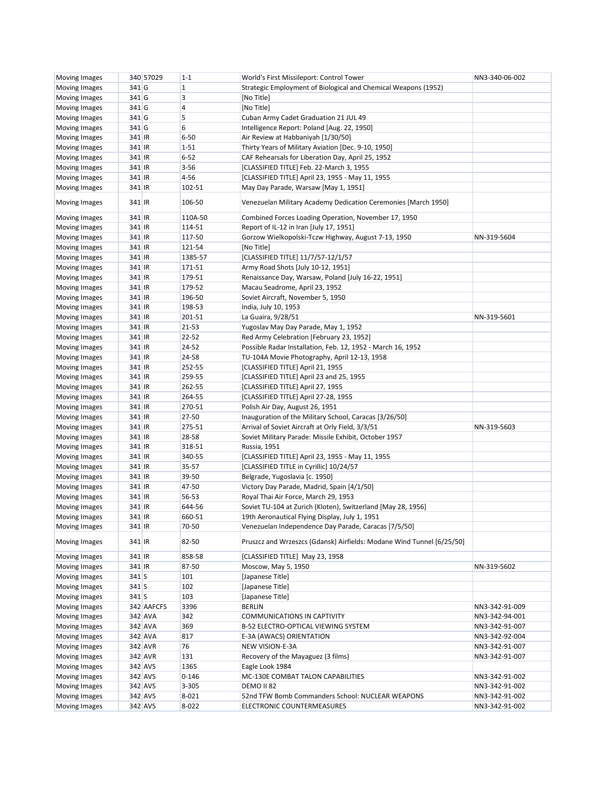| Moving Images        |        | 340 57029  | $1 - 1$        | World's First Missileport: Control Tower                              | NN3-340-06-002 |
|----------------------|--------|------------|----------------|-----------------------------------------------------------------------|----------------|
| <b>Moving Images</b> | 341 G  |            | $\mathbf{1}$   | Strategic Employment of Biological and Chemical Weapons (1952)        |                |
| Moving Images        | 341 G  |            | 3              | [No Title]                                                            |                |
| Moving Images        | 341 G  |            | $\overline{4}$ | [No Title]                                                            |                |
| Moving Images        | 341 G  |            | 5              | Cuban Army Cadet Graduation 21 JUL 49                                 |                |
| Moving Images        | 341 G  |            | 6              | Intelligence Report: Poland [Aug. 22, 1950]                           |                |
| Moving Images        | 341 IR |            | 6-50           | Air Review at Habbaniyah [1/30/50]                                    |                |
| Moving Images        | 341 IR |            | $1 - 51$       | Thirty Years of Military Aviation [Dec. 9-10, 1950]                   |                |
| Moving Images        | 341 IR |            | $6 - 52$       | CAF Rehearsals for Liberation Day, April 25, 1952                     |                |
| Moving Images        | 341 IR |            | 3-56           | [CLASSIFIED TITLE] Feb. 22-March 3, 1955                              |                |
| Moving Images        | 341 IR |            | $4 - 56$       | [CLASSIFIED TITLE] April 23, 1955 - May 11, 1955                      |                |
| Moving Images        | 341 IR |            | 102-51         | May Day Parade, Warsaw [May 1, 1951]                                  |                |
| Moving Images        | 341 IR |            | 106-50         | Venezuelan Military Academy Dedication Ceremonies [March 1950]        |                |
| Moving Images        | 341 IR |            | 110A-50        | Combined Forces Loading Operation, November 17, 1950                  |                |
| Moving Images        | 341 IR |            | 114-51         | Report of IL-12 in Iran [July 17, 1951]                               |                |
| Moving Images        | 341 IR |            | 117-50         | Gorzow Wielkopolski-Tczw Highway, August 7-13, 1950                   | NN-319-5604    |
| Moving Images        | 341 IR |            | 121-54         | [No Title]                                                            |                |
| Moving Images        | 341 IR |            | 1385-57        | [CLASSIFIED TITLE] 11/7/57-12/1/57                                    |                |
| Moving Images        | 341 IR |            | 171-51         | Army Road Shots [July 10-12, 1951]                                    |                |
| Moving Images        | 341 IR |            | 179-51         | Renaissance Day, Warsaw, Poland [July 16-22, 1951]                    |                |
| Moving Images        | 341 IR |            | 179-52         | Macau Seadrome, April 23, 1952                                        |                |
| Moving Images        | 341 IR |            | 196-50         | Soviet Aircraft, November 5, 1950                                     |                |
| Moving Images        | 341 IR |            | 198-53         | India, July 10, 1953                                                  |                |
| Moving Images        | 341 IR |            | 201-51         | La Guaira, 9/28/51                                                    | NN-319-5601    |
| Moving Images        | 341 IR |            | 21-53          | Yugoslav May Day Parade, May 1, 1952                                  |                |
| Moving Images        | 341 IR |            | 22-52          | Red Army Celebration [February 23, 1952]                              |                |
| Moving Images        | 341 IR |            | 24-52          | Possible Radar Installation, Feb. 12, 1952 - March 16, 1952           |                |
| Moving Images        | 341 IR |            | 24-58          | TU-104A Movie Photography, April 12-13, 1958                          |                |
| Moving Images        | 341 IR |            | 252-55         | [CLASSIFIED TITLE] April 21, 1955                                     |                |
| Moving Images        | 341 IR |            | 259-55         | [CLASSIFIED TITLE] April 23 and 25, 1955                              |                |
| Moving Images        | 341 IR |            | 262-55         | [CLASSIFIED TITLE] April 27, 1955                                     |                |
| Moving Images        | 341 IR |            | 264-55         | [CLASSIFIED TITLE] April 27-28, 1955                                  |                |
| Moving Images        | 341 IR |            | 270-51         | Polish Air Day, August 26, 1951                                       |                |
| Moving Images        | 341 IR |            | 27-50          | Inauguration of the Military School, Caracas [3/26/50]                |                |
| Moving Images        | 341 IR |            | 275-51         | Arrival of Soviet Aircraft at Orly Field, 3/3/51                      | NN-319-5603    |
| Moving Images        | 341 IR |            | 28-58          | Soviet Military Parade: Missile Exhibit, October 1957                 |                |
| Moving Images        | 341 IR |            | 318-51         | <b>Russia, 1951</b>                                                   |                |
| Moving Images        | 341 IR |            | 340-55         | [CLASSIFIED TITLE] April 23, 1955 - May 11, 1955                      |                |
| Moving Images        | 341 IR |            | 35-57          | [CLASSIFIED TITLE in Cyrillic] 10/24/57                               |                |
| Moving Images        | 341 IR |            | 39-50          | Belgrade, Yugoslavia [c. 1950]                                        |                |
| Moving Images        | 341 IR |            | 47-50          | Victory Day Parade, Madrid, Spain [4/1/50]                            |                |
| Moving Images        | 341 IR |            | 56-53          | Royal Thai Air Force, March 29, 1953                                  |                |
| Moving Images        | 341 IR |            | 644-56         | Soviet TU-104 at Zurich (Kloten), Switzerland [May 28, 1956]          |                |
| Moving Images        | 341 IR |            | 660-51         | 19th Aeronautical Flying Display, July 1, 1951                        |                |
| Moving Images        | 341 IR |            | 70-50          | Venezuelan Independence Day Parade, Caracas [7/5/50]                  |                |
| Moving Images        | 341 IR |            | 82-50          | Pruszcz and Wrzeszcs (Gdansk) Airfields: Modane Wind Tunnel [6/25/50] |                |
| Moving Images        | 341 IR |            | 858-58         | [CLASSIFIED TITLE] May 23, 1958                                       |                |
| Moving Images        | 341 IR |            | 87-50          | Moscow, May 5, 1950                                                   | NN-319-5602    |
| Moving Images        | 341S   |            | 101            | [Japanese Title]                                                      |                |
| Moving Images        | 341S   |            | 102            | [Japanese Title]                                                      |                |
| Moving Images        | 341S   |            | 103            | [Japanese Title]                                                      |                |
| Moving Images        |        | 342 AAFCFS | 3396           | BERLIN                                                                | NN3-342-91-009 |
| Moving Images        |        | 342 AVA    | 342            | COMMUNICATIONS IN CAPTIVITY                                           | NN3-342-94-001 |
| Moving Images        |        | 342 AVA    | 369            | B-52 ELECTRO-OPTICAL VIEWING SYSTEM                                   | NN3-342-91-007 |
| Moving Images        |        | 342 AVA    | 817            | E-3A (AWACS) ORIENTATION                                              | NN3-342-92-004 |
| Moving Images        |        | 342 AVR    | 76             | NEW VISION-E-3A                                                       | NN3-342-91-007 |
| Moving Images        |        | 342 AVR    | 131            | Recovery of the Mayaguez (3 films)                                    | NN3-342-91-007 |
| Moving Images        |        | 342 AVS    | 1365           | Eagle Look 1984                                                       |                |
| Moving Images        |        | 342 AVS    | $0 - 146$      | MC-130E COMBAT TALON CAPABILITIES                                     | NN3-342-91-002 |
| Moving Images        |        | 342 AVS    | 3-305          | DEMO II 82                                                            | NN3-342-91-002 |
| Moving Images        |        | 342 AVS    | 8-021          | 52nd TFW Bomb Commanders School: NUCLEAR WEAPONS                      | NN3-342-91-002 |
| Moving Images        |        | 342 AVS    | 8-022          | ELECTRONIC COUNTERMEASURES                                            | NN3-342-91-002 |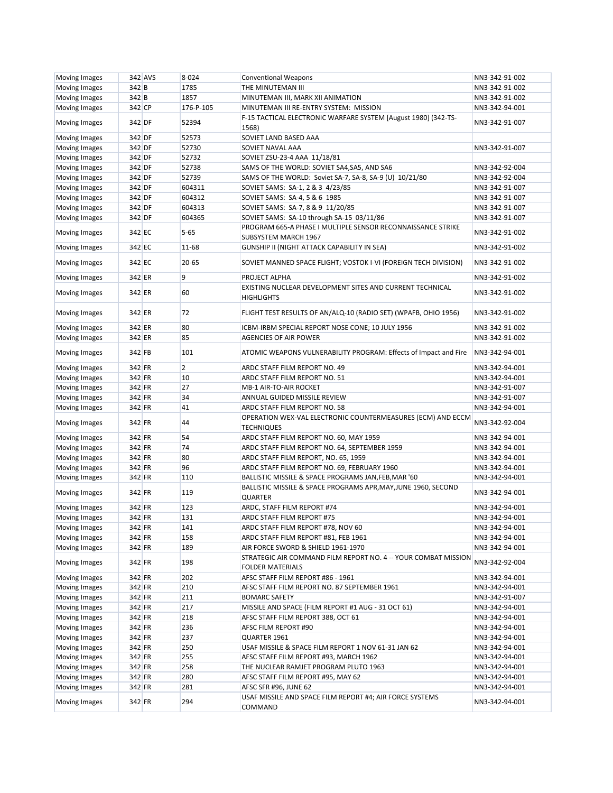| <b>Moving Images</b> |        | 342 AVS | 8-024          | <b>Conventional Weapons</b>                                                               | NN3-342-91-002 |
|----------------------|--------|---------|----------------|-------------------------------------------------------------------------------------------|----------------|
| Moving Images        | 342 B  |         | 1785           | THE MINUTEMAN III                                                                         | NN3-342-91-002 |
| <b>Moving Images</b> | 342 B  |         | 1857           | MINUTEMAN III, MARK XII ANIMATION                                                         | NN3-342-91-002 |
| Moving Images        | 342 CP |         | 176-P-105      | MINUTEMAN III RE-ENTRY SYSTEM: MISSION                                                    | NN3-342-94-001 |
| Moving Images        | 342 DF |         | 52394          | F-15 TACTICAL ELECTRONIC WARFARE SYSTEM [August 1980] (342-TS-<br>1568)                   | NN3-342-91-007 |
| Moving Images        | 342 DF |         | 52573          | SOVIET LAND BASED AAA                                                                     |                |
| Moving Images        | 342 DF |         | 52730          | SOVIET NAVAL AAA                                                                          | NN3-342-91-007 |
| Moving Images        | 342 DF |         | 52732          | SOVIET ZSU-23-4 AAA 11/18/81                                                              |                |
| Moving Images        | 342 DF |         | 52738          | SAMS OF THE WORLD: SOVIET SA4, SA5, AND SA6                                               | NN3-342-92-004 |
| Moving Images        | 342 DF |         | 52739          | SAMS OF THE WORLD: Soviet SA-7, SA-8, SA-9 (U) 10/21/80                                   | NN3-342-92-004 |
| Moving Images        | 342 DF |         | 604311         | SOVIET SAMS: SA-1, 2 & 3 4/23/85                                                          | NN3-342-91-007 |
| Moving Images        | 342 DF |         | 604312         | SOVIET SAMS: SA-4, 5 & 6 1985                                                             | NN3-342-91-007 |
| Moving Images        | 342 DF |         | 604313         | SOVIET SAMS: SA-7, 8 & 9 11/20/85                                                         | NN3-342-91-007 |
| Moving Images        | 342 DF |         | 604365         | SOVIET SAMS: SA-10 through SA-15 03/11/86                                                 | NN3-342-91-007 |
|                      |        |         |                | PROGRAM 665-A PHASE I MULTIPLE SENSOR RECONNAISSANCE STRIKE                               |                |
| Moving Images        | 342 EC |         | $5 - 65$       | SUBSYSTEM MARCH 1967                                                                      | NN3-342-91-002 |
| Moving Images        | 342 EC |         | 11-68          | <b>GUNSHIP II (NIGHT ATTACK CAPABILITY IN SEA)</b>                                        | NN3-342-91-002 |
| Moving Images        | 342 EC |         | $20 - 65$      | SOVIET MANNED SPACE FLIGHT; VOSTOK I-VI (FOREIGN TECH DIVISION)                           | NN3-342-91-002 |
| Moving Images        | 342 ER |         | 9              | PROJECT ALPHA                                                                             | NN3-342-91-002 |
| Moving Images        | 342 ER |         | 60             | EXISTING NUCLEAR DEVELOPMENT SITES AND CURRENT TECHNICAL<br><b>HIGHLIGHTS</b>             | NN3-342-91-002 |
| Moving Images        | 342 ER |         | 72             | FLIGHT TEST RESULTS OF AN/ALQ-10 (RADIO SET) (WPAFB, OHIO 1956)                           | NN3-342-91-002 |
| Moving Images        | 342 ER |         | 80             | ICBM-IRBM SPECIAL REPORT NOSE CONE; 10 JULY 1956                                          | NN3-342-91-002 |
| Moving Images        | 342 ER |         | 85             | <b>AGENCIES OF AIR POWER</b>                                                              | NN3-342-91-002 |
| Moving Images        | 342 FB |         | 101            | ATOMIC WEAPONS VULNERABILITY PROGRAM: Effects of Impact and Fire                          | NN3-342-94-001 |
| Moving Images        | 342 FR |         | $\overline{2}$ | ARDC STAFF FILM REPORT NO. 49                                                             | NN3-342-94-001 |
| Moving Images        | 342 FR |         | 10             | ARDC STAFF FILM REPORT NO. 51                                                             | NN3-342-94-001 |
| Moving Images        | 342 FR |         | 27             | MB-1 AIR-TO-AIR ROCKET                                                                    | NN3-342-91-007 |
| Moving Images        | 342 FR |         | 34             | ANNUAL GUIDED MISSILE REVIEW                                                              | NN3-342-91-007 |
| Moving Images        | 342 FR |         | 41             | ARDC STAFF FILM REPORT NO. 58                                                             | NN3-342-94-001 |
| Moving Images        | 342 FR |         | 44             | OPERATION WEX-VAL ELECTRONIC COUNTERMEASURES (ECM) AND ECCM<br><b>TECHNIQUES</b>          | NN3-342-92-004 |
| Moving Images        | 342 FR |         | 54             | ARDC STAFF FILM REPORT NO. 60, MAY 1959                                                   | NN3-342-94-001 |
| Moving Images        | 342 FR |         | 74             | ARDC STAFF FILM REPORT NO. 64, SEPTEMBER 1959                                             | NN3-342-94-001 |
| <b>Moving Images</b> | 342 FR |         | 80             | ARDC STAFF FILM REPORT, NO. 65, 1959                                                      | NN3-342-94-001 |
| Moving Images        | 342 FR |         | 96             | ARDC STAFF FILM REPORT NO. 69, FEBRUARY 1960                                              | NN3-342-94-001 |
| <b>Moving Images</b> | 342 FR |         | 110            | BALLISTIC MISSILE & SPACE PROGRAMS JAN, FEB, MAR '60                                      | NN3-342-94-001 |
| Moving Images        | 342 FR |         | 119            | BALLISTIC MISSILE & SPACE PROGRAMS APR, MAY, JUNE 1960, SECOND<br><b>QUARTER</b>          | NN3-342-94-001 |
| Moving Images        | 342 FR |         | 123            | ARDC, STAFF FILM REPORT #74                                                               | NN3-342-94-001 |
| <b>Moving Images</b> | 342 FR |         | 131            | ARDC STAFF FILM REPORT #75                                                                | NN3-342-94-001 |
| Moving Images        | 342 FR |         | 141            | ARDC STAFF FILM REPORT #78, NOV 60                                                        | NN3-342-94-001 |
| Moving Images        | 342 FR |         | 158            | ARDC STAFF FILM REPORT #81, FEB 1961                                                      | NN3-342-94-001 |
| <b>Moving Images</b> | 342 FR |         | 189            | AIR FORCE SWORD & SHIELD 1961-1970                                                        | NN3-342-94-001 |
| Moving Images        | 342 FR |         | 198            | STRATEGIC AIR COMMAND FILM REPORT NO. 4 -- YOUR COMBAT MISSION<br><b>FOLDER MATERIALS</b> | NN3-342-92-004 |
| Moving Images        | 342 FR |         | 202            | AFSC STAFF FILM REPORT #86 - 1961                                                         | NN3-342-94-001 |
| Moving Images        | 342 FR |         | 210            | AFSC STAFF FILM REPORT NO. 87 SEPTEMBER 1961                                              | NN3-342-94-001 |
| Moving Images        | 342 FR |         | 211            | <b>BOMARC SAFETY</b>                                                                      | NN3-342-91-007 |
| Moving Images        | 342 FR |         | 217            | MISSILE AND SPACE (FILM REPORT #1 AUG - 31 OCT 61)                                        | NN3-342-94-001 |
| Moving Images        | 342 FR |         | 218            | AFSC STAFF FILM REPORT 388, OCT 61                                                        | NN3-342-94-001 |
| Moving Images        | 342 FR |         | 236            | AFSC FILM REPORT #90                                                                      | NN3-342-94-001 |
| Moving Images        | 342 FR |         | 237            | QUARTER 1961                                                                              | NN3-342-94-001 |
| Moving Images        | 342 FR |         | 250            | USAF MISSILE & SPACE FILM REPORT 1 NOV 61-31 JAN 62                                       | NN3-342-94-001 |
| Moving Images        | 342 FR |         | 255            | AFSC STAFF FILM REPORT #93, MARCH 1962                                                    | NN3-342-94-001 |
| Moving Images        | 342 FR |         | 258            | THE NUCLEAR RAMJET PROGRAM PLUTO 1963                                                     | NN3-342-94-001 |
| Moving Images        | 342 FR |         | 280            | AFSC STAFF FILM REPORT #95, MAY 62                                                        | NN3-342-94-001 |
| Moving Images        | 342 FR |         | 281            | AFSC SFR #96, JUNE 62                                                                     | NN3-342-94-001 |
|                      |        |         |                | USAF MISSILE AND SPACE FILM REPORT #4; AIR FORCE SYSTEMS                                  |                |
| Moving Images        | 342 FR |         | 294            | COMMAND                                                                                   | NN3-342-94-001 |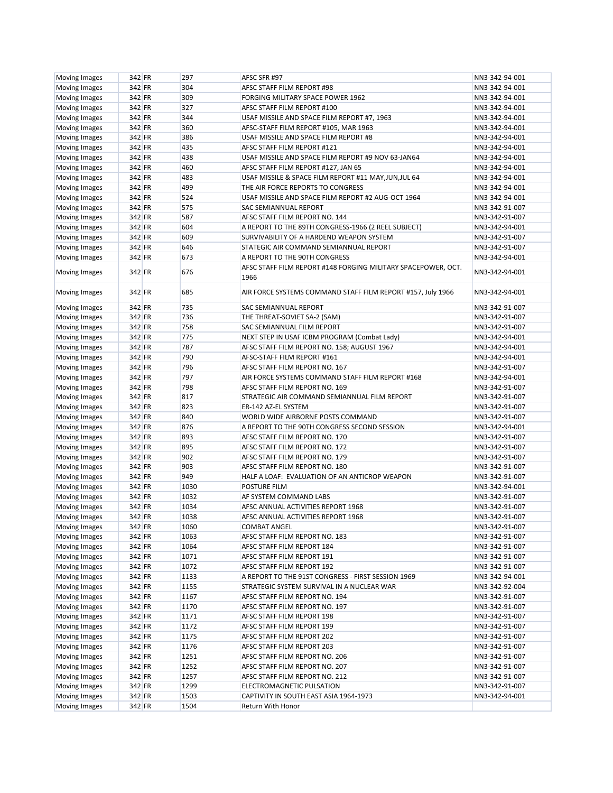| <b>Moving Images</b> | 342 FR | 297  | AFSC SFR #97                                                  | NN3-342-94-001 |
|----------------------|--------|------|---------------------------------------------------------------|----------------|
| Moving Images        | 342 FR | 304  | AFSC STAFF FILM REPORT #98                                    | NN3-342-94-001 |
| <b>Moving Images</b> | 342 FR | 309  | FORGING MILITARY SPACE POWER 1962                             | NN3-342-94-001 |
| <b>Moving Images</b> | 342 FR | 327  | AFSC STAFF FILM REPORT #100                                   | NN3-342-94-001 |
| Moving Images        | 342 FR | 344  | USAF MISSILE AND SPACE FILM REPORT #7, 1963                   | NN3-342-94-001 |
| <b>Moving Images</b> | 342 FR | 360  | AFSC-STAFF FILM REPORT #105, MAR 1963                         | NN3-342-94-001 |
| Moving Images        | 342 FR | 386  | USAF MISSILE AND SPACE FILM REPORT #8                         | NN3-342-94-001 |
| Moving Images        | 342 FR | 435  | AFSC STAFF FILM REPORT #121                                   | NN3-342-94-001 |
| <b>Moving Images</b> | 342 FR | 438  | USAF MISSILE AND SPACE FILM REPORT #9 NOV 63-JAN64            | NN3-342-94-001 |
| Moving Images        | 342 FR | 460  | AFSC STAFF FILM REPORT #127, JAN 65                           | NN3-342-94-001 |
| Moving Images        | 342 FR | 483  | USAF MISSILE & SPACE FILM REPORT #11 MAY, JUN, JUL 64         | NN3-342-94-001 |
| <b>Moving Images</b> | 342 FR | 499  | THE AIR FORCE REPORTS TO CONGRESS                             | NN3-342-94-001 |
| Moving Images        | 342 FR | 524  | USAF MISSILE AND SPACE FILM REPORT #2 AUG-OCT 1964            | NN3-342-94-001 |
| Moving Images        | 342 FR | 575  | <b>SAC SEMIANNUAL REPORT</b>                                  | NN3-342-91-007 |
| Moving Images        | 342 FR | 587  | AFSC STAFF FILM REPORT NO. 144                                | NN3-342-91-007 |
| Moving Images        | 342 FR | 604  | A REPORT TO THE 89TH CONGRESS-1966 (2 REEL SUBJECT)           | NN3-342-94-001 |
| Moving Images        | 342 FR | 609  | SURVIVABILITY OF A HARDEND WEAPON SYSTEM                      | NN3-342-91-007 |
| <b>Moving Images</b> | 342 FR | 646  | STATEGIC AIR COMMAND SEMIANNUAL REPORT                        | NN3-342-91-007 |
| Moving Images        | 342 FR | 673  | A REPORT TO THE 90TH CONGRESS                                 | NN3-342-94-001 |
|                      | 342 FR | 676  | AFSC STAFF FILM REPORT #148 FORGING MILITARY SPACEPOWER, OCT. | NN3-342-94-001 |
| <b>Moving Images</b> |        |      | 1966                                                          |                |
| Moving Images        | 342 FR | 685  | AIR FORCE SYSTEMS COMMAND STAFF FILM REPORT #157, July 1966   | NN3-342-94-001 |
| Moving Images        | 342 FR | 735  | SAC SEMIANNUAL REPORT                                         | NN3-342-91-007 |
| Moving Images        | 342 FR | 736  | THE THREAT-SOVIET SA-2 (SAM)                                  | NN3-342-91-007 |
| <b>Moving Images</b> | 342 FR | 758  | SAC SEMIANNUAL FILM REPORT                                    | NN3-342-91-007 |
| Moving Images        | 342 FR | 775  | NEXT STEP IN USAF ICBM PROGRAM (Combat Lady)                  | NN3-342-94-001 |
| Moving Images        | 342 FR | 787  | AFSC STAFF FILM REPORT NO. 158; AUGUST 1967                   | NN3-342-94-001 |
| <b>Moving Images</b> | 342 FR | 790  | AFSC-STAFF FILM REPORT #161                                   | NN3-342-94-001 |
| <b>Moving Images</b> | 342 FR | 796  | AFSC STAFF FILM REPORT NO. 167                                | NN3-342-91-007 |
| Moving Images        | 342 FR | 797  | AIR FORCE SYSTEMS COMMAND STAFF FILM REPORT #168              | NN3-342-94-001 |
| <b>Moving Images</b> | 342 FR | 798  | AFSC STAFF FILM REPORT NO. 169                                | NN3-342-91-007 |
| Moving Images        | 342 FR | 817  | STRATEGIC AIR COMMAND SEMIANNUAL FILM REPORT                  | NN3-342-91-007 |
| Moving Images        | 342 FR | 823  | ER-142 AZ-EL SYSTEM                                           | NN3-342-91-007 |
| Moving Images        | 342 FR | 840  | WORLD WIDE AIRBORNE POSTS COMMAND                             | NN3-342-91-007 |
| <b>Moving Images</b> | 342 FR | 876  | A REPORT TO THE 90TH CONGRESS SECOND SESSION                  | NN3-342-94-001 |
| Moving Images        | 342 FR | 893  | AFSC STAFF FILM REPORT NO. 170                                | NN3-342-91-007 |
| Moving Images        | 342 FR | 895  | AFSC STAFF FILM REPORT NO. 172                                | NN3-342-91-007 |
| <b>Moving Images</b> | 342 FR | 902  | AFSC STAFF FILM REPORT NO. 179                                | NN3-342-91-007 |
| Moving Images        | 342 FR | 903  | AFSC STAFF FILM REPORT NO. 180                                | NN3-342-91-007 |
| Moving Images        | 342 FR | 949  | HALF A LOAF: EVALUATION OF AN ANTICROP WEAPON                 | NN3-342-91-007 |
| <b>Moving Images</b> | 342 FR | 1030 | <b>POSTURE FILM</b>                                           | NN3-342-94-001 |
| Moving Images        | 342 FR | 1032 | AF SYSTEM COMMAND LABS                                        | NN3-342-91-007 |
| Moving Images        | 342 FR | 1034 | AFSC ANNUAL ACTIVITIES REPORT 1968                            | NN3-342-91-007 |
| Moving Images        | 342 FR | 1038 | AFSC ANNUAL ACTIVITIES REPORT 1968                            | NN3-342-91-007 |
| Moving Images        | 342 FR | 1060 | <b>COMBAT ANGEL</b>                                           | NN3-342-91-007 |
| Moving Images        | 342 FR | 1063 | AFSC STAFF FILM REPORT NO. 183                                | NN3-342-91-007 |
| Moving Images        | 342 FR | 1064 | AFSC STAFF FILM REPORT 184                                    | NN3-342-91-007 |
| Moving Images        | 342 FR | 1071 | AFSC STAFF FILM REPORT 191                                    | NN3-342-91-007 |
| Moving Images        | 342 FR | 1072 | AFSC STAFF FILM REPORT 192                                    | NN3-342-91-007 |
| Moving Images        | 342 FR | 1133 | A REPORT TO THE 91ST CONGRESS - FIRST SESSION 1969            | NN3-342-94-001 |
| <b>Moving Images</b> | 342 FR | 1155 | STRATEGIC SYSTEM SURVIVAL IN A NUCLEAR WAR                    | NN3-342-92-004 |
| Moving Images        | 342 FR | 1167 | AFSC STAFF FILM REPORT NO. 194                                | NN3-342-91-007 |
| Moving Images        | 342 FR | 1170 | AFSC STAFF FILM REPORT NO. 197                                | NN3-342-91-007 |
| Moving Images        | 342 FR | 1171 | AFSC STAFF FILM REPORT 198                                    | NN3-342-91-007 |
| Moving Images        | 342 FR | 1172 | AFSC STAFF FILM REPORT 199                                    | NN3-342-91-007 |
| Moving Images        | 342 FR | 1175 | AFSC STAFF FILM REPORT 202                                    | NN3-342-91-007 |
| Moving Images        | 342 FR | 1176 | AFSC STAFF FILM REPORT 203                                    | NN3-342-91-007 |
| Moving Images        | 342 FR | 1251 | AFSC STAFF FILM REPORT NO. 206                                | NN3-342-91-007 |
| Moving Images        | 342 FR | 1252 | AFSC STAFF FILM REPORT NO. 207                                | NN3-342-91-007 |
| Moving Images        | 342 FR | 1257 | AFSC STAFF FILM REPORT NO. 212                                | NN3-342-91-007 |
| <b>Moving Images</b> | 342 FR | 1299 | ELECTROMAGNETIC PULSATION                                     | NN3-342-91-007 |
| Moving Images        | 342 FR | 1503 | CAPTIVITY IN SOUTH EAST ASIA 1964-1973                        | NN3-342-94-001 |
| <b>Moving Images</b> | 342 FR | 1504 | Return With Honor                                             |                |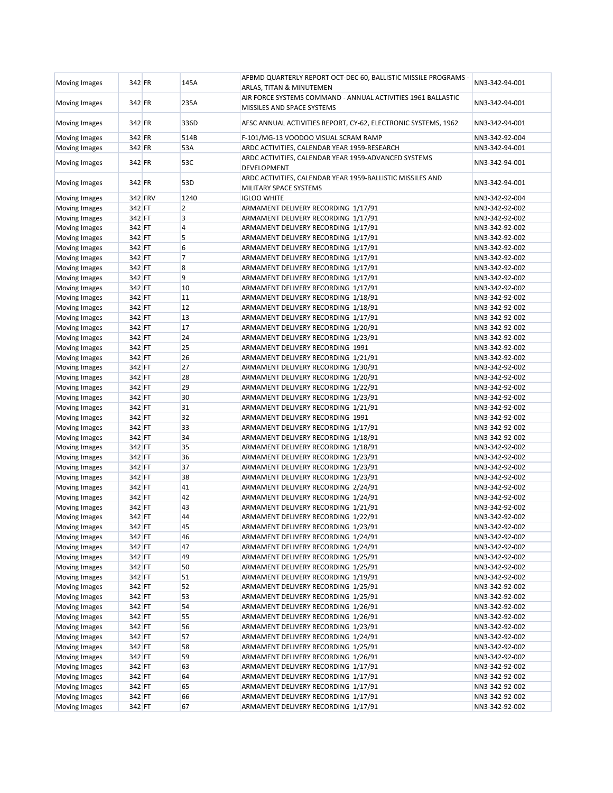| Moving Images        | 342 FR  | 145A           | AFBMD QUARTERLY REPORT OCT-DEC 60, BALLISTIC MISSILE PROGRAMS -<br>ARLAS, TITAN & MINUTEMEN | NN3-342-94-001 |
|----------------------|---------|----------------|---------------------------------------------------------------------------------------------|----------------|
|                      |         |                | AIR FORCE SYSTEMS COMMAND - ANNUAL ACTIVITIES 1961 BALLASTIC                                |                |
| Moving Images        | 342 FR  | 235A           | MISSILES AND SPACE SYSTEMS                                                                  | NN3-342-94-001 |
| Moving Images        | 342 FR  | 336D           | AFSC ANNUAL ACTIVITIES REPORT, CY-62, ELECTRONIC SYSTEMS, 1962                              | NN3-342-94-001 |
| Moving Images        | 342 FR  | 514B           | F-101/MG-13 VOODOO VISUAL SCRAM RAMP                                                        | NN3-342-92-004 |
| Moving Images        | 342 FR  | 53A            | ARDC ACTIVITIES, CALENDAR YEAR 1959-RESEARCH                                                | NN3-342-94-001 |
|                      |         |                | ARDC ACTIVITIES, CALENDAR YEAR 1959-ADVANCED SYSTEMS                                        |                |
| Moving Images        | 342 FR  | 53C            | DEVELOPMENT                                                                                 | NN3-342-94-001 |
| Moving Images        | 342 FR  | 53D            | ARDC ACTIVITIES, CALENDAR YEAR 1959-BALLISTIC MISSILES AND<br>MILITARY SPACE SYSTEMS        | NN3-342-94-001 |
| Moving Images        | 342 FRV | 1240           | <b>IGLOO WHITE</b>                                                                          | NN3-342-92-004 |
| Moving Images        | 342 FT  | $\overline{2}$ | ARMAMENT DELIVERY RECORDING 1/17/91                                                         | NN3-342-92-002 |
| Moving Images        | 342 FT  | 3              | ARMAMENT DELIVERY RECORDING 1/17/91                                                         | NN3-342-92-002 |
| Moving Images        | 342 FT  | $\overline{4}$ | ARMAMENT DELIVERY RECORDING 1/17/91                                                         | NN3-342-92-002 |
| Moving Images        | 342 FT  | 5              | ARMAMENT DELIVERY RECORDING 1/17/91                                                         | NN3-342-92-002 |
| Moving Images        | 342 FT  | 6              | ARMAMENT DELIVERY RECORDING 1/17/91                                                         | NN3-342-92-002 |
| Moving Images        | 342 FT  | 7              | ARMAMENT DELIVERY RECORDING 1/17/91                                                         | NN3-342-92-002 |
| Moving Images        | 342 FT  | 8              | ARMAMENT DELIVERY RECORDING 1/17/91                                                         | NN3-342-92-002 |
| Moving Images        | 342 FT  | 9              | ARMAMENT DELIVERY RECORDING 1/17/91                                                         | NN3-342-92-002 |
| Moving Images        | 342 FT  | 10             | ARMAMENT DELIVERY RECORDING 1/17/91                                                         | NN3-342-92-002 |
| Moving Images        | 342 FT  | 11             | ARMAMENT DELIVERY RECORDING 1/18/91                                                         | NN3-342-92-002 |
| Moving Images        | 342 FT  | 12             | ARMAMENT DELIVERY RECORDING 1/18/91                                                         | NN3-342-92-002 |
| Moving Images        | 342 FT  | 13             | ARMAMENT DELIVERY RECORDING 1/17/91                                                         | NN3-342-92-002 |
|                      | 342 FT  | 17             | ARMAMENT DELIVERY RECORDING 1/20/91                                                         | NN3-342-92-002 |
| Moving Images        | 342 FT  | 24             | ARMAMENT DELIVERY RECORDING 1/23/91                                                         |                |
| <b>Moving Images</b> |         | 25             |                                                                                             | NN3-342-92-002 |
| Moving Images        | 342 FT  |                | ARMAMENT DELIVERY RECORDING 1991                                                            | NN3-342-92-002 |
| Moving Images        | 342 FT  | 26             | ARMAMENT DELIVERY RECORDING 1/21/91                                                         | NN3-342-92-002 |
| <b>Moving Images</b> | 342 FT  | 27             | ARMAMENT DELIVERY RECORDING 1/30/91                                                         | NN3-342-92-002 |
| <b>Moving Images</b> | 342 FT  | 28             | ARMAMENT DELIVERY RECORDING 1/20/91                                                         | NN3-342-92-002 |
| Moving Images        | 342 FT  | 29             | ARMAMENT DELIVERY RECORDING 1/22/91                                                         | NN3-342-92-002 |
| Moving Images        | 342 FT  | 30             | ARMAMENT DELIVERY RECORDING 1/23/91                                                         | NN3-342-92-002 |
| Moving Images        | 342 FT  | 31             | ARMAMENT DELIVERY RECORDING 1/21/91                                                         | NN3-342-92-002 |
| Moving Images        | 342 FT  | 32             | ARMAMENT DELIVERY RECORDING 1991                                                            | NN3-342-92-002 |
| Moving Images        | 342 FT  | 33             | ARMAMENT DELIVERY RECORDING 1/17/91                                                         | NN3-342-92-002 |
| Moving Images        | 342 FT  | 34             | ARMAMENT DELIVERY RECORDING 1/18/91                                                         | NN3-342-92-002 |
| Moving Images        | 342 FT  | 35             | ARMAMENT DELIVERY RECORDING 1/18/91                                                         | NN3-342-92-002 |
| Moving Images        | 342 FT  | 36             | ARMAMENT DELIVERY RECORDING 1/23/91                                                         | NN3-342-92-002 |
| Moving Images        | 342 FT  | 37             | ARMAMENT DELIVERY RECORDING 1/23/91                                                         | NN3-342-92-002 |
| Moving Images        | 342 FT  | 38             | ARMAMENT DELIVERY RECORDING 1/23/91                                                         | NN3-342-92-002 |
| Moving Images        | 342 FT  | 41             | ARMAMENT DELIVERY RECORDING 2/24/91                                                         | NN3-342-92-002 |
| Moving Images        | 342 FT  | 42             | ARMAMENT DELIVERY RECORDING 1/24/91                                                         | NN3-342-92-002 |
| Moving Images        | 342 FT  | 43             | ARMAMENT DELIVERY RECORDING 1/21/91                                                         | NN3-342-92-002 |
| Moving Images        | 342 FT  | 44             | ARMAMENT DELIVERY RECORDING 1/22/91                                                         | NN3-342-92-002 |
| <b>Moving Images</b> | 342 FT  | 45             | ARMAMENT DELIVERY RECORDING 1/23/91                                                         | NN3-342-92-002 |
| Moving Images        | 342 FT  | 46             | ARMAMENT DELIVERY RECORDING 1/24/91                                                         | NN3-342-92-002 |
| Moving Images        | 342 FT  | 47             | ARMAMENT DELIVERY RECORDING 1/24/91                                                         | NN3-342-92-002 |
| Moving Images        | 342 FT  | 49             | ARMAMENT DELIVERY RECORDING 1/25/91                                                         | NN3-342-92-002 |
| Moving Images        | 342 FT  | 50             | ARMAMENT DELIVERY RECORDING 1/25/91                                                         | NN3-342-92-002 |
| Moving Images        | 342 FT  | 51             | ARMAMENT DELIVERY RECORDING 1/19/91                                                         | NN3-342-92-002 |
| Moving Images        | 342 FT  | 52             | ARMAMENT DELIVERY RECORDING 1/25/91                                                         | NN3-342-92-002 |
| Moving Images        | 342 FT  | 53             | ARMAMENT DELIVERY RECORDING 1/25/91                                                         | NN3-342-92-002 |
| Moving Images        | 342 FT  | 54             | ARMAMENT DELIVERY RECORDING 1/26/91                                                         | NN3-342-92-002 |
| Moving Images        | 342 FT  | 55             | ARMAMENT DELIVERY RECORDING 1/26/91                                                         | NN3-342-92-002 |
| Moving Images        | 342 FT  | 56             | ARMAMENT DELIVERY RECORDING 1/23/91                                                         | NN3-342-92-002 |
| Moving Images        | 342 FT  | 57             | ARMAMENT DELIVERY RECORDING 1/24/91                                                         | NN3-342-92-002 |
| Moving Images        | 342 FT  | 58             | ARMAMENT DELIVERY RECORDING 1/25/91                                                         | NN3-342-92-002 |
| Moving Images        | 342 FT  | 59             | ARMAMENT DELIVERY RECORDING 1/26/91                                                         | NN3-342-92-002 |
| Moving Images        | 342 FT  | 63             | ARMAMENT DELIVERY RECORDING 1/17/91                                                         | NN3-342-92-002 |
| Moving Images        | 342 FT  | 64             | ARMAMENT DELIVERY RECORDING 1/17/91                                                         | NN3-342-92-002 |
| Moving Images        | 342 FT  | 65             | ARMAMENT DELIVERY RECORDING 1/17/91                                                         | NN3-342-92-002 |
| Moving Images        | 342 FT  | 66             | ARMAMENT DELIVERY RECORDING 1/17/91                                                         | NN3-342-92-002 |
| Moving Images        | 342 FT  | 67             | ARMAMENT DELIVERY RECORDING 1/17/91                                                         | NN3-342-92-002 |
|                      |         |                |                                                                                             |                |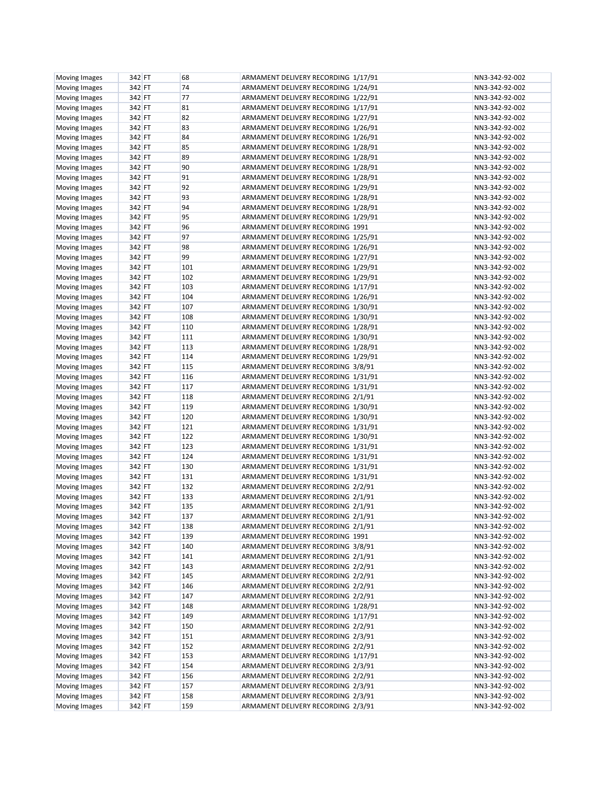| <b>Moving Images</b> | 342 FT | 68  | ARMAMENT DELIVERY RECORDING 1/17/91                                        | NN3-342-92-002 |
|----------------------|--------|-----|----------------------------------------------------------------------------|----------------|
| Moving Images        | 342 FT | 74  | ARMAMENT DELIVERY RECORDING 1/24/91                                        | NN3-342-92-002 |
| Moving Images        | 342 FT | 77  | ARMAMENT DELIVERY RECORDING 1/22/91                                        | NN3-342-92-002 |
| <b>Moving Images</b> | 342 FT | 81  | ARMAMENT DELIVERY RECORDING 1/17/91                                        | NN3-342-92-002 |
| Moving Images        | 342 FT | 82  | ARMAMENT DELIVERY RECORDING 1/27/91                                        | NN3-342-92-002 |
| Moving Images        | 342 FT | 83  | ARMAMENT DELIVERY RECORDING 1/26/91                                        | NN3-342-92-002 |
| <b>Moving Images</b> | 342 FT | 84  | ARMAMENT DELIVERY RECORDING 1/26/91                                        | NN3-342-92-002 |
| <b>Moving Images</b> | 342 FT | 85  | ARMAMENT DELIVERY RECORDING 1/28/91                                        | NN3-342-92-002 |
| Moving Images        | 342 FT | 89  | ARMAMENT DELIVERY RECORDING 1/28/91                                        | NN3-342-92-002 |
| <b>Moving Images</b> | 342 FT | 90  | ARMAMENT DELIVERY RECORDING 1/28/91                                        | NN3-342-92-002 |
| Moving Images        | 342 FT | 91  | ARMAMENT DELIVERY RECORDING 1/28/91                                        | NN3-342-92-002 |
| Moving Images        | 342 FT | 92  | ARMAMENT DELIVERY RECORDING 1/29/91                                        | NN3-342-92-002 |
| <b>Moving Images</b> | 342 FT | 93  | ARMAMENT DELIVERY RECORDING 1/28/91                                        | NN3-342-92-002 |
| Moving Images        | 342 FT | 94  | ARMAMENT DELIVERY RECORDING 1/28/91                                        | NN3-342-92-002 |
| <b>Moving Images</b> | 342 FT | 95  | ARMAMENT DELIVERY RECORDING 1/29/91                                        | NN3-342-92-002 |
| Moving Images        | 342 FT | 96  | ARMAMENT DELIVERY RECORDING 1991                                           | NN3-342-92-002 |
| <b>Moving Images</b> | 342 FT | 97  | ARMAMENT DELIVERY RECORDING 1/25/91                                        | NN3-342-92-002 |
|                      | 342 FT | 98  | ARMAMENT DELIVERY RECORDING 1/26/91                                        | NN3-342-92-002 |
| <b>Moving Images</b> | 342 FT | 99  | ARMAMENT DELIVERY RECORDING 1/27/91                                        | NN3-342-92-002 |
| <b>Moving Images</b> | 342 FT | 101 |                                                                            | NN3-342-92-002 |
| <b>Moving Images</b> | 342 FT | 102 | ARMAMENT DELIVERY RECORDING 1/29/91<br>ARMAMENT DELIVERY RECORDING 1/29/91 | NN3-342-92-002 |
| Moving Images        |        |     | ARMAMENT DELIVERY RECORDING 1/17/91                                        | NN3-342-92-002 |
| Moving Images        | 342 FT | 103 |                                                                            |                |
| <b>Moving Images</b> | 342 FT | 104 | ARMAMENT DELIVERY RECORDING 1/26/91                                        | NN3-342-92-002 |
| <b>Moving Images</b> | 342 FT | 107 | ARMAMENT DELIVERY RECORDING 1/30/91                                        | NN3-342-92-002 |
| Moving Images        | 342 FT | 108 | ARMAMENT DELIVERY RECORDING 1/30/91                                        | NN3-342-92-002 |
| <b>Moving Images</b> | 342 FT | 110 | ARMAMENT DELIVERY RECORDING 1/28/91                                        | NN3-342-92-002 |
| <b>Moving Images</b> | 342 FT | 111 | ARMAMENT DELIVERY RECORDING 1/30/91                                        | NN3-342-92-002 |
| Moving Images        | 342 FT | 113 | ARMAMENT DELIVERY RECORDING 1/28/91                                        | NN3-342-92-002 |
| Moving Images        | 342 FT | 114 | ARMAMENT DELIVERY RECORDING 1/29/91                                        | NN3-342-92-002 |
| Moving Images        | 342 FT | 115 | ARMAMENT DELIVERY RECORDING 3/8/91                                         | NN3-342-92-002 |
| Moving Images        | 342 FT | 116 | ARMAMENT DELIVERY RECORDING 1/31/91                                        | NN3-342-92-002 |
| Moving Images        | 342 FT | 117 | ARMAMENT DELIVERY RECORDING 1/31/91                                        | NN3-342-92-002 |
| Moving Images        | 342 FT | 118 | ARMAMENT DELIVERY RECORDING 2/1/91                                         | NN3-342-92-002 |
| Moving Images        | 342 FT | 119 | ARMAMENT DELIVERY RECORDING 1/30/91                                        | NN3-342-92-002 |
| Moving Images        | 342 FT | 120 | ARMAMENT DELIVERY RECORDING 1/30/91                                        | NN3-342-92-002 |
| Moving Images        | 342 FT | 121 | ARMAMENT DELIVERY RECORDING 1/31/91                                        | NN3-342-92-002 |
| Moving Images        | 342 FT | 122 | ARMAMENT DELIVERY RECORDING 1/30/91                                        | NN3-342-92-002 |
| <b>Moving Images</b> | 342 FT | 123 | ARMAMENT DELIVERY RECORDING 1/31/91                                        | NN3-342-92-002 |
| Moving Images        | 342 FT | 124 | ARMAMENT DELIVERY RECORDING 1/31/91                                        | NN3-342-92-002 |
| Moving Images        | 342 FT | 130 | ARMAMENT DELIVERY RECORDING 1/31/91                                        | NN3-342-92-002 |
| Moving Images        | 342 FT | 131 | ARMAMENT DELIVERY RECORDING 1/31/91                                        | NN3-342-92-002 |
| Moving Images        | 342 FT | 132 | ARMAMENT DELIVERY RECORDING 2/2/91                                         | NN3-342-92-002 |
| Moving Images        | 342 FT | 133 | ARMAMENT DELIVERY RECORDING 2/1/91                                         | NN3-342-92-002 |
| Moving Images        | 342 FT | 135 | ARMAMENT DELIVERY RECORDING 2/1/91                                         | NN3-342-92-002 |
| Moving Images        | 342 FT | 137 | ARMAMENT DELIVERY RECORDING 2/1/91                                         | NN3-342-92-002 |
| Moving Images        | 342 FT | 138 | ARMAMENT DELIVERY RECORDING 2/1/91                                         | NN3-342-92-002 |
| Moving Images        | 342 FT | 139 | ARMAMENT DELIVERY RECORDING 1991                                           | NN3-342-92-002 |
| Moving Images        | 342 FT | 140 | ARMAMENT DELIVERY RECORDING 3/8/91                                         | NN3-342-92-002 |
| Moving Images        | 342 FT | 141 | ARMAMENT DELIVERY RECORDING 2/1/91                                         | NN3-342-92-002 |
| Moving Images        | 342 FT | 143 | ARMAMENT DELIVERY RECORDING 2/2/91                                         | NN3-342-92-002 |
| Moving Images        | 342 FT | 145 | ARMAMENT DELIVERY RECORDING 2/2/91                                         | NN3-342-92-002 |
| Moving Images        | 342 FT | 146 | ARMAMENT DELIVERY RECORDING 2/2/91                                         | NN3-342-92-002 |
| Moving Images        | 342 FT | 147 | ARMAMENT DELIVERY RECORDING 2/2/91                                         | NN3-342-92-002 |
| Moving Images        | 342 FT | 148 | ARMAMENT DELIVERY RECORDING 1/28/91                                        | NN3-342-92-002 |
| Moving Images        | 342 FT | 149 | ARMAMENT DELIVERY RECORDING 1/17/91                                        | NN3-342-92-002 |
| Moving Images        | 342 FT | 150 | ARMAMENT DELIVERY RECORDING 2/2/91                                         | NN3-342-92-002 |
| Moving Images        | 342 FT | 151 | ARMAMENT DELIVERY RECORDING 2/3/91                                         | NN3-342-92-002 |
| Moving Images        | 342 FT | 152 | ARMAMENT DELIVERY RECORDING 2/2/91                                         | NN3-342-92-002 |
| Moving Images        | 342 FT | 153 | ARMAMENT DELIVERY RECORDING 1/17/91                                        | NN3-342-92-002 |
| Moving Images        | 342 FT | 154 | ARMAMENT DELIVERY RECORDING 2/3/91                                         | NN3-342-92-002 |
| Moving Images        | 342 FT | 156 | ARMAMENT DELIVERY RECORDING 2/2/91                                         | NN3-342-92-002 |
| Moving Images        | 342 FT | 157 | ARMAMENT DELIVERY RECORDING 2/3/91                                         | NN3-342-92-002 |
| Moving Images        | 342 FT | 158 | ARMAMENT DELIVERY RECORDING 2/3/91                                         | NN3-342-92-002 |
| Moving Images        | 342 FT | 159 | ARMAMENT DELIVERY RECORDING 2/3/91                                         | NN3-342-92-002 |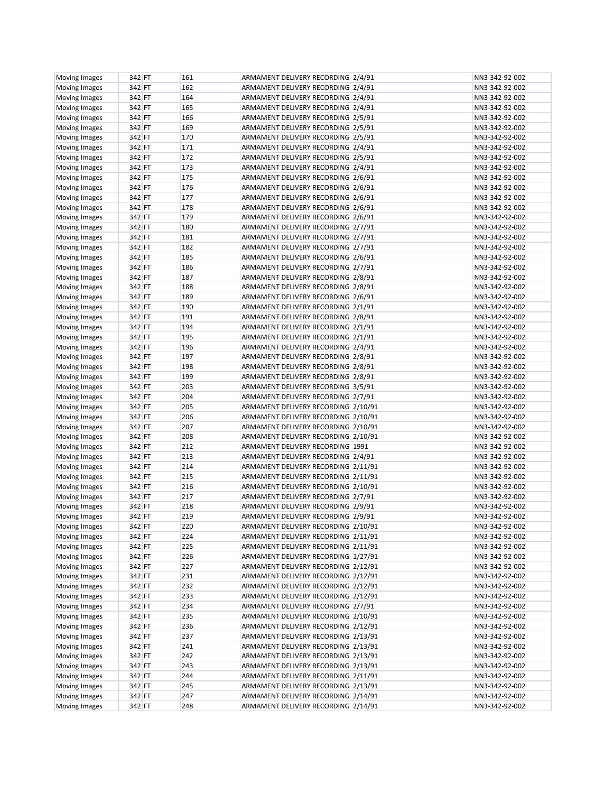| Moving Images        | 342 FT | 161 | ARMAMENT DELIVERY RECORDING 2/4/91  | NN3-342-92-002 |
|----------------------|--------|-----|-------------------------------------|----------------|
| Moving Images        | 342 FT | 162 | ARMAMENT DELIVERY RECORDING 2/4/91  | NN3-342-92-002 |
| Moving Images        | 342 FT | 164 | ARMAMENT DELIVERY RECORDING 2/4/91  | NN3-342-92-002 |
| Moving Images        | 342 FT | 165 | ARMAMENT DELIVERY RECORDING 2/4/91  | NN3-342-92-002 |
| Moving Images        | 342 FT | 166 | ARMAMENT DELIVERY RECORDING 2/5/91  | NN3-342-92-002 |
| Moving Images        | 342 FT | 169 | ARMAMENT DELIVERY RECORDING 2/5/91  | NN3-342-92-002 |
| Moving Images        | 342 FT | 170 | ARMAMENT DELIVERY RECORDING 2/5/91  | NN3-342-92-002 |
| Moving Images        | 342 FT | 171 | ARMAMENT DELIVERY RECORDING 2/4/91  | NN3-342-92-002 |
| Moving Images        | 342 FT | 172 | ARMAMENT DELIVERY RECORDING 2/5/91  | NN3-342-92-002 |
| Moving Images        | 342 FT | 173 | ARMAMENT DELIVERY RECORDING 2/4/91  | NN3-342-92-002 |
| Moving Images        | 342 FT | 175 | ARMAMENT DELIVERY RECORDING 2/6/91  | NN3-342-92-002 |
| Moving Images        | 342 FT | 176 | ARMAMENT DELIVERY RECORDING 2/6/91  | NN3-342-92-002 |
| Moving Images        | 342 FT | 177 | ARMAMENT DELIVERY RECORDING 2/6/91  | NN3-342-92-002 |
| Moving Images        | 342 FT | 178 | ARMAMENT DELIVERY RECORDING 2/6/91  | NN3-342-92-002 |
|                      |        |     |                                     |                |
| Moving Images        | 342 FT | 179 | ARMAMENT DELIVERY RECORDING 2/6/91  | NN3-342-92-002 |
| Moving Images        | 342 FT | 180 | ARMAMENT DELIVERY RECORDING 2/7/91  | NN3-342-92-002 |
| Moving Images        | 342 FT | 181 | ARMAMENT DELIVERY RECORDING 2/7/91  | NN3-342-92-002 |
| Moving Images        | 342 FT | 182 | ARMAMENT DELIVERY RECORDING 2/7/91  | NN3-342-92-002 |
| Moving Images        | 342 FT | 185 | ARMAMENT DELIVERY RECORDING 2/6/91  | NN3-342-92-002 |
| Moving Images        | 342 FT | 186 | ARMAMENT DELIVERY RECORDING 2/7/91  | NN3-342-92-002 |
| Moving Images        | 342 FT | 187 | ARMAMENT DELIVERY RECORDING 2/8/91  | NN3-342-92-002 |
| Moving Images        | 342 FT | 188 | ARMAMENT DELIVERY RECORDING 2/8/91  | NN3-342-92-002 |
| Moving Images        | 342 FT | 189 | ARMAMENT DELIVERY RECORDING 2/6/91  | NN3-342-92-002 |
| Moving Images        | 342 FT | 190 | ARMAMENT DELIVERY RECORDING 2/1/91  | NN3-342-92-002 |
| Moving Images        | 342 FT | 191 | ARMAMENT DELIVERY RECORDING 2/8/91  | NN3-342-92-002 |
| Moving Images        | 342 FT | 194 | ARMAMENT DELIVERY RECORDING 2/1/91  | NN3-342-92-002 |
| Moving Images        | 342 FT | 195 | ARMAMENT DELIVERY RECORDING 2/1/91  | NN3-342-92-002 |
| Moving Images        | 342 FT | 196 | ARMAMENT DELIVERY RECORDING 2/4/91  | NN3-342-92-002 |
| Moving Images        | 342 FT | 197 | ARMAMENT DELIVERY RECORDING 2/8/91  | NN3-342-92-002 |
| Moving Images        | 342 FT | 198 | ARMAMENT DELIVERY RECORDING 2/8/91  | NN3-342-92-002 |
| Moving Images        | 342 FT | 199 | ARMAMENT DELIVERY RECORDING 2/8/91  | NN3-342-92-002 |
| Moving Images        | 342 FT | 203 | ARMAMENT DELIVERY RECORDING 3/5/91  | NN3-342-92-002 |
| Moving Images        | 342 FT | 204 | ARMAMENT DELIVERY RECORDING 2/7/91  | NN3-342-92-002 |
| Moving Images        | 342 FT | 205 | ARMAMENT DELIVERY RECORDING 2/10/91 | NN3-342-92-002 |
| Moving Images        | 342 FT | 206 | ARMAMENT DELIVERY RECORDING 2/10/91 | NN3-342-92-002 |
| Moving Images        | 342 FT | 207 | ARMAMENT DELIVERY RECORDING 2/10/91 | NN3-342-92-002 |
| Moving Images        | 342 FT | 208 | ARMAMENT DELIVERY RECORDING 2/10/91 | NN3-342-92-002 |
| Moving Images        | 342 FT | 212 | ARMAMENT DELIVERY RECORDING 1991    | NN3-342-92-002 |
| Moving Images        | 342 FT | 213 | ARMAMENT DELIVERY RECORDING 2/4/91  | NN3-342-92-002 |
| Moving Images        | 342 FT | 214 | ARMAMENT DELIVERY RECORDING 2/11/91 | NN3-342-92-002 |
| Moving Images        | 342 FT | 215 | ARMAMENT DELIVERY RECORDING 2/11/91 | NN3-342-92-002 |
| Moving Images        | 342 FT | 216 | ARMAMENT DELIVERY RECORDING 2/10/91 | NN3-342-92-002 |
| Moving Images        | 342 FT | 217 | ARMAMENT DELIVERY RECORDING 2/7/91  | NN3-342-92-002 |
| Moving Images        | 342 FT | 218 | ARMAMENT DELIVERY RECORDING 2/9/91  | NN3-342-92-002 |
| Moving Images        | 342 FT | 219 | ARMAMENT DELIVERY RECORDING 2/9/91  | NN3-342-92-002 |
| <b>Moving Images</b> | 342 FT | 220 | ARMAMENT DELIVERY RECORDING 2/10/91 | NN3-342-92-002 |
| <b>Moving Images</b> | 342 FT | 224 | ARMAMENT DELIVERY RECORDING 2/11/91 | NN3-342-92-002 |
| Moving Images        | 342 FT | 225 | ARMAMENT DELIVERY RECORDING 2/11/91 | NN3-342-92-002 |
| Moving Images        | 342 FT | 226 | ARMAMENT DELIVERY RECORDING 1/27/91 | NN3-342-92-002 |
| Moving Images        | 342 FT | 227 | ARMAMENT DELIVERY RECORDING 2/12/91 | NN3-342-92-002 |
| Moving Images        | 342 FT | 231 | ARMAMENT DELIVERY RECORDING 2/12/91 | NN3-342-92-002 |
| Moving Images        | 342 FT | 232 | ARMAMENT DELIVERY RECORDING 2/12/91 | NN3-342-92-002 |
| Moving Images        | 342 FT | 233 | ARMAMENT DELIVERY RECORDING 2/12/91 | NN3-342-92-002 |
| Moving Images        | 342 FT | 234 | ARMAMENT DELIVERY RECORDING 2/7/91  | NN3-342-92-002 |
| Moving Images        | 342 FT | 235 | ARMAMENT DELIVERY RECORDING 2/10/91 | NN3-342-92-002 |
| Moving Images        | 342 FT | 236 | ARMAMENT DELIVERY RECORDING 2/12/91 | NN3-342-92-002 |
| Moving Images        | 342 FT | 237 | ARMAMENT DELIVERY RECORDING 2/13/91 | NN3-342-92-002 |
|                      |        | 241 |                                     |                |
| Moving Images        | 342 FT |     | ARMAMENT DELIVERY RECORDING 2/13/91 | NN3-342-92-002 |
| Moving Images        | 342 FT | 242 | ARMAMENT DELIVERY RECORDING 2/13/91 | NN3-342-92-002 |
| Moving Images        | 342 FT | 243 | ARMAMENT DELIVERY RECORDING 2/13/91 | NN3-342-92-002 |
| Moving Images        | 342 FT | 244 | ARMAMENT DELIVERY RECORDING 2/11/91 | NN3-342-92-002 |
| Moving Images        | 342 FT | 245 | ARMAMENT DELIVERY RECORDING 2/13/91 | NN3-342-92-002 |
| Moving Images        | 342 FT | 247 | ARMAMENT DELIVERY RECORDING 2/14/91 | NN3-342-92-002 |
| Moving Images        | 342 FT | 248 | ARMAMENT DELIVERY RECORDING 2/14/91 | NN3-342-92-002 |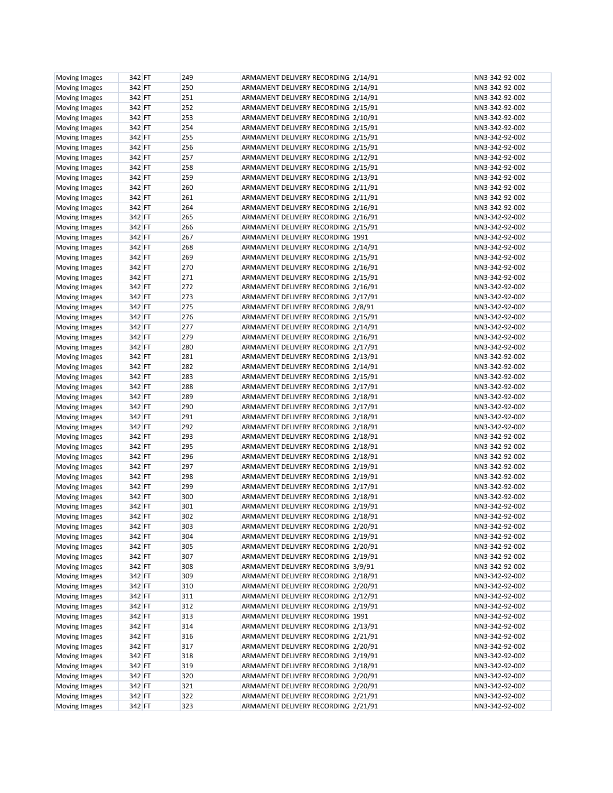| <b>Moving Images</b>           | 342 FT | 249        | ARMAMENT DELIVERY RECORDING 2/14/91 | NN3-342-92-002 |
|--------------------------------|--------|------------|-------------------------------------|----------------|
| Moving Images                  | 342 FT | 250        | ARMAMENT DELIVERY RECORDING 2/14/91 | NN3-342-92-002 |
| Moving Images                  | 342 FT | 251        | ARMAMENT DELIVERY RECORDING 2/14/91 | NN3-342-92-002 |
| Moving Images                  | 342 FT | 252        | ARMAMENT DELIVERY RECORDING 2/15/91 | NN3-342-92-002 |
| Moving Images                  | 342 FT | 253        | ARMAMENT DELIVERY RECORDING 2/10/91 | NN3-342-92-002 |
| Moving Images                  | 342 FT | 254        | ARMAMENT DELIVERY RECORDING 2/15/91 | NN3-342-92-002 |
| Moving Images                  | 342 FT | 255        | ARMAMENT DELIVERY RECORDING 2/15/91 | NN3-342-92-002 |
| Moving Images                  | 342 FT | 256        | ARMAMENT DELIVERY RECORDING 2/15/91 | NN3-342-92-002 |
| Moving Images                  | 342 FT | 257        | ARMAMENT DELIVERY RECORDING 2/12/91 | NN3-342-92-002 |
| Moving Images                  | 342 FT | 258        | ARMAMENT DELIVERY RECORDING 2/15/91 | NN3-342-92-002 |
| Moving Images                  | 342 FT | 259        | ARMAMENT DELIVERY RECORDING 2/13/91 | NN3-342-92-002 |
| Moving Images                  | 342 FT | 260        | ARMAMENT DELIVERY RECORDING 2/11/91 | NN3-342-92-002 |
| Moving Images                  | 342 FT | 261        | ARMAMENT DELIVERY RECORDING 2/11/91 | NN3-342-92-002 |
| Moving Images                  | 342 FT | 264        | ARMAMENT DELIVERY RECORDING 2/16/91 | NN3-342-92-002 |
| Moving Images                  | 342 FT | 265        | ARMAMENT DELIVERY RECORDING 2/16/91 | NN3-342-92-002 |
| Moving Images                  | 342 FT | 266        | ARMAMENT DELIVERY RECORDING 2/15/91 | NN3-342-92-002 |
| Moving Images                  | 342 FT | 267        | ARMAMENT DELIVERY RECORDING 1991    | NN3-342-92-002 |
| Moving Images                  | 342 FT | 268        | ARMAMENT DELIVERY RECORDING 2/14/91 | NN3-342-92-002 |
| Moving Images                  | 342 FT | 269        | ARMAMENT DELIVERY RECORDING 2/15/91 | NN3-342-92-002 |
| Moving Images                  | 342 FT | 270        | ARMAMENT DELIVERY RECORDING 2/16/91 | NN3-342-92-002 |
| Moving Images                  | 342 FT | 271        | ARMAMENT DELIVERY RECORDING 2/15/91 | NN3-342-92-002 |
| Moving Images                  | 342 FT | 272        | ARMAMENT DELIVERY RECORDING 2/16/91 | NN3-342-92-002 |
| Moving Images                  | 342 FT | 273        | ARMAMENT DELIVERY RECORDING 2/17/91 | NN3-342-92-002 |
|                                | 342 FT | 275        | ARMAMENT DELIVERY RECORDING 2/8/91  | NN3-342-92-002 |
| Moving Images<br>Moving Images | 342 FT | 276        | ARMAMENT DELIVERY RECORDING 2/15/91 | NN3-342-92-002 |
|                                | 342 FT | 277        | ARMAMENT DELIVERY RECORDING 2/14/91 | NN3-342-92-002 |
| Moving Images                  |        |            |                                     |                |
| <b>Moving Images</b>           | 342 FT | 279<br>280 | ARMAMENT DELIVERY RECORDING 2/16/91 | NN3-342-92-002 |
| Moving Images                  | 342 FT |            | ARMAMENT DELIVERY RECORDING 2/17/91 | NN3-342-92-002 |
| <b>Moving Images</b>           | 342 FT | 281        | ARMAMENT DELIVERY RECORDING 2/13/91 | NN3-342-92-002 |
| Moving Images                  | 342 FT | 282        | ARMAMENT DELIVERY RECORDING 2/14/91 | NN3-342-92-002 |
| Moving Images                  | 342 FT | 283        | ARMAMENT DELIVERY RECORDING 2/15/91 | NN3-342-92-002 |
| <b>Moving Images</b>           | 342 FT | 288        | ARMAMENT DELIVERY RECORDING 2/17/91 | NN3-342-92-002 |
| Moving Images                  | 342 FT | 289        | ARMAMENT DELIVERY RECORDING 2/18/91 | NN3-342-92-002 |
| Moving Images                  | 342 FT | 290        | ARMAMENT DELIVERY RECORDING 2/17/91 | NN3-342-92-002 |
| <b>Moving Images</b>           | 342 FT | 291        | ARMAMENT DELIVERY RECORDING 2/18/91 | NN3-342-92-002 |
| <b>Moving Images</b>           | 342 FT | 292        | ARMAMENT DELIVERY RECORDING 2/18/91 | NN3-342-92-002 |
| Moving Images                  | 342 FT | 293        | ARMAMENT DELIVERY RECORDING 2/18/91 | NN3-342-92-002 |
| <b>Moving Images</b>           | 342 FT | 295        | ARMAMENT DELIVERY RECORDING 2/18/91 | NN3-342-92-002 |
| Moving Images                  | 342 FT | 296        | ARMAMENT DELIVERY RECORDING 2/18/91 | NN3-342-92-002 |
| Moving Images                  | 342 FT | 297        | ARMAMENT DELIVERY RECORDING 2/19/91 | NN3-342-92-002 |
| <b>Moving Images</b>           | 342 FT | 298        | ARMAMENT DELIVERY RECORDING 2/19/91 | NN3-342-92-002 |
| Moving Images                  | 342 FT | 299        | ARMAMENT DELIVERY RECORDING 2/17/91 | NN3-342-92-002 |
| Moving Images                  | 342 FT | 300        | ARMAMENT DELIVERY RECORDING 2/18/91 | NN3-342-92-002 |
| Moving Images                  | 342 FT | 301        | ARMAMENT DELIVERY RECORDING 2/19/91 | NN3-342-92-002 |
| Moving Images                  | 342 FT | 302        | ARMAMENT DELIVERY RECORDING 2/18/91 | NN3-342-92-002 |
| Moving Images                  | 342 FT | 303        | ARMAMENT DELIVERY RECORDING 2/20/91 | NN3-342-92-002 |
| Moving Images                  | 342 FT | 304        | ARMAMENT DELIVERY RECORDING 2/19/91 | NN3-342-92-002 |
| Moving Images                  | 342 FT | 305        | ARMAMENT DELIVERY RECORDING 2/20/91 | NN3-342-92-002 |
| Moving Images                  | 342 FT | 307        | ARMAMENT DELIVERY RECORDING 2/19/91 | NN3-342-92-002 |
| Moving Images                  | 342 FT | 308        | ARMAMENT DELIVERY RECORDING 3/9/91  | NN3-342-92-002 |
| Moving Images                  | 342 FT | 309        | ARMAMENT DELIVERY RECORDING 2/18/91 | NN3-342-92-002 |
| Moving Images                  | 342 FT | 310        | ARMAMENT DELIVERY RECORDING 2/20/91 | NN3-342-92-002 |
| Moving Images                  | 342 FT | 311        | ARMAMENT DELIVERY RECORDING 2/12/91 | NN3-342-92-002 |
| Moving Images                  | 342 FT | 312        | ARMAMENT DELIVERY RECORDING 2/19/91 | NN3-342-92-002 |
| Moving Images                  | 342 FT | 313        | ARMAMENT DELIVERY RECORDING 1991    | NN3-342-92-002 |
| Moving Images                  | 342 FT | 314        | ARMAMENT DELIVERY RECORDING 2/13/91 | NN3-342-92-002 |
| Moving Images                  | 342 FT | 316        | ARMAMENT DELIVERY RECORDING 2/21/91 | NN3-342-92-002 |
| Moving Images                  | 342 FT | 317        | ARMAMENT DELIVERY RECORDING 2/20/91 | NN3-342-92-002 |
| Moving Images                  | 342 FT | 318        | ARMAMENT DELIVERY RECORDING 2/19/91 | NN3-342-92-002 |
| Moving Images                  | 342 FT | 319        | ARMAMENT DELIVERY RECORDING 2/18/91 | NN3-342-92-002 |
| Moving Images                  | 342 FT | 320        | ARMAMENT DELIVERY RECORDING 2/20/91 | NN3-342-92-002 |
| Moving Images                  | 342 FT | 321        | ARMAMENT DELIVERY RECORDING 2/20/91 | NN3-342-92-002 |
| Moving Images                  | 342 FT | 322        | ARMAMENT DELIVERY RECORDING 2/21/91 | NN3-342-92-002 |
| Moving Images                  | 342 FT | 323        | ARMAMENT DELIVERY RECORDING 2/21/91 | NN3-342-92-002 |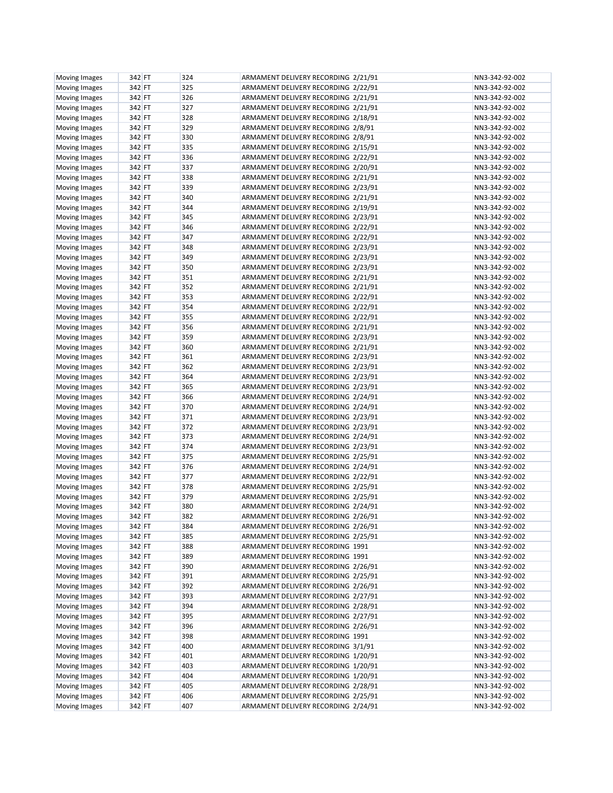| <b>Moving Images</b> | 342 FT | 324 | ARMAMENT DELIVERY RECORDING 2/21/91 | NN3-342-92-002 |
|----------------------|--------|-----|-------------------------------------|----------------|
| Moving Images        | 342 FT | 325 | ARMAMENT DELIVERY RECORDING 2/22/91 | NN3-342-92-002 |
| Moving Images        | 342 FT | 326 | ARMAMENT DELIVERY RECORDING 2/21/91 | NN3-342-92-002 |
| <b>Moving Images</b> | 342 FT | 327 | ARMAMENT DELIVERY RECORDING 2/21/91 | NN3-342-92-002 |
| Moving Images        | 342 FT | 328 | ARMAMENT DELIVERY RECORDING 2/18/91 | NN3-342-92-002 |
| Moving Images        | 342 FT | 329 | ARMAMENT DELIVERY RECORDING 2/8/91  | NN3-342-92-002 |
| <b>Moving Images</b> | 342 FT | 330 | ARMAMENT DELIVERY RECORDING 2/8/91  | NN3-342-92-002 |
| <b>Moving Images</b> | 342 FT | 335 | ARMAMENT DELIVERY RECORDING 2/15/91 | NN3-342-92-002 |
| Moving Images        | 342 FT | 336 | ARMAMENT DELIVERY RECORDING 2/22/91 | NN3-342-92-002 |
| <b>Moving Images</b> | 342 FT | 337 | ARMAMENT DELIVERY RECORDING 2/20/91 | NN3-342-92-002 |
| Moving Images        | 342 FT | 338 | ARMAMENT DELIVERY RECORDING 2/21/91 | NN3-342-92-002 |
| Moving Images        | 342 FT | 339 | ARMAMENT DELIVERY RECORDING 2/23/91 | NN3-342-92-002 |
| <b>Moving Images</b> | 342 FT | 340 | ARMAMENT DELIVERY RECORDING 2/21/91 | NN3-342-92-002 |
| Moving Images        | 342 FT | 344 | ARMAMENT DELIVERY RECORDING 2/19/91 | NN3-342-92-002 |
| <b>Moving Images</b> | 342 FT | 345 | ARMAMENT DELIVERY RECORDING 2/23/91 | NN3-342-92-002 |
| Moving Images        | 342 FT | 346 | ARMAMENT DELIVERY RECORDING 2/22/91 | NN3-342-92-002 |
| <b>Moving Images</b> | 342 FT | 347 | ARMAMENT DELIVERY RECORDING 2/22/91 | NN3-342-92-002 |
| <b>Moving Images</b> | 342 FT | 348 | ARMAMENT DELIVERY RECORDING 2/23/91 | NN3-342-92-002 |
| <b>Moving Images</b> | 342 FT | 349 | ARMAMENT DELIVERY RECORDING 2/23/91 | NN3-342-92-002 |
| <b>Moving Images</b> | 342 FT | 350 | ARMAMENT DELIVERY RECORDING 2/23/91 | NN3-342-92-002 |
| Moving Images        | 342 FT | 351 | ARMAMENT DELIVERY RECORDING 2/21/91 | NN3-342-92-002 |
| Moving Images        | 342 FT | 352 | ARMAMENT DELIVERY RECORDING 2/21/91 | NN3-342-92-002 |
| Moving Images        | 342 FT | 353 | ARMAMENT DELIVERY RECORDING 2/22/91 | NN3-342-92-002 |
| <b>Moving Images</b> | 342 FT | 354 | ARMAMENT DELIVERY RECORDING 2/22/91 | NN3-342-92-002 |
| Moving Images        | 342 FT | 355 | ARMAMENT DELIVERY RECORDING 2/22/91 | NN3-342-92-002 |
| Moving Images        | 342 FT | 356 | ARMAMENT DELIVERY RECORDING 2/21/91 | NN3-342-92-002 |
| Moving Images        | 342 FT | 359 | ARMAMENT DELIVERY RECORDING 2/23/91 | NN3-342-92-002 |
| Moving Images        | 342 FT | 360 | ARMAMENT DELIVERY RECORDING 2/21/91 | NN3-342-92-002 |
| Moving Images        | 342 FT | 361 | ARMAMENT DELIVERY RECORDING 2/23/91 | NN3-342-92-002 |
| Moving Images        | 342 FT | 362 | ARMAMENT DELIVERY RECORDING 2/23/91 | NN3-342-92-002 |
| Moving Images        | 342 FT | 364 | ARMAMENT DELIVERY RECORDING 2/23/91 | NN3-342-92-002 |
| Moving Images        | 342 FT | 365 | ARMAMENT DELIVERY RECORDING 2/23/91 | NN3-342-92-002 |
| Moving Images        | 342 FT | 366 | ARMAMENT DELIVERY RECORDING 2/24/91 | NN3-342-92-002 |
| Moving Images        | 342 FT | 370 | ARMAMENT DELIVERY RECORDING 2/24/91 | NN3-342-92-002 |
| Moving Images        | 342 FT | 371 | ARMAMENT DELIVERY RECORDING 2/23/91 | NN3-342-92-002 |
| Moving Images        | 342 FT | 372 | ARMAMENT DELIVERY RECORDING 2/23/91 | NN3-342-92-002 |
| Moving Images        | 342 FT | 373 | ARMAMENT DELIVERY RECORDING 2/24/91 | NN3-342-92-002 |
| <b>Moving Images</b> | 342 FT | 374 | ARMAMENT DELIVERY RECORDING 2/23/91 | NN3-342-92-002 |
| Moving Images        | 342 FT | 375 | ARMAMENT DELIVERY RECORDING 2/25/91 | NN3-342-92-002 |
| Moving Images        | 342 FT | 376 | ARMAMENT DELIVERY RECORDING 2/24/91 | NN3-342-92-002 |
| Moving Images        | 342 FT | 377 | ARMAMENT DELIVERY RECORDING 2/22/91 | NN3-342-92-002 |
| Moving Images        | 342 FT | 378 | ARMAMENT DELIVERY RECORDING 2/25/91 | NN3-342-92-002 |
| Moving Images        | 342 FT | 379 | ARMAMENT DELIVERY RECORDING 2/25/91 | NN3-342-92-002 |
| Moving Images        | 342 FT | 380 | ARMAMENT DELIVERY RECORDING 2/24/91 | NN3-342-92-002 |
| Moving Images        | 342 FT | 382 | ARMAMENT DELIVERY RECORDING 2/26/91 | NN3-342-92-002 |
| Moving Images        | 342 FT | 384 | ARMAMENT DELIVERY RECORDING 2/26/91 | NN3-342-92-002 |
| Moving Images        | 342 FT | 385 | ARMAMENT DELIVERY RECORDING 2/25/91 | NN3-342-92-002 |
| Moving Images        | 342 FT | 388 | ARMAMENT DELIVERY RECORDING 1991    | NN3-342-92-002 |
| Moving Images        | 342 FT | 389 | ARMAMENT DELIVERY RECORDING 1991    | NN3-342-92-002 |
| Moving Images        | 342 FT | 390 | ARMAMENT DELIVERY RECORDING 2/26/91 | NN3-342-92-002 |
| Moving Images        | 342 FT | 391 | ARMAMENT DELIVERY RECORDING 2/25/91 | NN3-342-92-002 |
| Moving Images        | 342 FT | 392 | ARMAMENT DELIVERY RECORDING 2/26/91 | NN3-342-92-002 |
| Moving Images        | 342 FT | 393 | ARMAMENT DELIVERY RECORDING 2/27/91 | NN3-342-92-002 |
| Moving Images        | 342 FT | 394 | ARMAMENT DELIVERY RECORDING 2/28/91 | NN3-342-92-002 |
| Moving Images        | 342 FT | 395 | ARMAMENT DELIVERY RECORDING 2/27/91 | NN3-342-92-002 |
| Moving Images        | 342 FT | 396 | ARMAMENT DELIVERY RECORDING 2/26/91 | NN3-342-92-002 |
| Moving Images        | 342 FT | 398 | ARMAMENT DELIVERY RECORDING 1991    | NN3-342-92-002 |
| Moving Images        | 342 FT | 400 | ARMAMENT DELIVERY RECORDING 3/1/91  | NN3-342-92-002 |
| Moving Images        | 342 FT | 401 | ARMAMENT DELIVERY RECORDING 1/20/91 | NN3-342-92-002 |
| Moving Images        | 342 FT | 403 | ARMAMENT DELIVERY RECORDING 1/20/91 | NN3-342-92-002 |
| Moving Images        | 342 FT | 404 | ARMAMENT DELIVERY RECORDING 1/20/91 | NN3-342-92-002 |
| Moving Images        | 342 FT | 405 | ARMAMENT DELIVERY RECORDING 2/28/91 | NN3-342-92-002 |
| Moving Images        | 342 FT | 406 | ARMAMENT DELIVERY RECORDING 2/25/91 | NN3-342-92-002 |
| Moving Images        | 342 FT | 407 | ARMAMENT DELIVERY RECORDING 2/24/91 | NN3-342-92-002 |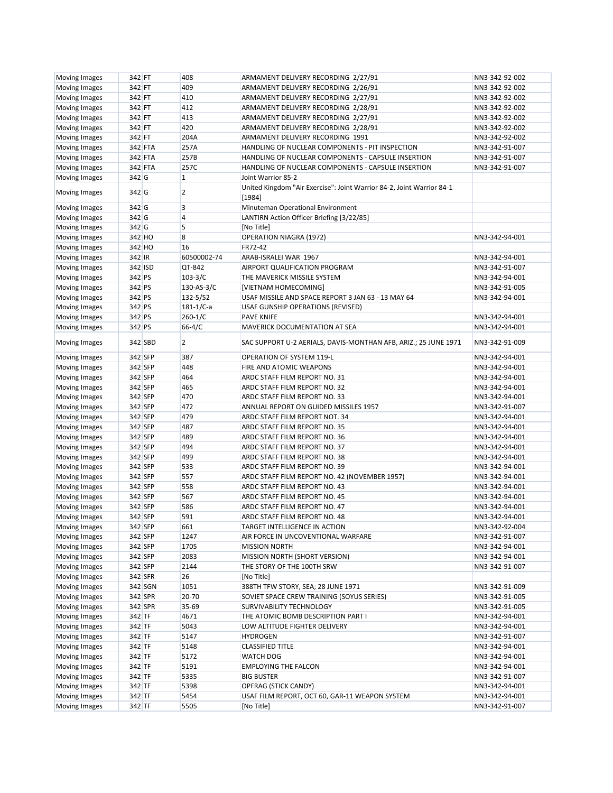| 409<br>342 FT<br>ARMAMENT DELIVERY RECORDING 2/26/91<br>NN3-342-92-002<br><b>Moving Images</b><br><b>Moving Images</b><br>342 FT<br>410<br>ARMAMENT DELIVERY RECORDING 2/27/91<br>NN3-342-92-002<br>342 FT<br>412<br>ARMAMENT DELIVERY RECORDING 2/28/91<br>NN3-342-92-002<br>Moving Images<br>413<br>342 FT<br>ARMAMENT DELIVERY RECORDING 2/27/91<br>NN3-342-92-002<br>Moving Images<br>420<br>342 FT<br>ARMAMENT DELIVERY RECORDING 2/28/91<br>NN3-342-92-002<br>Moving Images<br>342 FT<br>204A<br>ARMAMENT DELIVERY RECORDING 1991<br>NN3-342-92-002<br>Moving Images<br>257A<br>342 FTA<br>HANDLING OF NUCLEAR COMPONENTS - PIT INSPECTION<br>NN3-342-91-007<br>Moving Images<br>342 FTA<br>257B<br>HANDLING OF NUCLEAR COMPONENTS - CAPSULE INSERTION<br>Moving Images<br>NN3-342-91-007<br>257C<br>342 FTA<br>HANDLING OF NUCLEAR COMPONENTS - CAPSULE INSERTION<br>NN3-342-91-007<br>Moving Images<br>342 G<br>$\mathbf{1}$<br>Moving Images<br>Joint Warrior 85-2<br>United Kingdom "Air Exercise": Joint Warrior 84-2, Joint Warrior 84-1<br>$\overline{2}$<br>342 G<br>Moving Images<br>[1984]<br>3<br>342 G<br>Minuteman Operational Environment<br>Moving Images<br>$\overline{4}$<br>342 G<br>LANTIRN Action Officer Briefing [3/22/85]<br>Moving Images<br>5<br>342 G<br>[No Title]<br>Moving Images<br>$\boldsymbol{8}$<br>342 HO<br><b>OPERATION NIAGRA (1972)</b><br>NN3-342-94-001<br>Moving Images<br>342 HO<br>16<br>FR72-42<br>Moving Images<br>342 IR<br>60500002-74<br>ARAB-ISRALEI WAR 1967<br>NN3-342-94-001<br>Moving Images<br>342 ISD<br>QT-842<br>AIRPORT QUALIFICATION PROGRAM<br>NN3-342-91-007<br>Moving Images<br>342 PS<br>THE MAVERICK MISSILE SYSTEM<br>$103-3/C$<br>NN3-342-94-001<br>Moving Images<br>342 PS<br>130-AS-3/C<br>[VIETNAM HOMECOMING]<br>Moving Images<br>NN3-342-91-005<br>342 PS<br>132-5/52<br>USAF MISSILE AND SPACE REPORT 3 JAN 63 - 13 MAY 64<br>NN3-342-94-001<br>Moving Images<br>342 PS<br>$181 - 1/C - a$<br>USAF GUNSHIP OPERATIONS (REVISED)<br>Moving Images<br>$260 - 1/C$<br>342 PS<br><b>PAVE KNIFE</b><br>NN3-342-94-001<br>Moving Images<br>342 PS<br>$66 - 4/C$<br>MAVERICK DOCUMENTATION AT SEA<br>NN3-342-94-001<br>Moving Images<br>342 SBD<br>$\overline{2}$<br>SAC SUPPORT U-2 AERIALS, DAVIS-MONTHAN AFB, ARIZ.; 25 JUNE 1971<br>NN3-342-91-009<br>Moving Images<br>342 SFP<br>387<br><b>OPERATION OF SYSTEM 119-L</b><br>NN3-342-94-001<br>Moving Images<br>342 SFP<br>448<br>FIRE AND ATOMIC WEAPONS<br>NN3-342-94-001<br>Moving Images<br>464<br>342 SFP<br>ARDC STAFF FILM REPORT NO. 31<br>NN3-342-94-001<br>Moving Images<br>465<br>342 SFP<br>ARDC STAFF FILM REPORT NO. 32<br>NN3-342-94-001<br>Moving Images<br>470<br>342 SFP<br>ARDC STAFF FILM REPORT NO. 33<br>NN3-342-94-001<br>Moving Images<br>472<br>342 SFP<br>ANNUAL REPORT ON GUIDED MISSILES 1957<br>Moving Images<br>NN3-342-91-007<br>479<br>342 SFP<br>ARDC STAFF FILM REPORT NOT. 34<br>NN3-342-94-001<br>Moving Images<br>342 SFP<br>487<br>ARDC STAFF FILM REPORT NO. 35<br>Moving Images<br>NN3-342-94-001<br>489<br>342 SFP<br>ARDC STAFF FILM REPORT NO. 36<br>Moving Images<br>NN3-342-94-001<br>342 SFP<br>494<br>ARDC STAFF FILM REPORT NO. 37<br>NN3-342-94-001<br>Moving Images<br>342 SFP<br>499<br>ARDC STAFF FILM REPORT NO. 38<br>NN3-342-94-001<br>Moving Images<br>533<br>342 SFP<br>Moving Images<br>ARDC STAFF FILM REPORT NO. 39<br>NN3-342-94-001<br>342 SFP<br>557<br>ARDC STAFF FILM REPORT NO. 42 (NOVEMBER 1957)<br>NN3-342-94-001<br>Moving Images<br>342 SFP<br>558<br>Moving Images<br>ARDC STAFF FILM REPORT NO. 43<br>NN3-342-94-001<br>567<br>342 SFP<br>ARDC STAFF FILM REPORT NO. 45<br>NN3-342-94-001<br>Moving Images<br>342 SFP<br>586<br>ARDC STAFF FILM REPORT NO. 47<br>NN3-342-94-001<br>Moving Images<br>591<br>342 SFP<br>ARDC STAFF FILM REPORT NO. 48<br>NN3-342-94-001<br>Moving Images<br>Moving Images<br>342 SFP<br>661<br>TARGET INTELLIGENCE IN ACTION<br>NN3-342-92-004<br>1247<br>Moving Images<br>342 SFP<br>AIR FORCE IN UNCOVENTIONAL WARFARE<br>NN3-342-91-007<br>Moving Images<br>342 SFP<br>1705<br><b>MISSION NORTH</b><br>NN3-342-94-001<br>Moving Images<br>342 SFP<br>2083<br>MISSION NORTH (SHORT VERSION)<br>NN3-342-94-001<br>Moving Images<br>342 SFP<br>2144<br>THE STORY OF THE 100TH SRW<br>NN3-342-91-007<br>26<br>Moving Images<br>342 SFR<br>[No Title]<br>388TH TFW STORY, SEA; 28 JUNE 1971<br>Moving Images<br>342 SGN<br>1051<br>NN3-342-91-009<br>Moving Images<br>342 SPR<br>20-70<br>SOVIET SPACE CREW TRAINING (SOYUS SERIES)<br>NN3-342-91-005<br>342 SPR<br>35-69<br>Moving Images<br>SURVIVABILITY TECHNOLOGY<br>NN3-342-91-005<br>342 TF<br>4671<br>THE ATOMIC BOMB DESCRIPTION PART I<br>NN3-342-94-001<br>Moving Images<br>342 TF<br>5043<br>Moving Images<br>LOW ALTITUDE FIGHTER DELIVERY<br>NN3-342-94-001<br>Moving Images<br>342 TF<br>5147<br><b>HYDROGEN</b><br>NN3-342-91-007<br>342 TF<br>5148<br><b>CLASSIFIED TITLE</b><br>NN3-342-94-001<br>Moving Images<br>Moving Images<br>342 TF<br>5172<br>WATCH DOG<br>NN3-342-94-001<br>342 TF<br>5191<br><b>EMPLOYING THE FALCON</b><br>Moving Images<br>NN3-342-94-001<br>342 TF<br>5335<br><b>BIG BUSTER</b><br>Moving Images<br>NN3-342-91-007<br>342 TF<br>5398<br>Moving Images<br>OPFRAG (STICK CANDY)<br>NN3-342-94-001<br>USAF FILM REPORT, OCT 60, GAR-11 WEAPON SYSTEM<br>Moving Images<br>342 TF<br>5454<br>NN3-342-94-001<br>342 TF<br>5505<br>Moving Images<br>[No Title]<br>NN3-342-91-007 | <b>Moving Images</b> | 342 FT | 408 | ARMAMENT DELIVERY RECORDING 2/27/91 | NN3-342-92-002 |
|-----------------------------------------------------------------------------------------------------------------------------------------------------------------------------------------------------------------------------------------------------------------------------------------------------------------------------------------------------------------------------------------------------------------------------------------------------------------------------------------------------------------------------------------------------------------------------------------------------------------------------------------------------------------------------------------------------------------------------------------------------------------------------------------------------------------------------------------------------------------------------------------------------------------------------------------------------------------------------------------------------------------------------------------------------------------------------------------------------------------------------------------------------------------------------------------------------------------------------------------------------------------------------------------------------------------------------------------------------------------------------------------------------------------------------------------------------------------------------------------------------------------------------------------------------------------------------------------------------------------------------------------------------------------------------------------------------------------------------------------------------------------------------------------------------------------------------------------------------------------------------------------------------------------------------------------------------------------------------------------------------------------------------------------------------------------------------------------------------------------------------------------------------------------------------------------------------------------------------------------------------------------------------------------------------------------------------------------------------------------------------------------------------------------------------------------------------------------------------------------------------------------------------------------------------------------------------------------------------------------------------------------------------------------------------------------------------------------------------------------------------------------------------------------------------------------------------------------------------------------------------------------------------------------------------------------------------------------------------------------------------------------------------------------------------------------------------------------------------------------------------------------------------------------------------------------------------------------------------------------------------------------------------------------------------------------------------------------------------------------------------------------------------------------------------------------------------------------------------------------------------------------------------------------------------------------------------------------------------------------------------------------------------------------------------------------------------------------------------------------------------------------------------------------------------------------------------------------------------------------------------------------------------------------------------------------------------------------------------------------------------------------------------------------------------------------------------------------------------------------------------------------------------------------------------------------------------------------------------------------------------------------------------------------------------------------------------------------------------------------------------------------------------------------------------------------------------------------------------------------------------------------------------------------------------------------------------------------------------------------------------------------------------------------------------------------------------------------------------------------------------------------------------------------------------------------------------------------------------------------------------------------------------------------------------------------------------------------------------------------------------------------------------------------------------------------------------------------------------------------------------------------------------------------------------------------------------------------------------------------------------------------------------------------------------------------------------------------------------------------------------------------------------------------------------------------------------------------------------------------------------------|----------------------|--------|-----|-------------------------------------|----------------|
|                                                                                                                                                                                                                                                                                                                                                                                                                                                                                                                                                                                                                                                                                                                                                                                                                                                                                                                                                                                                                                                                                                                                                                                                                                                                                                                                                                                                                                                                                                                                                                                                                                                                                                                                                                                                                                                                                                                                                                                                                                                                                                                                                                                                                                                                                                                                                                                                                                                                                                                                                                                                                                                                                                                                                                                                                                                                                                                                                                                                                                                                                                                                                                                                                                                                                                                                                                                                                                                                                                                                                                                                                                                                                                                                                                                                                                                                                                                                                                                                                                                                                                                                                                                                                                                                                                                                                                                                                                                                                                                                                                                                                                                                                                                                                                                                                                                                                                                                                                                                                                                                                                                                                                                                                                                                                                                                                                                                                                                                                                           |                      |        |     |                                     |                |
|                                                                                                                                                                                                                                                                                                                                                                                                                                                                                                                                                                                                                                                                                                                                                                                                                                                                                                                                                                                                                                                                                                                                                                                                                                                                                                                                                                                                                                                                                                                                                                                                                                                                                                                                                                                                                                                                                                                                                                                                                                                                                                                                                                                                                                                                                                                                                                                                                                                                                                                                                                                                                                                                                                                                                                                                                                                                                                                                                                                                                                                                                                                                                                                                                                                                                                                                                                                                                                                                                                                                                                                                                                                                                                                                                                                                                                                                                                                                                                                                                                                                                                                                                                                                                                                                                                                                                                                                                                                                                                                                                                                                                                                                                                                                                                                                                                                                                                                                                                                                                                                                                                                                                                                                                                                                                                                                                                                                                                                                                                           |                      |        |     |                                     |                |
|                                                                                                                                                                                                                                                                                                                                                                                                                                                                                                                                                                                                                                                                                                                                                                                                                                                                                                                                                                                                                                                                                                                                                                                                                                                                                                                                                                                                                                                                                                                                                                                                                                                                                                                                                                                                                                                                                                                                                                                                                                                                                                                                                                                                                                                                                                                                                                                                                                                                                                                                                                                                                                                                                                                                                                                                                                                                                                                                                                                                                                                                                                                                                                                                                                                                                                                                                                                                                                                                                                                                                                                                                                                                                                                                                                                                                                                                                                                                                                                                                                                                                                                                                                                                                                                                                                                                                                                                                                                                                                                                                                                                                                                                                                                                                                                                                                                                                                                                                                                                                                                                                                                                                                                                                                                                                                                                                                                                                                                                                                           |                      |        |     |                                     |                |
|                                                                                                                                                                                                                                                                                                                                                                                                                                                                                                                                                                                                                                                                                                                                                                                                                                                                                                                                                                                                                                                                                                                                                                                                                                                                                                                                                                                                                                                                                                                                                                                                                                                                                                                                                                                                                                                                                                                                                                                                                                                                                                                                                                                                                                                                                                                                                                                                                                                                                                                                                                                                                                                                                                                                                                                                                                                                                                                                                                                                                                                                                                                                                                                                                                                                                                                                                                                                                                                                                                                                                                                                                                                                                                                                                                                                                                                                                                                                                                                                                                                                                                                                                                                                                                                                                                                                                                                                                                                                                                                                                                                                                                                                                                                                                                                                                                                                                                                                                                                                                                                                                                                                                                                                                                                                                                                                                                                                                                                                                                           |                      |        |     |                                     |                |
|                                                                                                                                                                                                                                                                                                                                                                                                                                                                                                                                                                                                                                                                                                                                                                                                                                                                                                                                                                                                                                                                                                                                                                                                                                                                                                                                                                                                                                                                                                                                                                                                                                                                                                                                                                                                                                                                                                                                                                                                                                                                                                                                                                                                                                                                                                                                                                                                                                                                                                                                                                                                                                                                                                                                                                                                                                                                                                                                                                                                                                                                                                                                                                                                                                                                                                                                                                                                                                                                                                                                                                                                                                                                                                                                                                                                                                                                                                                                                                                                                                                                                                                                                                                                                                                                                                                                                                                                                                                                                                                                                                                                                                                                                                                                                                                                                                                                                                                                                                                                                                                                                                                                                                                                                                                                                                                                                                                                                                                                                                           |                      |        |     |                                     |                |
|                                                                                                                                                                                                                                                                                                                                                                                                                                                                                                                                                                                                                                                                                                                                                                                                                                                                                                                                                                                                                                                                                                                                                                                                                                                                                                                                                                                                                                                                                                                                                                                                                                                                                                                                                                                                                                                                                                                                                                                                                                                                                                                                                                                                                                                                                                                                                                                                                                                                                                                                                                                                                                                                                                                                                                                                                                                                                                                                                                                                                                                                                                                                                                                                                                                                                                                                                                                                                                                                                                                                                                                                                                                                                                                                                                                                                                                                                                                                                                                                                                                                                                                                                                                                                                                                                                                                                                                                                                                                                                                                                                                                                                                                                                                                                                                                                                                                                                                                                                                                                                                                                                                                                                                                                                                                                                                                                                                                                                                                                                           |                      |        |     |                                     |                |
|                                                                                                                                                                                                                                                                                                                                                                                                                                                                                                                                                                                                                                                                                                                                                                                                                                                                                                                                                                                                                                                                                                                                                                                                                                                                                                                                                                                                                                                                                                                                                                                                                                                                                                                                                                                                                                                                                                                                                                                                                                                                                                                                                                                                                                                                                                                                                                                                                                                                                                                                                                                                                                                                                                                                                                                                                                                                                                                                                                                                                                                                                                                                                                                                                                                                                                                                                                                                                                                                                                                                                                                                                                                                                                                                                                                                                                                                                                                                                                                                                                                                                                                                                                                                                                                                                                                                                                                                                                                                                                                                                                                                                                                                                                                                                                                                                                                                                                                                                                                                                                                                                                                                                                                                                                                                                                                                                                                                                                                                                                           |                      |        |     |                                     |                |
|                                                                                                                                                                                                                                                                                                                                                                                                                                                                                                                                                                                                                                                                                                                                                                                                                                                                                                                                                                                                                                                                                                                                                                                                                                                                                                                                                                                                                                                                                                                                                                                                                                                                                                                                                                                                                                                                                                                                                                                                                                                                                                                                                                                                                                                                                                                                                                                                                                                                                                                                                                                                                                                                                                                                                                                                                                                                                                                                                                                                                                                                                                                                                                                                                                                                                                                                                                                                                                                                                                                                                                                                                                                                                                                                                                                                                                                                                                                                                                                                                                                                                                                                                                                                                                                                                                                                                                                                                                                                                                                                                                                                                                                                                                                                                                                                                                                                                                                                                                                                                                                                                                                                                                                                                                                                                                                                                                                                                                                                                                           |                      |        |     |                                     |                |
|                                                                                                                                                                                                                                                                                                                                                                                                                                                                                                                                                                                                                                                                                                                                                                                                                                                                                                                                                                                                                                                                                                                                                                                                                                                                                                                                                                                                                                                                                                                                                                                                                                                                                                                                                                                                                                                                                                                                                                                                                                                                                                                                                                                                                                                                                                                                                                                                                                                                                                                                                                                                                                                                                                                                                                                                                                                                                                                                                                                                                                                                                                                                                                                                                                                                                                                                                                                                                                                                                                                                                                                                                                                                                                                                                                                                                                                                                                                                                                                                                                                                                                                                                                                                                                                                                                                                                                                                                                                                                                                                                                                                                                                                                                                                                                                                                                                                                                                                                                                                                                                                                                                                                                                                                                                                                                                                                                                                                                                                                                           |                      |        |     |                                     |                |
|                                                                                                                                                                                                                                                                                                                                                                                                                                                                                                                                                                                                                                                                                                                                                                                                                                                                                                                                                                                                                                                                                                                                                                                                                                                                                                                                                                                                                                                                                                                                                                                                                                                                                                                                                                                                                                                                                                                                                                                                                                                                                                                                                                                                                                                                                                                                                                                                                                                                                                                                                                                                                                                                                                                                                                                                                                                                                                                                                                                                                                                                                                                                                                                                                                                                                                                                                                                                                                                                                                                                                                                                                                                                                                                                                                                                                                                                                                                                                                                                                                                                                                                                                                                                                                                                                                                                                                                                                                                                                                                                                                                                                                                                                                                                                                                                                                                                                                                                                                                                                                                                                                                                                                                                                                                                                                                                                                                                                                                                                                           |                      |        |     |                                     |                |
|                                                                                                                                                                                                                                                                                                                                                                                                                                                                                                                                                                                                                                                                                                                                                                                                                                                                                                                                                                                                                                                                                                                                                                                                                                                                                                                                                                                                                                                                                                                                                                                                                                                                                                                                                                                                                                                                                                                                                                                                                                                                                                                                                                                                                                                                                                                                                                                                                                                                                                                                                                                                                                                                                                                                                                                                                                                                                                                                                                                                                                                                                                                                                                                                                                                                                                                                                                                                                                                                                                                                                                                                                                                                                                                                                                                                                                                                                                                                                                                                                                                                                                                                                                                                                                                                                                                                                                                                                                                                                                                                                                                                                                                                                                                                                                                                                                                                                                                                                                                                                                                                                                                                                                                                                                                                                                                                                                                                                                                                                                           |                      |        |     |                                     |                |
|                                                                                                                                                                                                                                                                                                                                                                                                                                                                                                                                                                                                                                                                                                                                                                                                                                                                                                                                                                                                                                                                                                                                                                                                                                                                                                                                                                                                                                                                                                                                                                                                                                                                                                                                                                                                                                                                                                                                                                                                                                                                                                                                                                                                                                                                                                                                                                                                                                                                                                                                                                                                                                                                                                                                                                                                                                                                                                                                                                                                                                                                                                                                                                                                                                                                                                                                                                                                                                                                                                                                                                                                                                                                                                                                                                                                                                                                                                                                                                                                                                                                                                                                                                                                                                                                                                                                                                                                                                                                                                                                                                                                                                                                                                                                                                                                                                                                                                                                                                                                                                                                                                                                                                                                                                                                                                                                                                                                                                                                                                           |                      |        |     |                                     |                |
|                                                                                                                                                                                                                                                                                                                                                                                                                                                                                                                                                                                                                                                                                                                                                                                                                                                                                                                                                                                                                                                                                                                                                                                                                                                                                                                                                                                                                                                                                                                                                                                                                                                                                                                                                                                                                                                                                                                                                                                                                                                                                                                                                                                                                                                                                                                                                                                                                                                                                                                                                                                                                                                                                                                                                                                                                                                                                                                                                                                                                                                                                                                                                                                                                                                                                                                                                                                                                                                                                                                                                                                                                                                                                                                                                                                                                                                                                                                                                                                                                                                                                                                                                                                                                                                                                                                                                                                                                                                                                                                                                                                                                                                                                                                                                                                                                                                                                                                                                                                                                                                                                                                                                                                                                                                                                                                                                                                                                                                                                                           |                      |        |     |                                     |                |
|                                                                                                                                                                                                                                                                                                                                                                                                                                                                                                                                                                                                                                                                                                                                                                                                                                                                                                                                                                                                                                                                                                                                                                                                                                                                                                                                                                                                                                                                                                                                                                                                                                                                                                                                                                                                                                                                                                                                                                                                                                                                                                                                                                                                                                                                                                                                                                                                                                                                                                                                                                                                                                                                                                                                                                                                                                                                                                                                                                                                                                                                                                                                                                                                                                                                                                                                                                                                                                                                                                                                                                                                                                                                                                                                                                                                                                                                                                                                                                                                                                                                                                                                                                                                                                                                                                                                                                                                                                                                                                                                                                                                                                                                                                                                                                                                                                                                                                                                                                                                                                                                                                                                                                                                                                                                                                                                                                                                                                                                                                           |                      |        |     |                                     |                |
|                                                                                                                                                                                                                                                                                                                                                                                                                                                                                                                                                                                                                                                                                                                                                                                                                                                                                                                                                                                                                                                                                                                                                                                                                                                                                                                                                                                                                                                                                                                                                                                                                                                                                                                                                                                                                                                                                                                                                                                                                                                                                                                                                                                                                                                                                                                                                                                                                                                                                                                                                                                                                                                                                                                                                                                                                                                                                                                                                                                                                                                                                                                                                                                                                                                                                                                                                                                                                                                                                                                                                                                                                                                                                                                                                                                                                                                                                                                                                                                                                                                                                                                                                                                                                                                                                                                                                                                                                                                                                                                                                                                                                                                                                                                                                                                                                                                                                                                                                                                                                                                                                                                                                                                                                                                                                                                                                                                                                                                                                                           |                      |        |     |                                     |                |
|                                                                                                                                                                                                                                                                                                                                                                                                                                                                                                                                                                                                                                                                                                                                                                                                                                                                                                                                                                                                                                                                                                                                                                                                                                                                                                                                                                                                                                                                                                                                                                                                                                                                                                                                                                                                                                                                                                                                                                                                                                                                                                                                                                                                                                                                                                                                                                                                                                                                                                                                                                                                                                                                                                                                                                                                                                                                                                                                                                                                                                                                                                                                                                                                                                                                                                                                                                                                                                                                                                                                                                                                                                                                                                                                                                                                                                                                                                                                                                                                                                                                                                                                                                                                                                                                                                                                                                                                                                                                                                                                                                                                                                                                                                                                                                                                                                                                                                                                                                                                                                                                                                                                                                                                                                                                                                                                                                                                                                                                                                           |                      |        |     |                                     |                |
|                                                                                                                                                                                                                                                                                                                                                                                                                                                                                                                                                                                                                                                                                                                                                                                                                                                                                                                                                                                                                                                                                                                                                                                                                                                                                                                                                                                                                                                                                                                                                                                                                                                                                                                                                                                                                                                                                                                                                                                                                                                                                                                                                                                                                                                                                                                                                                                                                                                                                                                                                                                                                                                                                                                                                                                                                                                                                                                                                                                                                                                                                                                                                                                                                                                                                                                                                                                                                                                                                                                                                                                                                                                                                                                                                                                                                                                                                                                                                                                                                                                                                                                                                                                                                                                                                                                                                                                                                                                                                                                                                                                                                                                                                                                                                                                                                                                                                                                                                                                                                                                                                                                                                                                                                                                                                                                                                                                                                                                                                                           |                      |        |     |                                     |                |
|                                                                                                                                                                                                                                                                                                                                                                                                                                                                                                                                                                                                                                                                                                                                                                                                                                                                                                                                                                                                                                                                                                                                                                                                                                                                                                                                                                                                                                                                                                                                                                                                                                                                                                                                                                                                                                                                                                                                                                                                                                                                                                                                                                                                                                                                                                                                                                                                                                                                                                                                                                                                                                                                                                                                                                                                                                                                                                                                                                                                                                                                                                                                                                                                                                                                                                                                                                                                                                                                                                                                                                                                                                                                                                                                                                                                                                                                                                                                                                                                                                                                                                                                                                                                                                                                                                                                                                                                                                                                                                                                                                                                                                                                                                                                                                                                                                                                                                                                                                                                                                                                                                                                                                                                                                                                                                                                                                                                                                                                                                           |                      |        |     |                                     |                |
|                                                                                                                                                                                                                                                                                                                                                                                                                                                                                                                                                                                                                                                                                                                                                                                                                                                                                                                                                                                                                                                                                                                                                                                                                                                                                                                                                                                                                                                                                                                                                                                                                                                                                                                                                                                                                                                                                                                                                                                                                                                                                                                                                                                                                                                                                                                                                                                                                                                                                                                                                                                                                                                                                                                                                                                                                                                                                                                                                                                                                                                                                                                                                                                                                                                                                                                                                                                                                                                                                                                                                                                                                                                                                                                                                                                                                                                                                                                                                                                                                                                                                                                                                                                                                                                                                                                                                                                                                                                                                                                                                                                                                                                                                                                                                                                                                                                                                                                                                                                                                                                                                                                                                                                                                                                                                                                                                                                                                                                                                                           |                      |        |     |                                     |                |
|                                                                                                                                                                                                                                                                                                                                                                                                                                                                                                                                                                                                                                                                                                                                                                                                                                                                                                                                                                                                                                                                                                                                                                                                                                                                                                                                                                                                                                                                                                                                                                                                                                                                                                                                                                                                                                                                                                                                                                                                                                                                                                                                                                                                                                                                                                                                                                                                                                                                                                                                                                                                                                                                                                                                                                                                                                                                                                                                                                                                                                                                                                                                                                                                                                                                                                                                                                                                                                                                                                                                                                                                                                                                                                                                                                                                                                                                                                                                                                                                                                                                                                                                                                                                                                                                                                                                                                                                                                                                                                                                                                                                                                                                                                                                                                                                                                                                                                                                                                                                                                                                                                                                                                                                                                                                                                                                                                                                                                                                                                           |                      |        |     |                                     |                |
|                                                                                                                                                                                                                                                                                                                                                                                                                                                                                                                                                                                                                                                                                                                                                                                                                                                                                                                                                                                                                                                                                                                                                                                                                                                                                                                                                                                                                                                                                                                                                                                                                                                                                                                                                                                                                                                                                                                                                                                                                                                                                                                                                                                                                                                                                                                                                                                                                                                                                                                                                                                                                                                                                                                                                                                                                                                                                                                                                                                                                                                                                                                                                                                                                                                                                                                                                                                                                                                                                                                                                                                                                                                                                                                                                                                                                                                                                                                                                                                                                                                                                                                                                                                                                                                                                                                                                                                                                                                                                                                                                                                                                                                                                                                                                                                                                                                                                                                                                                                                                                                                                                                                                                                                                                                                                                                                                                                                                                                                                                           |                      |        |     |                                     |                |
|                                                                                                                                                                                                                                                                                                                                                                                                                                                                                                                                                                                                                                                                                                                                                                                                                                                                                                                                                                                                                                                                                                                                                                                                                                                                                                                                                                                                                                                                                                                                                                                                                                                                                                                                                                                                                                                                                                                                                                                                                                                                                                                                                                                                                                                                                                                                                                                                                                                                                                                                                                                                                                                                                                                                                                                                                                                                                                                                                                                                                                                                                                                                                                                                                                                                                                                                                                                                                                                                                                                                                                                                                                                                                                                                                                                                                                                                                                                                                                                                                                                                                                                                                                                                                                                                                                                                                                                                                                                                                                                                                                                                                                                                                                                                                                                                                                                                                                                                                                                                                                                                                                                                                                                                                                                                                                                                                                                                                                                                                                           |                      |        |     |                                     |                |
|                                                                                                                                                                                                                                                                                                                                                                                                                                                                                                                                                                                                                                                                                                                                                                                                                                                                                                                                                                                                                                                                                                                                                                                                                                                                                                                                                                                                                                                                                                                                                                                                                                                                                                                                                                                                                                                                                                                                                                                                                                                                                                                                                                                                                                                                                                                                                                                                                                                                                                                                                                                                                                                                                                                                                                                                                                                                                                                                                                                                                                                                                                                                                                                                                                                                                                                                                                                                                                                                                                                                                                                                                                                                                                                                                                                                                                                                                                                                                                                                                                                                                                                                                                                                                                                                                                                                                                                                                                                                                                                                                                                                                                                                                                                                                                                                                                                                                                                                                                                                                                                                                                                                                                                                                                                                                                                                                                                                                                                                                                           |                      |        |     |                                     |                |
|                                                                                                                                                                                                                                                                                                                                                                                                                                                                                                                                                                                                                                                                                                                                                                                                                                                                                                                                                                                                                                                                                                                                                                                                                                                                                                                                                                                                                                                                                                                                                                                                                                                                                                                                                                                                                                                                                                                                                                                                                                                                                                                                                                                                                                                                                                                                                                                                                                                                                                                                                                                                                                                                                                                                                                                                                                                                                                                                                                                                                                                                                                                                                                                                                                                                                                                                                                                                                                                                                                                                                                                                                                                                                                                                                                                                                                                                                                                                                                                                                                                                                                                                                                                                                                                                                                                                                                                                                                                                                                                                                                                                                                                                                                                                                                                                                                                                                                                                                                                                                                                                                                                                                                                                                                                                                                                                                                                                                                                                                                           |                      |        |     |                                     |                |
|                                                                                                                                                                                                                                                                                                                                                                                                                                                                                                                                                                                                                                                                                                                                                                                                                                                                                                                                                                                                                                                                                                                                                                                                                                                                                                                                                                                                                                                                                                                                                                                                                                                                                                                                                                                                                                                                                                                                                                                                                                                                                                                                                                                                                                                                                                                                                                                                                                                                                                                                                                                                                                                                                                                                                                                                                                                                                                                                                                                                                                                                                                                                                                                                                                                                                                                                                                                                                                                                                                                                                                                                                                                                                                                                                                                                                                                                                                                                                                                                                                                                                                                                                                                                                                                                                                                                                                                                                                                                                                                                                                                                                                                                                                                                                                                                                                                                                                                                                                                                                                                                                                                                                                                                                                                                                                                                                                                                                                                                                                           |                      |        |     |                                     |                |
|                                                                                                                                                                                                                                                                                                                                                                                                                                                                                                                                                                                                                                                                                                                                                                                                                                                                                                                                                                                                                                                                                                                                                                                                                                                                                                                                                                                                                                                                                                                                                                                                                                                                                                                                                                                                                                                                                                                                                                                                                                                                                                                                                                                                                                                                                                                                                                                                                                                                                                                                                                                                                                                                                                                                                                                                                                                                                                                                                                                                                                                                                                                                                                                                                                                                                                                                                                                                                                                                                                                                                                                                                                                                                                                                                                                                                                                                                                                                                                                                                                                                                                                                                                                                                                                                                                                                                                                                                                                                                                                                                                                                                                                                                                                                                                                                                                                                                                                                                                                                                                                                                                                                                                                                                                                                                                                                                                                                                                                                                                           |                      |        |     |                                     |                |
|                                                                                                                                                                                                                                                                                                                                                                                                                                                                                                                                                                                                                                                                                                                                                                                                                                                                                                                                                                                                                                                                                                                                                                                                                                                                                                                                                                                                                                                                                                                                                                                                                                                                                                                                                                                                                                                                                                                                                                                                                                                                                                                                                                                                                                                                                                                                                                                                                                                                                                                                                                                                                                                                                                                                                                                                                                                                                                                                                                                                                                                                                                                                                                                                                                                                                                                                                                                                                                                                                                                                                                                                                                                                                                                                                                                                                                                                                                                                                                                                                                                                                                                                                                                                                                                                                                                                                                                                                                                                                                                                                                                                                                                                                                                                                                                                                                                                                                                                                                                                                                                                                                                                                                                                                                                                                                                                                                                                                                                                                                           |                      |        |     |                                     |                |
|                                                                                                                                                                                                                                                                                                                                                                                                                                                                                                                                                                                                                                                                                                                                                                                                                                                                                                                                                                                                                                                                                                                                                                                                                                                                                                                                                                                                                                                                                                                                                                                                                                                                                                                                                                                                                                                                                                                                                                                                                                                                                                                                                                                                                                                                                                                                                                                                                                                                                                                                                                                                                                                                                                                                                                                                                                                                                                                                                                                                                                                                                                                                                                                                                                                                                                                                                                                                                                                                                                                                                                                                                                                                                                                                                                                                                                                                                                                                                                                                                                                                                                                                                                                                                                                                                                                                                                                                                                                                                                                                                                                                                                                                                                                                                                                                                                                                                                                                                                                                                                                                                                                                                                                                                                                                                                                                                                                                                                                                                                           |                      |        |     |                                     |                |
|                                                                                                                                                                                                                                                                                                                                                                                                                                                                                                                                                                                                                                                                                                                                                                                                                                                                                                                                                                                                                                                                                                                                                                                                                                                                                                                                                                                                                                                                                                                                                                                                                                                                                                                                                                                                                                                                                                                                                                                                                                                                                                                                                                                                                                                                                                                                                                                                                                                                                                                                                                                                                                                                                                                                                                                                                                                                                                                                                                                                                                                                                                                                                                                                                                                                                                                                                                                                                                                                                                                                                                                                                                                                                                                                                                                                                                                                                                                                                                                                                                                                                                                                                                                                                                                                                                                                                                                                                                                                                                                                                                                                                                                                                                                                                                                                                                                                                                                                                                                                                                                                                                                                                                                                                                                                                                                                                                                                                                                                                                           |                      |        |     |                                     |                |
|                                                                                                                                                                                                                                                                                                                                                                                                                                                                                                                                                                                                                                                                                                                                                                                                                                                                                                                                                                                                                                                                                                                                                                                                                                                                                                                                                                                                                                                                                                                                                                                                                                                                                                                                                                                                                                                                                                                                                                                                                                                                                                                                                                                                                                                                                                                                                                                                                                                                                                                                                                                                                                                                                                                                                                                                                                                                                                                                                                                                                                                                                                                                                                                                                                                                                                                                                                                                                                                                                                                                                                                                                                                                                                                                                                                                                                                                                                                                                                                                                                                                                                                                                                                                                                                                                                                                                                                                                                                                                                                                                                                                                                                                                                                                                                                                                                                                                                                                                                                                                                                                                                                                                                                                                                                                                                                                                                                                                                                                                                           |                      |        |     |                                     |                |
|                                                                                                                                                                                                                                                                                                                                                                                                                                                                                                                                                                                                                                                                                                                                                                                                                                                                                                                                                                                                                                                                                                                                                                                                                                                                                                                                                                                                                                                                                                                                                                                                                                                                                                                                                                                                                                                                                                                                                                                                                                                                                                                                                                                                                                                                                                                                                                                                                                                                                                                                                                                                                                                                                                                                                                                                                                                                                                                                                                                                                                                                                                                                                                                                                                                                                                                                                                                                                                                                                                                                                                                                                                                                                                                                                                                                                                                                                                                                                                                                                                                                                                                                                                                                                                                                                                                                                                                                                                                                                                                                                                                                                                                                                                                                                                                                                                                                                                                                                                                                                                                                                                                                                                                                                                                                                                                                                                                                                                                                                                           |                      |        |     |                                     |                |
|                                                                                                                                                                                                                                                                                                                                                                                                                                                                                                                                                                                                                                                                                                                                                                                                                                                                                                                                                                                                                                                                                                                                                                                                                                                                                                                                                                                                                                                                                                                                                                                                                                                                                                                                                                                                                                                                                                                                                                                                                                                                                                                                                                                                                                                                                                                                                                                                                                                                                                                                                                                                                                                                                                                                                                                                                                                                                                                                                                                                                                                                                                                                                                                                                                                                                                                                                                                                                                                                                                                                                                                                                                                                                                                                                                                                                                                                                                                                                                                                                                                                                                                                                                                                                                                                                                                                                                                                                                                                                                                                                                                                                                                                                                                                                                                                                                                                                                                                                                                                                                                                                                                                                                                                                                                                                                                                                                                                                                                                                                           |                      |        |     |                                     |                |
|                                                                                                                                                                                                                                                                                                                                                                                                                                                                                                                                                                                                                                                                                                                                                                                                                                                                                                                                                                                                                                                                                                                                                                                                                                                                                                                                                                                                                                                                                                                                                                                                                                                                                                                                                                                                                                                                                                                                                                                                                                                                                                                                                                                                                                                                                                                                                                                                                                                                                                                                                                                                                                                                                                                                                                                                                                                                                                                                                                                                                                                                                                                                                                                                                                                                                                                                                                                                                                                                                                                                                                                                                                                                                                                                                                                                                                                                                                                                                                                                                                                                                                                                                                                                                                                                                                                                                                                                                                                                                                                                                                                                                                                                                                                                                                                                                                                                                                                                                                                                                                                                                                                                                                                                                                                                                                                                                                                                                                                                                                           |                      |        |     |                                     |                |
|                                                                                                                                                                                                                                                                                                                                                                                                                                                                                                                                                                                                                                                                                                                                                                                                                                                                                                                                                                                                                                                                                                                                                                                                                                                                                                                                                                                                                                                                                                                                                                                                                                                                                                                                                                                                                                                                                                                                                                                                                                                                                                                                                                                                                                                                                                                                                                                                                                                                                                                                                                                                                                                                                                                                                                                                                                                                                                                                                                                                                                                                                                                                                                                                                                                                                                                                                                                                                                                                                                                                                                                                                                                                                                                                                                                                                                                                                                                                                                                                                                                                                                                                                                                                                                                                                                                                                                                                                                                                                                                                                                                                                                                                                                                                                                                                                                                                                                                                                                                                                                                                                                                                                                                                                                                                                                                                                                                                                                                                                                           |                      |        |     |                                     |                |
|                                                                                                                                                                                                                                                                                                                                                                                                                                                                                                                                                                                                                                                                                                                                                                                                                                                                                                                                                                                                                                                                                                                                                                                                                                                                                                                                                                                                                                                                                                                                                                                                                                                                                                                                                                                                                                                                                                                                                                                                                                                                                                                                                                                                                                                                                                                                                                                                                                                                                                                                                                                                                                                                                                                                                                                                                                                                                                                                                                                                                                                                                                                                                                                                                                                                                                                                                                                                                                                                                                                                                                                                                                                                                                                                                                                                                                                                                                                                                                                                                                                                                                                                                                                                                                                                                                                                                                                                                                                                                                                                                                                                                                                                                                                                                                                                                                                                                                                                                                                                                                                                                                                                                                                                                                                                                                                                                                                                                                                                                                           |                      |        |     |                                     |                |
|                                                                                                                                                                                                                                                                                                                                                                                                                                                                                                                                                                                                                                                                                                                                                                                                                                                                                                                                                                                                                                                                                                                                                                                                                                                                                                                                                                                                                                                                                                                                                                                                                                                                                                                                                                                                                                                                                                                                                                                                                                                                                                                                                                                                                                                                                                                                                                                                                                                                                                                                                                                                                                                                                                                                                                                                                                                                                                                                                                                                                                                                                                                                                                                                                                                                                                                                                                                                                                                                                                                                                                                                                                                                                                                                                                                                                                                                                                                                                                                                                                                                                                                                                                                                                                                                                                                                                                                                                                                                                                                                                                                                                                                                                                                                                                                                                                                                                                                                                                                                                                                                                                                                                                                                                                                                                                                                                                                                                                                                                                           |                      |        |     |                                     |                |
|                                                                                                                                                                                                                                                                                                                                                                                                                                                                                                                                                                                                                                                                                                                                                                                                                                                                                                                                                                                                                                                                                                                                                                                                                                                                                                                                                                                                                                                                                                                                                                                                                                                                                                                                                                                                                                                                                                                                                                                                                                                                                                                                                                                                                                                                                                                                                                                                                                                                                                                                                                                                                                                                                                                                                                                                                                                                                                                                                                                                                                                                                                                                                                                                                                                                                                                                                                                                                                                                                                                                                                                                                                                                                                                                                                                                                                                                                                                                                                                                                                                                                                                                                                                                                                                                                                                                                                                                                                                                                                                                                                                                                                                                                                                                                                                                                                                                                                                                                                                                                                                                                                                                                                                                                                                                                                                                                                                                                                                                                                           |                      |        |     |                                     |                |
|                                                                                                                                                                                                                                                                                                                                                                                                                                                                                                                                                                                                                                                                                                                                                                                                                                                                                                                                                                                                                                                                                                                                                                                                                                                                                                                                                                                                                                                                                                                                                                                                                                                                                                                                                                                                                                                                                                                                                                                                                                                                                                                                                                                                                                                                                                                                                                                                                                                                                                                                                                                                                                                                                                                                                                                                                                                                                                                                                                                                                                                                                                                                                                                                                                                                                                                                                                                                                                                                                                                                                                                                                                                                                                                                                                                                                                                                                                                                                                                                                                                                                                                                                                                                                                                                                                                                                                                                                                                                                                                                                                                                                                                                                                                                                                                                                                                                                                                                                                                                                                                                                                                                                                                                                                                                                                                                                                                                                                                                                                           |                      |        |     |                                     |                |
|                                                                                                                                                                                                                                                                                                                                                                                                                                                                                                                                                                                                                                                                                                                                                                                                                                                                                                                                                                                                                                                                                                                                                                                                                                                                                                                                                                                                                                                                                                                                                                                                                                                                                                                                                                                                                                                                                                                                                                                                                                                                                                                                                                                                                                                                                                                                                                                                                                                                                                                                                                                                                                                                                                                                                                                                                                                                                                                                                                                                                                                                                                                                                                                                                                                                                                                                                                                                                                                                                                                                                                                                                                                                                                                                                                                                                                                                                                                                                                                                                                                                                                                                                                                                                                                                                                                                                                                                                                                                                                                                                                                                                                                                                                                                                                                                                                                                                                                                                                                                                                                                                                                                                                                                                                                                                                                                                                                                                                                                                                           |                      |        |     |                                     |                |
|                                                                                                                                                                                                                                                                                                                                                                                                                                                                                                                                                                                                                                                                                                                                                                                                                                                                                                                                                                                                                                                                                                                                                                                                                                                                                                                                                                                                                                                                                                                                                                                                                                                                                                                                                                                                                                                                                                                                                                                                                                                                                                                                                                                                                                                                                                                                                                                                                                                                                                                                                                                                                                                                                                                                                                                                                                                                                                                                                                                                                                                                                                                                                                                                                                                                                                                                                                                                                                                                                                                                                                                                                                                                                                                                                                                                                                                                                                                                                                                                                                                                                                                                                                                                                                                                                                                                                                                                                                                                                                                                                                                                                                                                                                                                                                                                                                                                                                                                                                                                                                                                                                                                                                                                                                                                                                                                                                                                                                                                                                           |                      |        |     |                                     |                |
|                                                                                                                                                                                                                                                                                                                                                                                                                                                                                                                                                                                                                                                                                                                                                                                                                                                                                                                                                                                                                                                                                                                                                                                                                                                                                                                                                                                                                                                                                                                                                                                                                                                                                                                                                                                                                                                                                                                                                                                                                                                                                                                                                                                                                                                                                                                                                                                                                                                                                                                                                                                                                                                                                                                                                                                                                                                                                                                                                                                                                                                                                                                                                                                                                                                                                                                                                                                                                                                                                                                                                                                                                                                                                                                                                                                                                                                                                                                                                                                                                                                                                                                                                                                                                                                                                                                                                                                                                                                                                                                                                                                                                                                                                                                                                                                                                                                                                                                                                                                                                                                                                                                                                                                                                                                                                                                                                                                                                                                                                                           |                      |        |     |                                     |                |
|                                                                                                                                                                                                                                                                                                                                                                                                                                                                                                                                                                                                                                                                                                                                                                                                                                                                                                                                                                                                                                                                                                                                                                                                                                                                                                                                                                                                                                                                                                                                                                                                                                                                                                                                                                                                                                                                                                                                                                                                                                                                                                                                                                                                                                                                                                                                                                                                                                                                                                                                                                                                                                                                                                                                                                                                                                                                                                                                                                                                                                                                                                                                                                                                                                                                                                                                                                                                                                                                                                                                                                                                                                                                                                                                                                                                                                                                                                                                                                                                                                                                                                                                                                                                                                                                                                                                                                                                                                                                                                                                                                                                                                                                                                                                                                                                                                                                                                                                                                                                                                                                                                                                                                                                                                                                                                                                                                                                                                                                                                           |                      |        |     |                                     |                |
|                                                                                                                                                                                                                                                                                                                                                                                                                                                                                                                                                                                                                                                                                                                                                                                                                                                                                                                                                                                                                                                                                                                                                                                                                                                                                                                                                                                                                                                                                                                                                                                                                                                                                                                                                                                                                                                                                                                                                                                                                                                                                                                                                                                                                                                                                                                                                                                                                                                                                                                                                                                                                                                                                                                                                                                                                                                                                                                                                                                                                                                                                                                                                                                                                                                                                                                                                                                                                                                                                                                                                                                                                                                                                                                                                                                                                                                                                                                                                                                                                                                                                                                                                                                                                                                                                                                                                                                                                                                                                                                                                                                                                                                                                                                                                                                                                                                                                                                                                                                                                                                                                                                                                                                                                                                                                                                                                                                                                                                                                                           |                      |        |     |                                     |                |
|                                                                                                                                                                                                                                                                                                                                                                                                                                                                                                                                                                                                                                                                                                                                                                                                                                                                                                                                                                                                                                                                                                                                                                                                                                                                                                                                                                                                                                                                                                                                                                                                                                                                                                                                                                                                                                                                                                                                                                                                                                                                                                                                                                                                                                                                                                                                                                                                                                                                                                                                                                                                                                                                                                                                                                                                                                                                                                                                                                                                                                                                                                                                                                                                                                                                                                                                                                                                                                                                                                                                                                                                                                                                                                                                                                                                                                                                                                                                                                                                                                                                                                                                                                                                                                                                                                                                                                                                                                                                                                                                                                                                                                                                                                                                                                                                                                                                                                                                                                                                                                                                                                                                                                                                                                                                                                                                                                                                                                                                                                           |                      |        |     |                                     |                |
|                                                                                                                                                                                                                                                                                                                                                                                                                                                                                                                                                                                                                                                                                                                                                                                                                                                                                                                                                                                                                                                                                                                                                                                                                                                                                                                                                                                                                                                                                                                                                                                                                                                                                                                                                                                                                                                                                                                                                                                                                                                                                                                                                                                                                                                                                                                                                                                                                                                                                                                                                                                                                                                                                                                                                                                                                                                                                                                                                                                                                                                                                                                                                                                                                                                                                                                                                                                                                                                                                                                                                                                                                                                                                                                                                                                                                                                                                                                                                                                                                                                                                                                                                                                                                                                                                                                                                                                                                                                                                                                                                                                                                                                                                                                                                                                                                                                                                                                                                                                                                                                                                                                                                                                                                                                                                                                                                                                                                                                                                                           |                      |        |     |                                     |                |
|                                                                                                                                                                                                                                                                                                                                                                                                                                                                                                                                                                                                                                                                                                                                                                                                                                                                                                                                                                                                                                                                                                                                                                                                                                                                                                                                                                                                                                                                                                                                                                                                                                                                                                                                                                                                                                                                                                                                                                                                                                                                                                                                                                                                                                                                                                                                                                                                                                                                                                                                                                                                                                                                                                                                                                                                                                                                                                                                                                                                                                                                                                                                                                                                                                                                                                                                                                                                                                                                                                                                                                                                                                                                                                                                                                                                                                                                                                                                                                                                                                                                                                                                                                                                                                                                                                                                                                                                                                                                                                                                                                                                                                                                                                                                                                                                                                                                                                                                                                                                                                                                                                                                                                                                                                                                                                                                                                                                                                                                                                           |                      |        |     |                                     |                |
|                                                                                                                                                                                                                                                                                                                                                                                                                                                                                                                                                                                                                                                                                                                                                                                                                                                                                                                                                                                                                                                                                                                                                                                                                                                                                                                                                                                                                                                                                                                                                                                                                                                                                                                                                                                                                                                                                                                                                                                                                                                                                                                                                                                                                                                                                                                                                                                                                                                                                                                                                                                                                                                                                                                                                                                                                                                                                                                                                                                                                                                                                                                                                                                                                                                                                                                                                                                                                                                                                                                                                                                                                                                                                                                                                                                                                                                                                                                                                                                                                                                                                                                                                                                                                                                                                                                                                                                                                                                                                                                                                                                                                                                                                                                                                                                                                                                                                                                                                                                                                                                                                                                                                                                                                                                                                                                                                                                                                                                                                                           |                      |        |     |                                     |                |
|                                                                                                                                                                                                                                                                                                                                                                                                                                                                                                                                                                                                                                                                                                                                                                                                                                                                                                                                                                                                                                                                                                                                                                                                                                                                                                                                                                                                                                                                                                                                                                                                                                                                                                                                                                                                                                                                                                                                                                                                                                                                                                                                                                                                                                                                                                                                                                                                                                                                                                                                                                                                                                                                                                                                                                                                                                                                                                                                                                                                                                                                                                                                                                                                                                                                                                                                                                                                                                                                                                                                                                                                                                                                                                                                                                                                                                                                                                                                                                                                                                                                                                                                                                                                                                                                                                                                                                                                                                                                                                                                                                                                                                                                                                                                                                                                                                                                                                                                                                                                                                                                                                                                                                                                                                                                                                                                                                                                                                                                                                           |                      |        |     |                                     |                |
|                                                                                                                                                                                                                                                                                                                                                                                                                                                                                                                                                                                                                                                                                                                                                                                                                                                                                                                                                                                                                                                                                                                                                                                                                                                                                                                                                                                                                                                                                                                                                                                                                                                                                                                                                                                                                                                                                                                                                                                                                                                                                                                                                                                                                                                                                                                                                                                                                                                                                                                                                                                                                                                                                                                                                                                                                                                                                                                                                                                                                                                                                                                                                                                                                                                                                                                                                                                                                                                                                                                                                                                                                                                                                                                                                                                                                                                                                                                                                                                                                                                                                                                                                                                                                                                                                                                                                                                                                                                                                                                                                                                                                                                                                                                                                                                                                                                                                                                                                                                                                                                                                                                                                                                                                                                                                                                                                                                                                                                                                                           |                      |        |     |                                     |                |
|                                                                                                                                                                                                                                                                                                                                                                                                                                                                                                                                                                                                                                                                                                                                                                                                                                                                                                                                                                                                                                                                                                                                                                                                                                                                                                                                                                                                                                                                                                                                                                                                                                                                                                                                                                                                                                                                                                                                                                                                                                                                                                                                                                                                                                                                                                                                                                                                                                                                                                                                                                                                                                                                                                                                                                                                                                                                                                                                                                                                                                                                                                                                                                                                                                                                                                                                                                                                                                                                                                                                                                                                                                                                                                                                                                                                                                                                                                                                                                                                                                                                                                                                                                                                                                                                                                                                                                                                                                                                                                                                                                                                                                                                                                                                                                                                                                                                                                                                                                                                                                                                                                                                                                                                                                                                                                                                                                                                                                                                                                           |                      |        |     |                                     |                |
|                                                                                                                                                                                                                                                                                                                                                                                                                                                                                                                                                                                                                                                                                                                                                                                                                                                                                                                                                                                                                                                                                                                                                                                                                                                                                                                                                                                                                                                                                                                                                                                                                                                                                                                                                                                                                                                                                                                                                                                                                                                                                                                                                                                                                                                                                                                                                                                                                                                                                                                                                                                                                                                                                                                                                                                                                                                                                                                                                                                                                                                                                                                                                                                                                                                                                                                                                                                                                                                                                                                                                                                                                                                                                                                                                                                                                                                                                                                                                                                                                                                                                                                                                                                                                                                                                                                                                                                                                                                                                                                                                                                                                                                                                                                                                                                                                                                                                                                                                                                                                                                                                                                                                                                                                                                                                                                                                                                                                                                                                                           |                      |        |     |                                     |                |
|                                                                                                                                                                                                                                                                                                                                                                                                                                                                                                                                                                                                                                                                                                                                                                                                                                                                                                                                                                                                                                                                                                                                                                                                                                                                                                                                                                                                                                                                                                                                                                                                                                                                                                                                                                                                                                                                                                                                                                                                                                                                                                                                                                                                                                                                                                                                                                                                                                                                                                                                                                                                                                                                                                                                                                                                                                                                                                                                                                                                                                                                                                                                                                                                                                                                                                                                                                                                                                                                                                                                                                                                                                                                                                                                                                                                                                                                                                                                                                                                                                                                                                                                                                                                                                                                                                                                                                                                                                                                                                                                                                                                                                                                                                                                                                                                                                                                                                                                                                                                                                                                                                                                                                                                                                                                                                                                                                                                                                                                                                           |                      |        |     |                                     |                |
|                                                                                                                                                                                                                                                                                                                                                                                                                                                                                                                                                                                                                                                                                                                                                                                                                                                                                                                                                                                                                                                                                                                                                                                                                                                                                                                                                                                                                                                                                                                                                                                                                                                                                                                                                                                                                                                                                                                                                                                                                                                                                                                                                                                                                                                                                                                                                                                                                                                                                                                                                                                                                                                                                                                                                                                                                                                                                                                                                                                                                                                                                                                                                                                                                                                                                                                                                                                                                                                                                                                                                                                                                                                                                                                                                                                                                                                                                                                                                                                                                                                                                                                                                                                                                                                                                                                                                                                                                                                                                                                                                                                                                                                                                                                                                                                                                                                                                                                                                                                                                                                                                                                                                                                                                                                                                                                                                                                                                                                                                                           |                      |        |     |                                     |                |
|                                                                                                                                                                                                                                                                                                                                                                                                                                                                                                                                                                                                                                                                                                                                                                                                                                                                                                                                                                                                                                                                                                                                                                                                                                                                                                                                                                                                                                                                                                                                                                                                                                                                                                                                                                                                                                                                                                                                                                                                                                                                                                                                                                                                                                                                                                                                                                                                                                                                                                                                                                                                                                                                                                                                                                                                                                                                                                                                                                                                                                                                                                                                                                                                                                                                                                                                                                                                                                                                                                                                                                                                                                                                                                                                                                                                                                                                                                                                                                                                                                                                                                                                                                                                                                                                                                                                                                                                                                                                                                                                                                                                                                                                                                                                                                                                                                                                                                                                                                                                                                                                                                                                                                                                                                                                                                                                                                                                                                                                                                           |                      |        |     |                                     |                |
|                                                                                                                                                                                                                                                                                                                                                                                                                                                                                                                                                                                                                                                                                                                                                                                                                                                                                                                                                                                                                                                                                                                                                                                                                                                                                                                                                                                                                                                                                                                                                                                                                                                                                                                                                                                                                                                                                                                                                                                                                                                                                                                                                                                                                                                                                                                                                                                                                                                                                                                                                                                                                                                                                                                                                                                                                                                                                                                                                                                                                                                                                                                                                                                                                                                                                                                                                                                                                                                                                                                                                                                                                                                                                                                                                                                                                                                                                                                                                                                                                                                                                                                                                                                                                                                                                                                                                                                                                                                                                                                                                                                                                                                                                                                                                                                                                                                                                                                                                                                                                                                                                                                                                                                                                                                                                                                                                                                                                                                                                                           |                      |        |     |                                     |                |
|                                                                                                                                                                                                                                                                                                                                                                                                                                                                                                                                                                                                                                                                                                                                                                                                                                                                                                                                                                                                                                                                                                                                                                                                                                                                                                                                                                                                                                                                                                                                                                                                                                                                                                                                                                                                                                                                                                                                                                                                                                                                                                                                                                                                                                                                                                                                                                                                                                                                                                                                                                                                                                                                                                                                                                                                                                                                                                                                                                                                                                                                                                                                                                                                                                                                                                                                                                                                                                                                                                                                                                                                                                                                                                                                                                                                                                                                                                                                                                                                                                                                                                                                                                                                                                                                                                                                                                                                                                                                                                                                                                                                                                                                                                                                                                                                                                                                                                                                                                                                                                                                                                                                                                                                                                                                                                                                                                                                                                                                                                           |                      |        |     |                                     |                |
|                                                                                                                                                                                                                                                                                                                                                                                                                                                                                                                                                                                                                                                                                                                                                                                                                                                                                                                                                                                                                                                                                                                                                                                                                                                                                                                                                                                                                                                                                                                                                                                                                                                                                                                                                                                                                                                                                                                                                                                                                                                                                                                                                                                                                                                                                                                                                                                                                                                                                                                                                                                                                                                                                                                                                                                                                                                                                                                                                                                                                                                                                                                                                                                                                                                                                                                                                                                                                                                                                                                                                                                                                                                                                                                                                                                                                                                                                                                                                                                                                                                                                                                                                                                                                                                                                                                                                                                                                                                                                                                                                                                                                                                                                                                                                                                                                                                                                                                                                                                                                                                                                                                                                                                                                                                                                                                                                                                                                                                                                                           |                      |        |     |                                     |                |
|                                                                                                                                                                                                                                                                                                                                                                                                                                                                                                                                                                                                                                                                                                                                                                                                                                                                                                                                                                                                                                                                                                                                                                                                                                                                                                                                                                                                                                                                                                                                                                                                                                                                                                                                                                                                                                                                                                                                                                                                                                                                                                                                                                                                                                                                                                                                                                                                                                                                                                                                                                                                                                                                                                                                                                                                                                                                                                                                                                                                                                                                                                                                                                                                                                                                                                                                                                                                                                                                                                                                                                                                                                                                                                                                                                                                                                                                                                                                                                                                                                                                                                                                                                                                                                                                                                                                                                                                                                                                                                                                                                                                                                                                                                                                                                                                                                                                                                                                                                                                                                                                                                                                                                                                                                                                                                                                                                                                                                                                                                           |                      |        |     |                                     |                |
|                                                                                                                                                                                                                                                                                                                                                                                                                                                                                                                                                                                                                                                                                                                                                                                                                                                                                                                                                                                                                                                                                                                                                                                                                                                                                                                                                                                                                                                                                                                                                                                                                                                                                                                                                                                                                                                                                                                                                                                                                                                                                                                                                                                                                                                                                                                                                                                                                                                                                                                                                                                                                                                                                                                                                                                                                                                                                                                                                                                                                                                                                                                                                                                                                                                                                                                                                                                                                                                                                                                                                                                                                                                                                                                                                                                                                                                                                                                                                                                                                                                                                                                                                                                                                                                                                                                                                                                                                                                                                                                                                                                                                                                                                                                                                                                                                                                                                                                                                                                                                                                                                                                                                                                                                                                                                                                                                                                                                                                                                                           |                      |        |     |                                     |                |
|                                                                                                                                                                                                                                                                                                                                                                                                                                                                                                                                                                                                                                                                                                                                                                                                                                                                                                                                                                                                                                                                                                                                                                                                                                                                                                                                                                                                                                                                                                                                                                                                                                                                                                                                                                                                                                                                                                                                                                                                                                                                                                                                                                                                                                                                                                                                                                                                                                                                                                                                                                                                                                                                                                                                                                                                                                                                                                                                                                                                                                                                                                                                                                                                                                                                                                                                                                                                                                                                                                                                                                                                                                                                                                                                                                                                                                                                                                                                                                                                                                                                                                                                                                                                                                                                                                                                                                                                                                                                                                                                                                                                                                                                                                                                                                                                                                                                                                                                                                                                                                                                                                                                                                                                                                                                                                                                                                                                                                                                                                           |                      |        |     |                                     |                |
|                                                                                                                                                                                                                                                                                                                                                                                                                                                                                                                                                                                                                                                                                                                                                                                                                                                                                                                                                                                                                                                                                                                                                                                                                                                                                                                                                                                                                                                                                                                                                                                                                                                                                                                                                                                                                                                                                                                                                                                                                                                                                                                                                                                                                                                                                                                                                                                                                                                                                                                                                                                                                                                                                                                                                                                                                                                                                                                                                                                                                                                                                                                                                                                                                                                                                                                                                                                                                                                                                                                                                                                                                                                                                                                                                                                                                                                                                                                                                                                                                                                                                                                                                                                                                                                                                                                                                                                                                                                                                                                                                                                                                                                                                                                                                                                                                                                                                                                                                                                                                                                                                                                                                                                                                                                                                                                                                                                                                                                                                                           |                      |        |     |                                     |                |
|                                                                                                                                                                                                                                                                                                                                                                                                                                                                                                                                                                                                                                                                                                                                                                                                                                                                                                                                                                                                                                                                                                                                                                                                                                                                                                                                                                                                                                                                                                                                                                                                                                                                                                                                                                                                                                                                                                                                                                                                                                                                                                                                                                                                                                                                                                                                                                                                                                                                                                                                                                                                                                                                                                                                                                                                                                                                                                                                                                                                                                                                                                                                                                                                                                                                                                                                                                                                                                                                                                                                                                                                                                                                                                                                                                                                                                                                                                                                                                                                                                                                                                                                                                                                                                                                                                                                                                                                                                                                                                                                                                                                                                                                                                                                                                                                                                                                                                                                                                                                                                                                                                                                                                                                                                                                                                                                                                                                                                                                                                           |                      |        |     |                                     |                |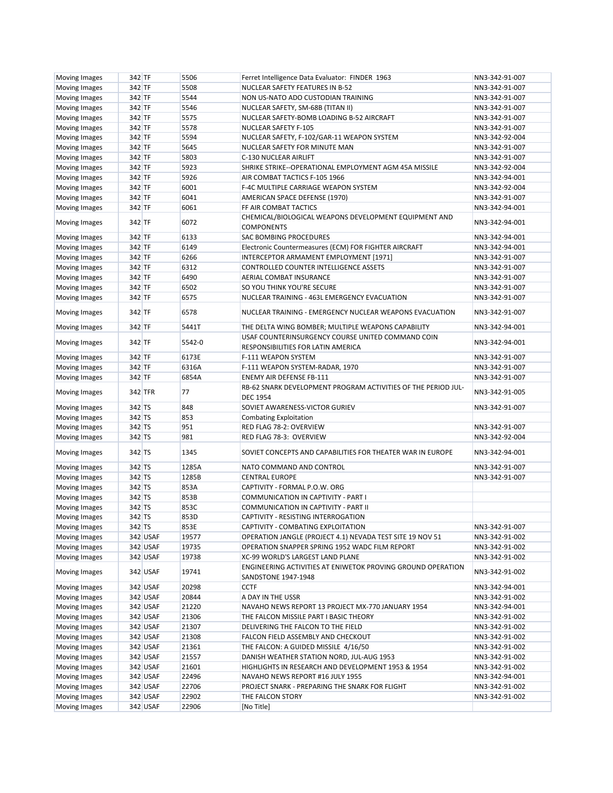| <b>Moving Images</b> | 342 TF  |          | 5506   | Ferret Intelligence Data Evaluator: FINDER 1963                                           | NN3-342-91-007 |
|----------------------|---------|----------|--------|-------------------------------------------------------------------------------------------|----------------|
| <b>Moving Images</b> | 342 TF  |          | 5508   | NUCLEAR SAFETY FEATURES IN B-52                                                           | NN3-342-91-007 |
| <b>Moving Images</b> | 342 TF  |          | 5544   | NON US-NATO ADO CUSTODIAN TRAINING                                                        | NN3-342-91-007 |
| Moving Images        | 342 TF  |          | 5546   | NUCLEAR SAFETY, SM-68B (TITAN II)                                                         | NN3-342-91-007 |
| <b>Moving Images</b> | 342 TF  |          | 5575   | NUCLEAR SAFETY-BOMB LOADING B-52 AIRCRAFT                                                 | NN3-342-91-007 |
| <b>Moving Images</b> | 342 TF  |          | 5578   | NUCLEAR SAFETY F-105                                                                      | NN3-342-91-007 |
| Moving Images        | 342 TF  |          | 5594   | NUCLEAR SAFETY, F-102/GAR-11 WEAPON SYSTEM                                                | NN3-342-92-004 |
| <b>Moving Images</b> | 342 TF  |          | 5645   | NUCLEAR SAFETY FOR MINUTE MAN                                                             | NN3-342-91-007 |
| <b>Moving Images</b> | 342 TF  |          | 5803   | C-130 NUCLEAR AIRLIFT                                                                     | NN3-342-91-007 |
| Moving Images        | 342 TF  |          | 5923   | SHRIKE STRIKE--OPERATIONAL EMPLOYMENT AGM 45A MISSILE                                     | NN3-342-92-004 |
| <b>Moving Images</b> | 342 TF  |          | 5926   | AIR COMBAT TACTICS F-105 1966                                                             | NN3-342-94-001 |
| <b>Moving Images</b> | 342 TF  |          | 6001   | F-4C MULTIPLE CARRIAGE WEAPON SYSTEM                                                      | NN3-342-92-004 |
| Moving Images        | 342 TF  |          | 6041   | AMERICAN SPACE DEFENSE (1970)                                                             | NN3-342-91-007 |
| Moving Images        | 342 TF  |          | 6061   | FF AIR COMBAT TACTICS                                                                     | NN3-342-94-001 |
| Moving Images        | 342 TF  |          | 6072   | CHEMICAL/BIOLOGICAL WEAPONS DEVELOPMENT EQUIPMENT AND<br><b>COMPONENTS</b>                | NN3-342-94-001 |
| <b>Moving Images</b> | 342 TF  |          | 6133   | SAC BOMBING PROCEDURES                                                                    | NN3-342-94-001 |
| Moving Images        | 342 TF  |          | 6149   | Electronic Countermeasures (ECM) FOR FIGHTER AIRCRAFT                                     | NN3-342-94-001 |
| Moving Images        | 342 TF  |          | 6266   | INTERCEPTOR ARMAMENT EMPLOYMENT [1971]                                                    | NN3-342-91-007 |
| <b>Moving Images</b> | 342 TF  |          | 6312   | CONTROLLED COUNTER INTELLIGENCE ASSETS                                                    | NN3-342-91-007 |
| Moving Images        | 342 TF  |          | 6490   | AERIAL COMBAT INSURANCE                                                                   | NN3-342-91-007 |
| Moving Images        | 342 TF  |          | 6502   | SO YOU THINK YOU'RE SECURE                                                                | NN3-342-91-007 |
| <b>Moving Images</b> | 342 TF  |          | 6575   | NUCLEAR TRAINING - 463L EMERGENCY EVACUATION                                              | NN3-342-91-007 |
| Moving Images        | 342 TF  |          | 6578   | NUCLEAR TRAINING - EMERGENCY NUCLEAR WEAPONS EVACUATION                                   | NN3-342-91-007 |
| Moving Images        | 342 TF  |          | 5441T  | THE DELTA WING BOMBER; MULTIPLE WEAPONS CAPABILITY                                        | NN3-342-94-001 |
|                      |         |          |        | USAF COUNTERINSURGENCY COURSE UNITED COMMAND COIN                                         |                |
| <b>Moving Images</b> | 342 TF  |          | 5542-0 | RESPONSIBILITIES FOR LATIN AMERICA                                                        | NN3-342-94-001 |
| <b>Moving Images</b> | 342 TF  |          | 6173E  | F-111 WEAPON SYSTEM                                                                       | NN3-342-91-007 |
| <b>Moving Images</b> | 342 TF  |          | 6316A  | F-111 WEAPON SYSTEM-RADAR, 1970                                                           | NN3-342-91-007 |
| Moving Images        | 342 TF  |          | 6854A  | <b>ENEMY AIR DEFENSE FB-111</b>                                                           | NN3-342-91-007 |
| <b>Moving Images</b> | 342 TFR |          | 77     | RB-62 SNARK DEVELOPMENT PROGRAM ACTIVITIES OF THE PERIOD JUL-<br><b>DEC 1954</b>          | NN3-342-91-005 |
| Moving Images        | 342 TS  |          | 848    | SOVIET AWARENESS-VICTOR GURIEV                                                            | NN3-342-91-007 |
| <b>Moving Images</b> | 342 TS  |          | 853    | <b>Combating Exploitation</b>                                                             |                |
| <b>Moving Images</b> | 342 TS  |          | 951    | RED FLAG 78-2: OVERVIEW                                                                   | NN3-342-91-007 |
| Moving Images        | 342 TS  |          | 981    | RED FLAG 78-3: OVERVIEW                                                                   | NN3-342-92-004 |
| <b>Moving Images</b> | 342 TS  |          | 1345   | SOVIET CONCEPTS AND CAPABILITIES FOR THEATER WAR IN EUROPE                                | NN3-342-94-001 |
| Moving Images        | 342 TS  |          | 1285A  | NATO COMMAND AND CONTROL                                                                  | NN3-342-91-007 |
| Moving Images        | 342 TS  |          | 1285B  | <b>CENTRAL EUROPE</b>                                                                     | NN3-342-91-007 |
| <b>Moving Images</b> | 342 TS  |          | 853A   | CAPTIVITY - FORMAL P.O.W. ORG                                                             |                |
| Moving Images        | 342 TS  |          | 853B   | COMMUNICATION IN CAPTIVITY - PART I                                                       |                |
| Moving Images        | 342 TS  |          | 853C   | COMMUNICATION IN CAPTIVITY - PART II                                                      |                |
| <b>Moving Images</b> | 342 TS  |          | 853D   | CAPTIVITY - RESISTING INTERROGATION                                                       |                |
| <b>Moving Images</b> | 342 TS  |          | 853E   | CAPTIVITY - COMBATING EXPLOITATION                                                        | NN3-342-91-007 |
| Moving Images        |         | 342 USAF | 19577  | OPERATION JANGLE (PROJECT 4.1) NEVADA TEST SITE 19 NOV 51                                 | NN3-342-91-002 |
| Moving Images        |         | 342 USAF | 19735  | OPERATION SNAPPER SPRING 1952 WADC FILM REPORT                                            | NN3-342-91-002 |
| Moving Images        |         | 342 USAF | 19738  | XC-99 WORLD'S LARGEST LAND PLANE                                                          | NN3-342-91-002 |
| Moving Images        |         | 342 USAF | 19741  | ENGINEERING ACTIVITIES AT ENIWETOK PROVING GROUND OPERATION<br><b>SANDSTONE 1947-1948</b> | NN3-342-91-002 |
| Moving Images        |         | 342 USAF | 20298  | <b>CCTF</b>                                                                               | NN3-342-94-001 |
| Moving Images        |         | 342 USAF | 20844  | A DAY IN THE USSR                                                                         | NN3-342-91-002 |
| Moving Images        |         | 342 USAF | 21220  | NAVAHO NEWS REPORT 13 PROJECT MX-770 JANUARY 1954                                         | NN3-342-94-001 |
| Moving Images        |         | 342 USAF | 21306  | THE FALCON MISSILE PART I BASIC THEORY                                                    | NN3-342-91-002 |
| Moving Images        |         | 342 USAF | 21307  | DELIVERING THE FALCON TO THE FIELD                                                        | NN3-342-91-002 |
| Moving Images        |         | 342 USAF | 21308  | FALCON FIELD ASSEMBLY AND CHECKOUT                                                        | NN3-342-91-002 |
| Moving Images        |         | 342 USAF | 21361  | THE FALCON: A GUIDED MISSILE 4/16/50                                                      | NN3-342-91-002 |
| Moving Images        |         | 342 USAF | 21557  | DANISH WEATHER STATION NORD, JUL-AUG 1953                                                 | NN3-342-91-002 |
| Moving Images        |         | 342 USAF | 21601  | HIGHLIGHTS IN RESEARCH AND DEVELOPMENT 1953 & 1954                                        | NN3-342-91-002 |
| Moving Images        |         | 342 USAF | 22496  | NAVAHO NEWS REPORT #16 JULY 1955                                                          | NN3-342-94-001 |
| Moving Images        |         | 342 USAF | 22706  | PROJECT SNARK - PREPARING THE SNARK FOR FLIGHT                                            | NN3-342-91-002 |
| Moving Images        |         | 342 USAF | 22902  | THE FALCON STORY                                                                          | NN3-342-91-002 |
| Moving Images        |         | 342 USAF | 22906  | [No Title]                                                                                |                |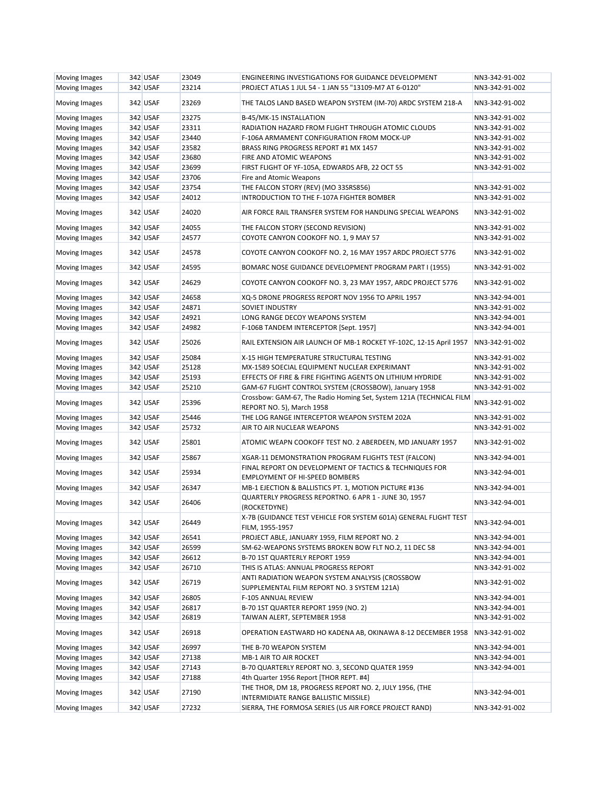| <b>Moving Images</b> | 342 USAF | 23049 | ENGINEERING INVESTIGATIONS FOR GUIDANCE DEVELOPMENT                                              | NN3-342-91-002 |
|----------------------|----------|-------|--------------------------------------------------------------------------------------------------|----------------|
| Moving Images        | 342 USAF | 23214 | PROJECT ATLAS 1 JUL 54 - 1 JAN 55 "13109-M7 AT 6-0120"                                           | NN3-342-91-002 |
|                      |          |       |                                                                                                  |                |
| <b>Moving Images</b> | 342 USAF | 23269 | THE TALOS LAND BASED WEAPON SYSTEM (IM-70) ARDC SYSTEM 218-A                                     | NN3-342-91-002 |
| Moving Images        | 342 USAF | 23275 | B-45/MK-15 INSTALLATION                                                                          | NN3-342-91-002 |
| <b>Moving Images</b> | 342 USAF | 23311 | RADIATION HAZARD FROM FLIGHT THROUGH ATOMIC CLOUDS                                               | NN3-342-91-002 |
| Moving Images        | 342 USAF | 23440 | F-106A ARMAMENT CONFIGURATION FROM MOCK-UP                                                       | NN3-342-91-002 |
| Moving Images        | 342 USAF | 23582 | BRASS RING PROGRESS REPORT #1 MX 1457                                                            | NN3-342-91-002 |
| <b>Moving Images</b> | 342 USAF | 23680 | FIRE AND ATOMIC WEAPONS                                                                          | NN3-342-91-002 |
| Moving Images        | 342 USAF | 23699 | FIRST FLIGHT OF YF-105A, EDWARDS AFB, 22 OCT 55                                                  | NN3-342-91-002 |
| Moving Images        | 342 USAF | 23706 | Fire and Atomic Weapons                                                                          |                |
|                      | 342 USAF | 23754 |                                                                                                  |                |
| <b>Moving Images</b> |          |       | THE FALCON STORY (REV) (MO 33SRS856)                                                             | NN3-342-91-002 |
| Moving Images        | 342 USAF | 24012 | INTRODUCTION TO THE F-107A FIGHTER BOMBER                                                        | NN3-342-91-002 |
| Moving Images        | 342 USAF | 24020 | AIR FORCE RAIL TRANSFER SYSTEM FOR HANDLING SPECIAL WEAPONS                                      | NN3-342-91-002 |
| Moving Images        | 342 USAF | 24055 | THE FALCON STORY (SECOND REVISION)                                                               | NN3-342-91-002 |
| Moving Images        | 342 USAF | 24577 | COYOTE CANYON COOKOFF NO. 1, 9 MAY 57                                                            | NN3-342-91-002 |
| <b>Moving Images</b> | 342 USAF | 24578 | COYOTE CANYON COOKOFF NO. 2, 16 MAY 1957 ARDC PROJECT 5776                                       | NN3-342-91-002 |
| Moving Images        | 342 USAF | 24595 | BOMARC NOSE GUIDANCE DEVELOPMENT PROGRAM PART I (1955)                                           | NN3-342-91-002 |
| <b>Moving Images</b> | 342 USAF | 24629 | COYOTE CANYON COOKOFF NO. 3, 23 MAY 1957, ARDC PROJECT 5776                                      | NN3-342-91-002 |
|                      | 342 USAF | 24658 | XQ-5 DRONE PROGRESS REPORT NOV 1956 TO APRIL 1957                                                | NN3-342-94-001 |
| Moving Images        |          |       |                                                                                                  |                |
| <b>Moving Images</b> | 342 USAF | 24871 | SOVIET INDUSTRY                                                                                  | NN3-342-91-002 |
| Moving Images        | 342 USAF | 24921 | LONG RANGE DECOY WEAPONS SYSTEM                                                                  | NN3-342-94-001 |
| <b>Moving Images</b> | 342 USAF | 24982 | F-106B TANDEM INTERCEPTOR [Sept. 1957]                                                           | NN3-342-94-001 |
| Moving Images        | 342 USAF | 25026 | RAIL EXTENSION AIR LAUNCH OF MB-1 ROCKET YF-102C, 12-15 April 1957                               | NN3-342-91-002 |
| Moving Images        | 342 USAF | 25084 | X-15 HIGH TEMPERATURE STRUCTURAL TESTING                                                         | NN3-342-91-002 |
| Moving Images        | 342 USAF | 25128 | MX-1589 SOECIAL EQUIPMENT NUCLEAR EXPERIMANT                                                     | NN3-342-91-002 |
| Moving Images        | 342 USAF | 25193 | EFFECTS OF FIRE & FIRE FIGHTING AGENTS ON LITHIUM HYDRIDE                                        | NN3-342-91-002 |
| Moving Images        | 342 USAF | 25210 | GAM-67 FLIGHT CONTROL SYSTEM (CROSSBOW), January 1958                                            | NN3-342-91-002 |
| Moving Images        | 342 USAF | 25396 | Crossbow: GAM-67, The Radio Homing Set, System 121A (TECHNICAL FILM                              | NN3-342-91-002 |
|                      |          |       | REPORT NO. 5), March 1958                                                                        |                |
| Moving Images        | 342 USAF | 25446 | THE LOG RANGE INTERCEPTOR WEAPON SYSTEM 202A                                                     | NN3-342-91-002 |
| <b>Moving Images</b> | 342 USAF | 25732 | AIR TO AIR NUCLEAR WEAPONS                                                                       | NN3-342-91-002 |
| Moving Images        | 342 USAF | 25801 | ATOMIC WEAPN COOKOFF TEST NO. 2 ABERDEEN, MD JANUARY 1957                                        | NN3-342-91-002 |
| Moving Images        | 342 USAF | 25867 | XGAR-11 DEMONSTRATION PROGRAM FLIGHTS TEST (FALCON)                                              | NN3-342-94-001 |
| Moving Images        | 342 USAF | 25934 | FINAL REPORT ON DEVELOPMENT OF TACTICS & TECHNIQUES FOR<br><b>EMPLOYMENT OF HI-SPEED BOMBERS</b> | NN3-342-94-001 |
| <b>Moving Images</b> | 342 USAF | 26347 | MB-1 EJECTION & BALLISTICS PT. 1, MOTION PICTURE #136                                            | NN3-342-94-001 |
|                      |          |       | QUARTERLY PROGRESS REPORTNO. 6 APR 1 - JUNE 30, 1957                                             |                |
| Moving Images        | 342 USAF | 26406 | (ROCKETDYNE)                                                                                     | NN3-342-94-001 |
| Moving Images        | 342 USAF | 26449 | X-7B (GUIDANCE TEST VEHICLE FOR SYSTEM 601A) GENERAL FLIGHT TEST<br>FILM, 1955-1957              | NN3-342-94-001 |
| Moving Images        | 342 USAF | 26541 | PROJECT ABLE, JANUARY 1959, FILM REPORT NO. 2                                                    | NN3-342-94-001 |
| Moving Images        | 342 USAF | 26599 | SM-62-WEAPONS SYSTEMS BROKEN BOW FLT NO.2, 11 DEC 58                                             | NN3-342-94-001 |
| Moving Images        | 342 USAF | 26612 | B-70 1ST QUARTERLY REPORT 1959                                                                   | NN3-342-94-001 |
|                      | 342 USAF |       | THIS IS ATLAS: ANNUAL PROGRESS REPORT                                                            |                |
| Moving Images        |          | 26710 | ANTI RADIATION WEAPON SYSTEM ANALYSIS (CROSSBOW                                                  | NN3-342-91-002 |
| Moving Images        | 342 USAF | 26719 | SUPPLEMENTAL FILM REPORT NO. 3 SYSTEM 121A)                                                      | NN3-342-91-002 |
| Moving Images        | 342 USAF | 26805 | F-105 ANNUAL REVIEW                                                                              | NN3-342-94-001 |
| Moving Images        | 342 USAF | 26817 | B-70 1ST QUARTER REPORT 1959 (NO. 2)                                                             | NN3-342-94-001 |
| Moving Images        | 342 USAF | 26819 | TAIWAN ALERT, SEPTEMBER 1958                                                                     | NN3-342-91-002 |
| Moving Images        | 342 USAF | 26918 | OPERATION EASTWARD HO KADENA AB, OKINAWA 8-12 DECEMBER 1958                                      | NN3-342-91-002 |
| Moving Images        | 342 USAF | 26997 | THE B-70 WEAPON SYSTEM                                                                           | NN3-342-94-001 |
| Moving Images        | 342 USAF | 27138 | MB-1 AIR TO AIR ROCKET                                                                           | NN3-342-94-001 |
| Moving Images        | 342 USAF | 27143 | B-70 QUARTERLY REPORT NO. 3, SECOND QUATER 1959                                                  | NN3-342-94-001 |
| Moving Images        | 342 USAF | 27188 | 4th Quarter 1956 Report [THOR REPT. #4]                                                          |                |
| Moving Images        | 342 USAF | 27190 | THE THOR, DM 18, PROGRESS REPORT NO. 2, JULY 1956, (THE<br>INTERMIDIATE RANGE BALLISTIC MISSILE) | NN3-342-94-001 |
| Moving Images        | 342 USAF | 27232 | SIERRA, THE FORMOSA SERIES (US AIR FORCE PROJECT RAND)                                           | NN3-342-91-002 |
|                      |          |       |                                                                                                  |                |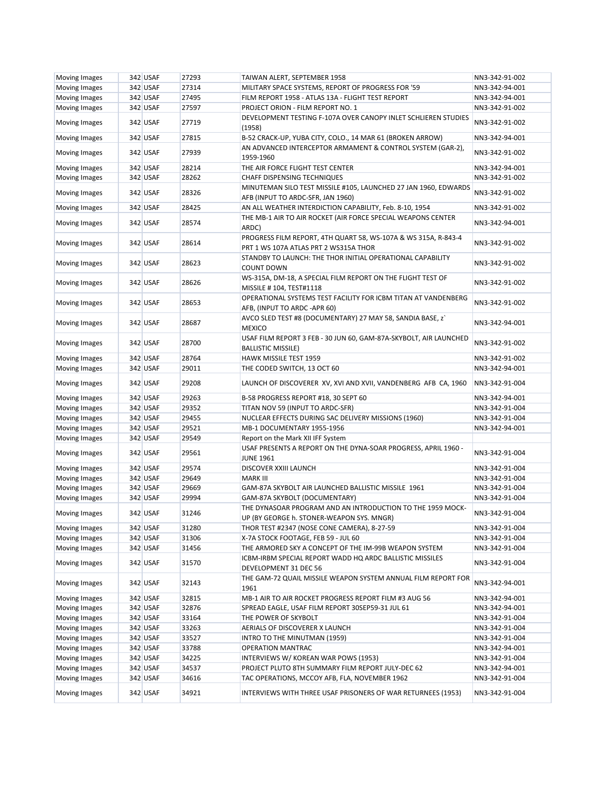| Moving Images        | 342 USAF | 27293 | TAIWAN ALERT, SEPTEMBER 1958                                                                            | NN3-342-91-002 |
|----------------------|----------|-------|---------------------------------------------------------------------------------------------------------|----------------|
| Moving Images        | 342 USAF | 27314 | MILITARY SPACE SYSTEMS, REPORT OF PROGRESS FOR '59                                                      | NN3-342-94-001 |
| <b>Moving Images</b> | 342 USAF | 27495 | FILM REPORT 1958 - ATLAS 13A - FLIGHT TEST REPORT                                                       | NN3-342-94-001 |
| Moving Images        | 342 USAF | 27597 | PROJECT ORION - FILM REPORT NO. 1                                                                       | NN3-342-91-002 |
| Moving Images        | 342 USAF | 27719 | DEVELOPMENT TESTING F-107A OVER CANOPY INLET SCHLIEREN STUDIES<br>(1958)                                | NN3-342-91-002 |
| Moving Images        | 342 USAF | 27815 | B-52 CRACK-UP, YUBA CITY, COLO., 14 MAR 61 (BROKEN ARROW)                                               | NN3-342-94-001 |
|                      |          |       | AN ADVANCED INTERCEPTOR ARMAMENT & CONTROL SYSTEM (GAR-2),                                              |                |
| Moving Images        | 342 USAF | 27939 | 1959-1960                                                                                               | NN3-342-91-002 |
| Moving Images        | 342 USAF | 28214 | THE AIR FORCE FLIGHT TEST CENTER                                                                        | NN3-342-94-001 |
| Moving Images        | 342 USAF | 28262 | CHAFF DISPENSING TECHNIQUES                                                                             | NN3-342-91-002 |
| Moving Images        | 342 USAF | 28326 | MINUTEMAN SILO TEST MISSILE #105, LAUNCHED 27 JAN 1960, EDWARDS<br>AFB (INPUT TO ARDC-SFR, JAN 1960)    | NN3-342-91-002 |
| Moving Images        | 342 USAF | 28425 | AN ALL WEATHER INTERDICTION CAPABILITY, Feb. 8-10, 1954                                                 | NN3-342-91-002 |
| Moving Images        | 342 USAF | 28574 | THE MB-1 AIR TO AIR ROCKET (AIR FORCE SPECIAL WEAPONS CENTER<br>ARDC)                                   | NN3-342-94-001 |
| Moving Images        | 342 USAF | 28614 | PROGRESS FILM REPORT, 4TH QUART 58, WS-107A & WS 315A, R-843-4<br>PRT 1 WS 107A ATLAS PRT 2 WS315A THOR | NN3-342-91-002 |
| Moving Images        | 342 USAF | 28623 | STANDBY TO LAUNCH: THE THOR INITIAL OPERATIONAL CAPABILITY<br><b>COUNT DOWN</b>                         | NN3-342-91-002 |
| Moving Images        | 342 USAF | 28626 | WS-315A, DM-18, A SPECIAL FILM REPORT ON THE FLIGHT TEST OF<br>MISSILE #104, TEST#1118                  | NN3-342-91-002 |
| Moving Images        | 342 USAF | 28653 | OPERATIONAL SYSTEMS TEST FACILITY FOR ICBM TITAN AT VANDENBERG<br>AFB, (INPUT TO ARDC -APR 60)          | NN3-342-91-002 |
| Moving Images        | 342 USAF | 28687 | AVCO SLED TEST #8 (DOCUMENTARY) 27 MAY 58, SANDIA BASE, z`<br><b>MEXICO</b>                             | NN3-342-94-001 |
| Moving Images        | 342 USAF | 28700 | USAF FILM REPORT 3 FEB - 30 JUN 60, GAM-87A-SKYBOLT, AIR LAUNCHED<br><b>BALLISTIC MISSILE)</b>          | NN3-342-91-002 |
| Moving Images        | 342 USAF | 28764 | <b>HAWK MISSILE TEST 1959</b>                                                                           | NN3-342-91-002 |
| Moving Images        | 342 USAF | 29011 | THE CODED SWITCH, 13 OCT 60                                                                             | NN3-342-94-001 |
| Moving Images        | 342 USAF | 29208 | LAUNCH OF DISCOVERER XV, XVI AND XVII, VANDENBERG AFB CA, 1960                                          | NN3-342-91-004 |
| Moving Images        | 342 USAF | 29263 | B-58 PROGRESS REPORT #18, 30 SEPT 60                                                                    | NN3-342-94-001 |
| Moving Images        | 342 USAF | 29352 | TITAN NOV 59 (INPUT TO ARDC-SFR)                                                                        | NN3-342-91-004 |
| Moving Images        | 342 USAF | 29455 | NUCLEAR EFFECTS DURING SAC DELIVERY MISSIONS (1960)                                                     | NN3-342-91-004 |
| Moving Images        | 342 USAF | 29521 | MB-1 DOCUMENTARY 1955-1956                                                                              | NN3-342-94-001 |
| Moving Images        | 342 USAF | 29549 | Report on the Mark XII IFF System                                                                       |                |
| Moving Images        | 342 USAF | 29561 | USAF PRESENTS A REPORT ON THE DYNA-SOAR PROGRESS, APRIL 1960 -<br><b>JUNE 1961</b>                      | NN3-342-91-004 |
| Moving Images        | 342 USAF | 29574 | DISCOVER XXIII LAUNCH                                                                                   | NN3-342-91-004 |
| Moving Images        | 342 USAF | 29649 | <b>MARK III</b>                                                                                         | NN3-342-91-004 |
| <b>Moving Images</b> | 342 USAF | 29669 | GAM-87A SKYBOLT AIR LAUNCHED BALLISTIC MISSILE 1961                                                     | NN3-342-91-004 |
| Moving Images        | 342 USAF | 29994 | GAM-87A SKYBOLT (DOCUMENTARY)                                                                           | NN3-342-91-004 |
| Moving Images        | 342 USAF | 31246 | THE DYNASOAR PROGRAM AND AN INTRODUCTION TO THE 1959 MOCK-<br>UP (BY GEORGE h. STONER-WEAPON SYS. MNGR) | NN3-342-91-004 |
| Moving Images        | 342 USAF | 31280 | THOR TEST #2347 (NOSE CONE CAMERA), 8-27-59                                                             | NN3-342-91-004 |
| Moving Images        | 342 USAF | 31306 | X-7A STOCK FOOTAGE, FEB 59 - JUL 60                                                                     | NN3-342-91-004 |
| <b>Moving Images</b> | 342 USAF | 31456 | THE ARMORED SKY A CONCEPT OF THE IM-99B WEAPON SYSTEM                                                   | NN3-342-91-004 |
| Moving Images        | 342 USAF | 31570 | ICBM-IRBM SPECIAL REPORT WADD HQ ARDC BALLISTIC MISSILES<br>DEVELOPMENT 31 DEC 56                       | NN3-342-91-004 |
| Moving Images        | 342 USAF | 32143 | THE GAM-72 QUAIL MISSILE WEAPON SYSTEM ANNUAL FILM REPORT FOR<br>1961                                   | NN3-342-94-001 |
| Moving Images        | 342 USAF | 32815 | MB-1 AIR TO AIR ROCKET PROGRESS REPORT FILM #3 AUG 56                                                   | NN3-342-94-001 |
| Moving Images        | 342 USAF | 32876 | SPREAD EAGLE, USAF FILM REPORT 30SEP59-31 JUL 61                                                        | NN3-342-94-001 |
| Moving Images        | 342 USAF | 33164 | THE POWER OF SKYBOLT                                                                                    | NN3-342-91-004 |
| Moving Images        | 342 USAF | 33263 | AERIALS OF DISCOVERER X LAUNCH                                                                          | NN3-342-91-004 |
| Moving Images        | 342 USAF | 33527 | INTRO TO THE MINUTMAN (1959)                                                                            | NN3-342-91-004 |
| Moving Images        | 342 USAF | 33788 | OPERATION MANTRAC                                                                                       | NN3-342-94-001 |
| Moving Images        | 342 USAF | 34225 | INTERVIEWS W/ KOREAN WAR POWS (1953)                                                                    | NN3-342-91-004 |
| Moving Images        | 342 USAF | 34537 | PROJECT PLUTO 8TH SUMMARY FILM REPORT JULY-DEC 62                                                       | NN3-342-94-001 |
| Moving Images        | 342 USAF | 34616 | TAC OPERATIONS, MCCOY AFB, FLA, NOVEMBER 1962                                                           | NN3-342-91-004 |
| Moving Images        | 342 USAF | 34921 | INTERVIEWS WITH THREE USAF PRISONERS OF WAR RETURNEES (1953)                                            | NN3-342-91-004 |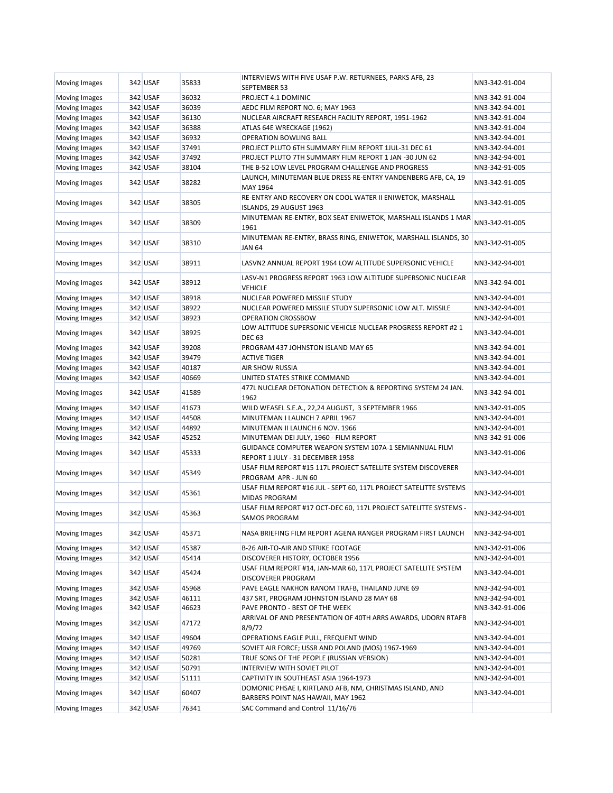| Moving Images        | 342 USAF | 35833 | INTERVIEWS WITH FIVE USAF P.W. RETURNEES, PARKS AFB, 23<br>SEPTEMBER 53                        | NN3-342-91-004 |
|----------------------|----------|-------|------------------------------------------------------------------------------------------------|----------------|
| <b>Moving Images</b> | 342 USAF | 36032 | PROJECT 4.1 DOMINIC                                                                            | NN3-342-91-004 |
| Moving Images        | 342 USAF | 36039 | AEDC FILM REPORT NO. 6; MAY 1963                                                               | NN3-342-94-001 |
| <b>Moving Images</b> | 342 USAF | 36130 | NUCLEAR AIRCRAFT RESEARCH FACILITY REPORT, 1951-1962                                           | NN3-342-91-004 |
| Moving Images        | 342 USAF | 36388 | ATLAS 64E WRECKAGE (1962)                                                                      | NN3-342-91-004 |
| Moving Images        | 342 USAF | 36932 | <b>OPERATION BOWLING BALL</b>                                                                  | NN3-342-94-001 |
| Moving Images        | 342 USAF | 37491 | PROJECT PLUTO 6TH SUMMARY FILM REPORT 1JUL-31 DEC 61                                           | NN3-342-94-001 |
| <b>Moving Images</b> | 342 USAF | 37492 | PROJECT PLUTO 7TH SUMMARY FILM REPORT 1 JAN -30 JUN 62                                         | NN3-342-94-001 |
| Moving Images        | 342 USAF | 38104 | THE B-52 LOW LEVEL PROGRAM CHALLENGE AND PROGRESS                                              | NN3-342-91-005 |
|                      |          |       | LAUNCH, MINUTEMAN BLUE DRESS RE-ENTRY VANDENBERG AFB, CA, 19                                   |                |
| Moving Images        | 342 USAF | 38282 | MAY 1964                                                                                       | NN3-342-91-005 |
| Moving Images        | 342 USAF | 38305 | RE-ENTRY AND RECOVERY ON COOL WATER II ENIWETOK, MARSHALL<br>ISLANDS, 29 AUGUST 1963           | NN3-342-91-005 |
| <b>Moving Images</b> | 342 USAF | 38309 | MINUTEMAN RE-ENTRY, BOX SEAT ENIWETOK, MARSHALL ISLANDS 1 MAR<br>1961                          | NN3-342-91-005 |
| Moving Images        | 342 USAF | 38310 | MINUTEMAN RE-ENTRY, BRASS RING, ENIWETOK, MARSHALL ISLANDS, 30<br><b>JAN 64</b>                | NN3-342-91-005 |
| Moving Images        | 342 USAF | 38911 | LASVN2 ANNUAL REPORT 1964 LOW ALTITUDE SUPERSONIC VEHICLE                                      | NN3-342-94-001 |
| <b>Moving Images</b> | 342 USAF | 38912 | LASV-N1 PROGRESS REPORT 1963 LOW ALTITUDE SUPERSONIC NUCLEAR<br><b>VEHICLE</b>                 | NN3-342-94-001 |
| Moving Images        | 342 USAF | 38918 | NUCLEAR POWERED MISSILE STUDY                                                                  | NN3-342-94-001 |
| Moving Images        | 342 USAF | 38922 | NUCLEAR POWERED MISSILE STUDY SUPERSONIC LOW ALT. MISSILE                                      | NN3-342-94-001 |
| Moving Images        | 342 USAF | 38923 | <b>OPERATION CROSSBOW</b>                                                                      | NN3-342-94-001 |
|                      |          |       | LOW ALTITUDE SUPERSONIC VEHICLE NUCLEAR PROGRESS REPORT #2 1                                   |                |
| <b>Moving Images</b> | 342 USAF | 38925 | <b>DEC 63</b>                                                                                  | NN3-342-94-001 |
| Moving Images        | 342 USAF | 39208 | PROGRAM 437 JOHNSTON ISLAND MAY 65                                                             | NN3-342-94-001 |
| <b>Moving Images</b> | 342 USAF | 39479 | <b>ACTIVE TIGER</b>                                                                            | NN3-342-94-001 |
| Moving Images        | 342 USAF | 40187 | AIR SHOW RUSSIA                                                                                | NN3-342-94-001 |
| Moving Images        | 342 USAF | 40669 | UNITED STATES STRIKE COMMAND                                                                   | NN3-342-94-001 |
| Moving Images        | 342 USAF | 41589 | 477L NUCLEAR DETONATION DETECTION & REPORTING SYSTEM 24 JAN.<br>1962                           | NN3-342-94-001 |
| Moving Images        | 342 USAF | 41673 | WILD WEASEL S.E.A., 22,24 AUGUST, 3 SEPTEMBER 1966                                             | NN3-342-91-005 |
| <b>Moving Images</b> | 342 USAF | 44508 | MINUTEMAN I LAUNCH 7 APRIL 1967                                                                | NN3-342-94-001 |
| Moving Images        | 342 USAF | 44892 | MINUTEMAN II LAUNCH 6 NOV. 1966                                                                | NN3-342-94-001 |
| <b>Moving Images</b> | 342 USAF | 45252 | MINUTEMAN DEI JULY, 1960 - FILM REPORT                                                         | NN3-342-91-006 |
| Moving Images        | 342 USAF | 45333 | GUIDANCE COMPUTER WEAPON SYSTEM 107A-1 SEMIANNUAL FILM<br>REPORT 1 JULY - 31 DECEMBER 1958     | NN3-342-91-006 |
| Moving Images        | 342 USAF | 45349 | USAF FILM REPORT #15 117L PROJECT SATELLITE SYSTEM DISCOVERER<br>PROGRAM APR - JUN 60          | NN3-342-94-001 |
| <b>Moving Images</b> | 342 USAF | 45361 | USAF FILM REPORT #16 JUL - SEPT 60, 117L PROJECT SATELITTE SYSTEMS                             | NN3-342-94-001 |
|                      |          |       | <b>MIDAS PROGRAM</b>                                                                           |                |
| Moving Images        | 342 USAF | 45363 | USAF FILM REPORT #17 OCT-DEC 60, 117L PROJECT SATELITTE SYSTEMS -<br><b>SAMOS PROGRAM</b>      | NN3-342-94-001 |
| Moving Images        | 342 USAF | 45371 | NASA BRIEFING FILM REPORT AGENA RANGER PROGRAM FIRST LAUNCH                                    | NN3-342-94-001 |
| Moving Images        | 342 USAF | 45387 | B-26 AIR-TO-AIR AND STRIKE FOOTAGE                                                             | NN3-342-91-006 |
| Moving Images        | 342 USAF | 45414 | DISCOVERER HISTORY, OCTOBER 1956                                                               | NN3-342-94-001 |
| Moving Images        | 342 USAF | 45424 | USAF FILM REPORT #14, JAN-MAR 60, 117L PROJECT SATELLITE SYSTEM<br>DISCOVERER PROGRAM          | NN3-342-94-001 |
| Moving Images        | 342 USAF | 45968 | PAVE EAGLE NAKHON RANOM TRAFB, THAILAND JUNE 69                                                | NN3-342-94-001 |
| Moving Images        | 342 USAF | 46111 | 437 SRT, PROGRAM JOHNSTON ISLAND 28 MAY 68                                                     | NN3-342-94-001 |
| Moving Images        | 342 USAF | 46623 | PAVE PRONTO - BEST OF THE WEEK                                                                 | NN3-342-91-006 |
| Moving Images        | 342 USAF | 47172 | ARRIVAL OF AND PRESENTATION OF 40TH ARRS AWARDS, UDORN RTAFB<br>8/9/72                         | NN3-342-94-001 |
| Moving Images        | 342 USAF | 49604 | OPERATIONS EAGLE PULL, FREQUENT WIND                                                           | NN3-342-94-001 |
| Moving Images        | 342 USAF | 49769 | SOVIET AIR FORCE; USSR AND POLAND (MOS) 1967-1969                                              | NN3-342-94-001 |
| Moving Images        | 342 USAF | 50281 | TRUE SONS OF THE PEOPLE (RUSSIAN VERSION)                                                      | NN3-342-94-001 |
| Moving Images        | 342 USAF | 50791 | INTERVIEW WITH SOVIET PILOT                                                                    | NN3-342-94-001 |
| Moving Images        | 342 USAF | 51111 | CAPTIVITY IN SOUTHEAST ASIA 1964-1973                                                          | NN3-342-94-001 |
| Moving Images        | 342 USAF | 60407 | DOMONIC PHSAE I, KIRTLAND AFB, NM, CHRISTMAS ISLAND, AND<br>BARBERS POINT NAS HAWAII, MAY 1962 | NN3-342-94-001 |
| Moving Images        | 342 USAF | 76341 | SAC Command and Control 11/16/76                                                               |                |
|                      |          |       |                                                                                                |                |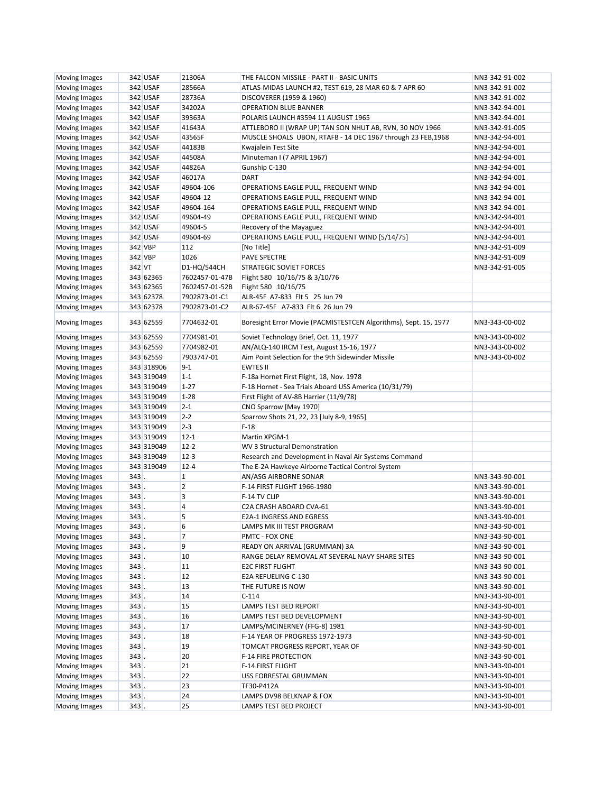| <b>Moving Images</b> |                    | 342 USAF   | 21306A               | THE FALCON MISSILE - PART II - BASIC UNITS                       | NN3-342-91-002                   |
|----------------------|--------------------|------------|----------------------|------------------------------------------------------------------|----------------------------------|
| <b>Moving Images</b> |                    | 342 USAF   | 28566A               | ATLAS-MIDAS LAUNCH #2, TEST 619, 28 MAR 60 & 7 APR 60            | NN3-342-91-002                   |
| <b>Moving Images</b> |                    | 342 USAF   | 28736A               | DISCOVERER (1959 & 1960)                                         | NN3-342-91-002                   |
| Moving Images        |                    | 342 USAF   | 34202A               | <b>OPERATION BLUE BANNER</b>                                     | NN3-342-94-001                   |
| <b>Moving Images</b> |                    | 342 USAF   | 39363A               | POLARIS LAUNCH #3594 11 AUGUST 1965                              | NN3-342-94-001                   |
| Moving Images        |                    | 342 USAF   | 41643A               | ATTLEBORO II (WRAP UP) TAN SON NHUT AB, RVN, 30 NOV 1966         | NN3-342-91-005                   |
| Moving Images        |                    | 342 USAF   | 43565F               | MUSCLE SHOALS UBON, RTAFB - 14 DEC 1967 through 23 FEB,1968      | NN3-342-94-001                   |
| Moving Images        |                    | 342 USAF   | 44183B               | Kwajalein Test Site                                              | NN3-342-94-001                   |
| Moving Images        |                    | 342 USAF   | 44508A               | Minuteman I (7 APRIL 1967)                                       | NN3-342-94-001                   |
| Moving Images        |                    | 342 USAF   | 44826A               | Gunship C-130                                                    | NN3-342-94-001                   |
| Moving Images        |                    | 342 USAF   | 46017A               | <b>DART</b>                                                      | NN3-342-94-001                   |
| Moving Images        |                    | 342 USAF   | 49604-106            | OPERATIONS EAGLE PULL, FREQUENT WIND                             | NN3-342-94-001                   |
| Moving Images        |                    | 342 USAF   | 49604-12             | OPERATIONS EAGLE PULL, FREQUENT WIND                             | NN3-342-94-001                   |
| Moving Images        |                    | 342 USAF   | 49604-164            | OPERATIONS EAGLE PULL, FREQUENT WIND                             | NN3-342-94-001                   |
| Moving Images        |                    | 342 USAF   | 49604-49             | OPERATIONS EAGLE PULL, FREQUENT WIND                             | NN3-342-94-001                   |
| Moving Images        |                    | 342 USAF   | 49604-5              | Recovery of the Mayaguez                                         | NN3-342-94-001                   |
|                      |                    | 342 USAF   | 49604-69             | OPERATIONS EAGLE PULL, FREQUENT WIND [5/14/75]                   | NN3-342-94-001                   |
| Moving Images        |                    |            |                      |                                                                  |                                  |
| Moving Images        |                    | 342 VBP    | 112                  | [No Title]                                                       | NN3-342-91-009                   |
| Moving Images        |                    | 342 VBP    | 1026                 | <b>PAVE SPECTRE</b>                                              | NN3-342-91-009                   |
| Moving Images        | 342 VT             |            | D1-HQ/544CH          | <b>STRATEGIC SOVIET FORCES</b>                                   | NN3-342-91-005                   |
| Moving Images        |                    | 343 62365  | 7602457-01-47B       | Flight 580 10/16/75 & 3/10/76                                    |                                  |
| Moving Images        |                    | 343 62365  | 7602457-01-52B       | Flight 580 10/16/75                                              |                                  |
| Moving Images        |                    | 343 62378  | 7902873-01-C1        | ALR-45F A7-833 Flt 5 25 Jun 79                                   |                                  |
| Moving Images        |                    | 343 62378  | 7902873-01-C2        | ALR-67-45F A7-833 Flt 6 26 Jun 79                                |                                  |
| Moving Images        |                    | 343 62559  | 7704632-01           | Boresight Error Movie (PACMISTESTCEN Algorithms), Sept. 15, 1977 | NN3-343-00-002                   |
| Moving Images        |                    | 343 62559  | 7704981-01           | Soviet Technology Brief, Oct. 11, 1977                           | NN3-343-00-002                   |
| Moving Images        |                    | 343 62559  | 7704982-01           | AN/ALQ-140 IRCM Test, August 15-16, 1977                         | NN3-343-00-002                   |
| Moving Images        |                    | 343 62559  | 7903747-01           | Aim Point Selection for the 9th Sidewinder Missile               | NN3-343-00-002                   |
| Moving Images        |                    | 343 318906 | $9 - 1$              | <b>EWTES II</b>                                                  |                                  |
| Moving Images        |                    | 343 319049 | $1 - 1$              | F-18a Hornet First Flight, 18, Nov. 1978                         |                                  |
| Moving Images        |                    | 343 319049 | $1 - 27$             | F-18 Hornet - Sea Trials Aboard USS America (10/31/79)           |                                  |
| Moving Images        |                    | 343 319049 | $1 - 28$             | First Flight of AV-8B Harrier (11/9/78)                          |                                  |
| Moving Images        |                    | 343 319049 | $2 - 1$              | CNO Sparrow [May 1970]                                           |                                  |
| Moving Images        |                    | 343 319049 | $2 - 2$              | Sparrow Shots 21, 22, 23 [July 8-9, 1965]                        |                                  |
| Moving Images        |                    | 343 319049 | $2 - 3$              | $F-18$                                                           |                                  |
| Moving Images        |                    | 343 319049 | $12 - 1$             | Martin XPGM-1                                                    |                                  |
| Moving Images        |                    | 343 319049 | $12 - 2$             | <b>WV 3 Structural Demonstration</b>                             |                                  |
| Moving Images        |                    | 343 319049 | $12-3$               | Research and Development in Naval Air Systems Command            |                                  |
| Moving Images        |                    | 343 319049 | $12 - 4$             | The E-2A Hawkeye Airborne Tactical Control System                |                                  |
| Moving Images        | $343$ .            |            | $\mathbf 1$          | AN/ASG AIRBORNE SONAR                                            | NN3-343-90-001                   |
| Moving Images        | $343$ .            |            | $\overline{2}$       | F-14 FIRST FLIGHT 1966-1980                                      | NN3-343-90-001                   |
| Moving Images        | $343$ .            |            | 3                    | F-14 TV CLIP                                                     | NN3-343-90-001                   |
|                      |                    |            | 4                    |                                                                  |                                  |
| Moving Images        | $343$ .<br>$343$ . |            | 5                    | C2A CRASH ABOARD CVA-61<br><b>E2A-1 INGRESS AND EGRESS</b>       | NN3-343-90-001<br>NN3-343-90-001 |
| Moving Images        |                    |            |                      |                                                                  |                                  |
| Moving Images        | $343$ .            |            | $6\phantom{.}6$<br>7 | LAMPS MK III TEST PROGRAM                                        | NN3-343-90-001                   |
| Moving Images        | $343$ .            |            |                      | PMTC - FOX ONE                                                   | NN3-343-90-001                   |
| Moving Images        | $343$ .            |            | 9                    | READY ON ARRIVAL (GRUMMAN) 3A                                    | NN3-343-90-001                   |
| Moving Images        | $343$ .            |            | 10                   | RANGE DELAY REMOVAL AT SEVERAL NAVY SHARE SITES                  | NN3-343-90-001                   |
| Moving Images        | $343$ .            |            | 11                   | <b>E2C FIRST FLIGHT</b>                                          | NN3-343-90-001                   |
| Moving Images        | $343$ .            |            | 12                   | E2A REFUELING C-130                                              | NN3-343-90-001                   |
| Moving Images        | $343$ .            |            | 13                   | THE FUTURE IS NOW                                                | NN3-343-90-001                   |
| Moving Images        | $343$ .            |            | 14                   | $C-114$                                                          | NN3-343-90-001                   |
| Moving Images        | $343$ .            |            | 15                   | LAMPS TEST BED REPORT                                            | NN3-343-90-001                   |
| Moving Images        | $343$ .            |            | 16                   | LAMPS TEST BED DEVELOPMENT                                       | NN3-343-90-001                   |
| Moving Images        | $343$ .            |            | 17                   | LAMPS/MCINERNEY (FFG-8) 1981                                     | NN3-343-90-001                   |
| Moving Images        | $343$ .            |            | 18                   | F-14 YEAR OF PROGRESS 1972-1973                                  | NN3-343-90-001                   |
| Moving Images        | $343$ .            |            | 19                   | TOMCAT PROGRESS REPORT, YEAR OF                                  | NN3-343-90-001                   |
| Moving Images        | $343$ .            |            | 20                   | <b>F-14 FIRE PROTECTION</b>                                      | NN3-343-90-001                   |
| Moving Images        | $343$ .            |            | 21                   | F-14 FIRST FLIGHT                                                | NN3-343-90-001                   |
| Moving Images        | $343$ .            |            | 22                   | USS FORRESTAL GRUMMAN                                            | NN3-343-90-001                   |
| Moving Images        | $343$ .            |            | 23                   | TF30-P412A                                                       | NN3-343-90-001                   |
| Moving Images        | $343$ .            |            | 24                   | LAMPS DV98 BELKNAP & FOX                                         | NN3-343-90-001                   |
| Moving Images        | $343$ .            |            | 25                   | LAMPS TEST BED PROJECT                                           | NN3-343-90-001                   |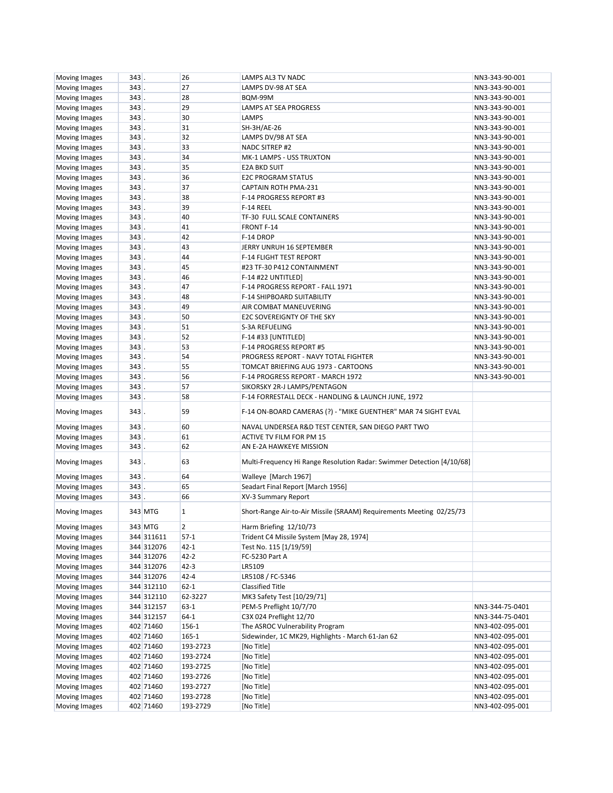| Moving Images | $343$ . |            | 26             | <b>LAMPS AL3 TV NADC</b>                                               | NN3-343-90-001  |
|---------------|---------|------------|----------------|------------------------------------------------------------------------|-----------------|
| Moving Images | $343$ . |            | 27             | LAMPS DV-98 AT SEA                                                     | NN3-343-90-001  |
| Moving Images | $343$ . |            | 28             | BQM-99M                                                                | NN3-343-90-001  |
| Moving Images | $343$ . |            | 29             | <b>LAMPS AT SEA PROGRESS</b>                                           | NN3-343-90-001  |
| Moving Images | $343$ . |            | 30             | <b>LAMPS</b>                                                           | NN3-343-90-001  |
| Moving Images | $343$ . |            | 31             | SH-3H/AE-26                                                            | NN3-343-90-001  |
| Moving Images | $343$ . |            | 32             | LAMPS DV/98 AT SEA                                                     | NN3-343-90-001  |
| Moving Images | $343$ . |            | 33             | NADC SITREP #2                                                         | NN3-343-90-001  |
| Moving Images | $343$ . |            | 34             | MK-1 LAMPS - USS TRUXTON                                               | NN3-343-90-001  |
| Moving Images | $343$ . |            | 35             | <b>E2A BKD SUIT</b>                                                    | NN3-343-90-001  |
| Moving Images | $343$ . |            | 36             | <b>E2C PROGRAM STATUS</b>                                              | NN3-343-90-001  |
| Moving Images | $343$ . |            | 37             | CAPTAIN ROTH PMA-231                                                   | NN3-343-90-001  |
| Moving Images | $343$ . |            | 38             | F-14 PROGRESS REPORT #3                                                | NN3-343-90-001  |
|               | 343     |            | 39             | F-14 REEL                                                              | NN3-343-90-001  |
| Moving Images |         |            | 40             | TF-30 FULL SCALE CONTAINERS                                            | NN3-343-90-001  |
| Moving Images | $343$ . |            | 41             |                                                                        |                 |
| Moving Images | $343$ . |            |                | <b>FRONT F-14</b>                                                      | NN3-343-90-001  |
| Moving Images | 343     |            | 42             | F-14 DROP                                                              | NN3-343-90-001  |
| Moving Images | $343$ . |            | 43             | JERRY UNRUH 16 SEPTEMBER                                               | NN3-343-90-001  |
| Moving Images | $343$ . |            | 44             | <b>F-14 FLIGHT TEST REPORT</b>                                         | NN3-343-90-001  |
| Moving Images | 343     |            | 45             | #23 TF-30 P412 CONTAINMENT                                             | NN3-343-90-001  |
| Moving Images | $343$ . |            | 46             | F-14 #22 UNTITLED]                                                     | NN3-343-90-001  |
| Moving Images | $343$ . |            | 47             | F-14 PROGRESS REPORT - FALL 1971                                       | NN3-343-90-001  |
| Moving Images | $343$ . |            | 48             | F-14 SHIPBOARD SUITABILITY                                             | NN3-343-90-001  |
| Moving Images | $343$ . |            | 49             | AIR COMBAT MANEUVERING                                                 | NN3-343-90-001  |
| Moving Images | $343$ . |            | 50             | E2C SOVEREIGNTY OF THE SKY                                             | NN3-343-90-001  |
| Moving Images | $343$ . |            | 51             | S-3A REFUELING                                                         | NN3-343-90-001  |
| Moving Images | $343$ . |            | 52             | F-14 #33 [UNTITLED]                                                    | NN3-343-90-001  |
| Moving Images | $343$ . |            | 53             | F-14 PROGRESS REPORT #5                                                | NN3-343-90-001  |
| Moving Images | 343     |            | 54             | PROGRESS REPORT - NAVY TOTAL FIGHTER                                   | NN3-343-90-001  |
| Moving Images | $343$ . |            | 55             | TOMCAT BRIEFING AUG 1973 - CARTOONS                                    | NN3-343-90-001  |
| Moving Images | $343$ . |            | 56             | F-14 PROGRESS REPORT - MARCH 1972                                      | NN3-343-90-001  |
| Moving Images | 343     |            | 57             | SIKORSKY 2R-J LAMPS/PENTAGON                                           |                 |
| Moving Images | $343$ . |            | 58             | F-14 FORRESTALL DECK - HANDLING & LAUNCH JUNE, 1972                    |                 |
| Moving Images | $343$ . |            | 59             | F-14 ON-BOARD CAMERAS (?) - "MIKE GUENTHER" MAR 74 SIGHT EVAL          |                 |
| Moving Images | 343     |            | 60             | NAVAL UNDERSEA R&D TEST CENTER, SAN DIEGO PART TWO                     |                 |
| Moving Images | 343     |            | 61             | <b>ACTIVE TV FILM FOR PM 15</b>                                        |                 |
| Moving Images | $343$ . |            | 62             | AN E-2A HAWKEYE MISSION                                                |                 |
|               |         |            |                |                                                                        |                 |
| Moving Images | $343$ . |            | 63             | Multi-Frequency Hi Range Resolution Radar: Swimmer Detection [4/10/68] |                 |
| Moving Images | 343     |            | 64             | Walleye [March 1967]                                                   |                 |
| Moving Images | $343$ . |            | 65             | Seadart Final Report [March 1956]                                      |                 |
| Moving Images | 343     |            | 66             | XV-3 Summary Report                                                    |                 |
| Moving Images |         | 343 MTG    | $\mathbf{1}$   | Short-Range Air-to-Air Missile (SRAAM) Requirements Meeting 02/25/73   |                 |
| Moving Images |         | 343 MTG    | $\overline{2}$ | Harm Briefing 12/10/73                                                 |                 |
| Moving Images |         | 344 311611 | $57-1$         | Trident C4 Missile System [May 28, 1974]                               |                 |
| Moving Images |         | 344 312076 | $42 - 1$       | Test No. 115 [1/19/59]                                                 |                 |
| Moving Images |         | 344 312076 | $42 - 2$       | FC-5230 Part A                                                         |                 |
| Moving Images |         | 344 312076 | $42 - 3$       | LR5109                                                                 |                 |
| Moving Images |         | 344 312076 | $42 - 4$       | LR5108 / FC-5346                                                       |                 |
| Moving Images |         | 344 312110 | $62 - 1$       | <b>Classified Title</b>                                                |                 |
| Moving Images |         | 344 312110 | 62-3227        | MK3 Safety Test [10/29/71]                                             |                 |
| Moving Images |         | 344 312157 | $63-1$         | PEM-5 Preflight 10/7/70                                                | NN3-344-75-0401 |
| Moving Images |         | 344 312157 | $64-1$         | C3X 024 Preflight 12/70                                                | NN3-344-75-0401 |
| Moving Images |         | 402 71460  | 156-1          | The ASROC Vulnerability Program                                        | NN3-402-095-001 |
| Moving Images |         | 402 71460  | $165 - 1$      | Sidewinder, 1C MK29, Highlights - March 61-Jan 62                      | NN3-402-095-001 |
| Moving Images |         | 402 71460  | 193-2723       | [No Title]                                                             | NN3-402-095-001 |
|               |         | 402 71460  | 193-2724       | [No Title]                                                             | NN3-402-095-001 |
| Moving Images |         |            |                |                                                                        |                 |
| Moving Images |         | 402 71460  | 193-2725       | [No Title]                                                             | NN3-402-095-001 |
| Moving Images |         | 402 71460  | 193-2726       | [No Title]                                                             | NN3-402-095-001 |
| Moving Images |         | 402 71460  | 193-2727       | [No Title]                                                             | NN3-402-095-001 |
| Moving Images |         | 402 71460  | 193-2728       | [No Title]                                                             | NN3-402-095-001 |
| Moving Images |         | 402 71460  | 193-2729       | [No Title]                                                             | NN3-402-095-001 |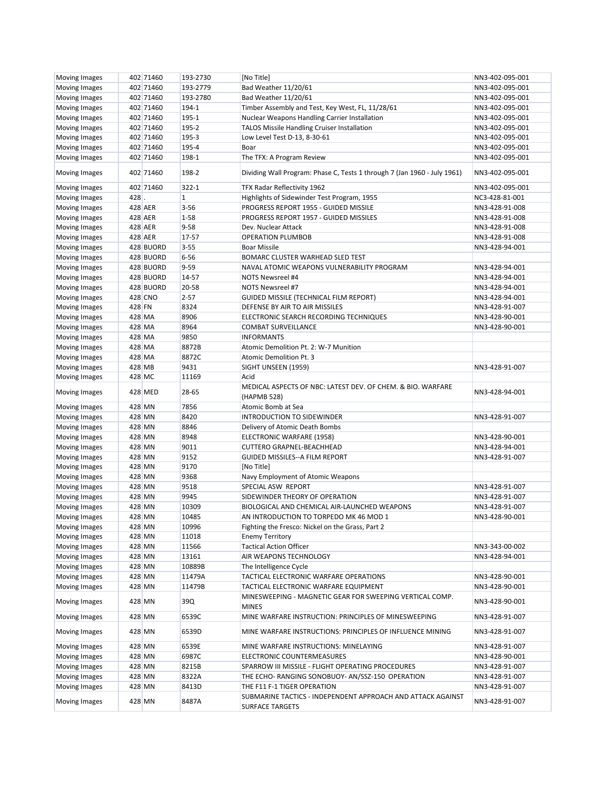| <b>Moving Images</b> |        | 402 71460 | 193-2730    | [No Title]                                                                 | NN3-402-095-001 |
|----------------------|--------|-----------|-------------|----------------------------------------------------------------------------|-----------------|
| <b>Moving Images</b> |        | 402 71460 | 193-2779    | Bad Weather 11/20/61                                                       | NN3-402-095-001 |
| <b>Moving Images</b> |        | 402 71460 | 193-2780    | Bad Weather 11/20/61                                                       | NN3-402-095-001 |
| Moving Images        |        | 402 71460 | 194-1       | Timber Assembly and Test, Key West, FL, 11/28/61                           | NN3-402-095-001 |
| Moving Images        |        | 402 71460 | 195-1       | Nuclear Weapons Handling Carrier Installation                              | NN3-402-095-001 |
| Moving Images        |        | 402 71460 | 195-2       | TALOS Missile Handling Cruiser Installation                                | NN3-402-095-001 |
| Moving Images        |        | 402 71460 | 195-3       | Low Level Test D-13, 8-30-61                                               | NN3-402-095-001 |
| Moving Images        |        | 402 71460 | 195-4       | Boar                                                                       | NN3-402-095-001 |
| Moving Images        |        | 402 71460 | 198-1       | The TFX: A Program Review                                                  | NN3-402-095-001 |
| Moving Images        |        | 402 71460 | 198-2       | Dividing Wall Program: Phase C, Tests 1 through 7 (Jan 1960 - July 1961)   | NN3-402-095-001 |
| Moving Images        |        | 402 71460 | $322 - 1$   | TFX Radar Reflectivity 1962                                                | NN3-402-095-001 |
| Moving Images        | 428.   |           | $\mathbf 1$ | Highlights of Sidewinder Test Program, 1955                                | NC3-428-81-001  |
| Moving Images        |        | 428 AER   | $3 - 56$    | PROGRESS REPORT 1955 - GUIDED MISSILE                                      | NN3-428-91-008  |
| Moving Images        |        | 428 AER   | $1 - 58$    | PROGRESS REPORT 1957 - GUIDED MISSILES                                     | NN3-428-91-008  |
| Moving Images        |        | 428 AER   | $9 - 58$    | Dev. Nuclear Attack                                                        | NN3-428-91-008  |
| Moving Images        |        | 428 AER   | 17-57       | <b>OPERATION PLUMBOB</b>                                                   | NN3-428-91-008  |
| Moving Images        |        | 428 BUORD | $3 - 55$    | <b>Boar Missile</b>                                                        | NN3-428-94-001  |
| Moving Images        |        | 428 BUORD | $6 - 56$    | BOMARC CLUSTER WARHEAD SLED TEST                                           |                 |
| Moving Images        |        | 428 BUORD | $9 - 59$    | NAVAL ATOMIC WEAPONS VULNERABILITY PROGRAM                                 | NN3-428-94-001  |
| Moving Images        |        | 428 BUORD | 14-57       | <b>NOTS Newsreel #4</b>                                                    | NN3-428-94-001  |
| Moving Images        |        | 428 BUORD | 20-58       | NOTS Newsreel #7                                                           | NN3-428-94-001  |
| Moving Images        |        | 428 CNO   | $2 - 57$    | GUIDED MISSILE (TECHNICAL FILM REPORT)                                     | NN3-428-94-001  |
| Moving Images        | 428 FN |           | 8324        | DEFENSE BY AIR TO AIR MISSILES                                             | NN3-428-91-007  |
| Moving Images        | 428 MA |           | 8906        | ELECTRONIC SEARCH RECORDING TECHNIQUES                                     | NN3-428-90-001  |
| <b>Moving Images</b> | 428 MA |           | 8964        | <b>COMBAT SURVEILLANCE</b>                                                 | NN3-428-90-001  |
| <b>Moving Images</b> | 428 MA |           | 9850        | <b>INFORMANTS</b>                                                          |                 |
| Moving Images        | 428 MA |           | 8872B       | Atomic Demolition Pt. 2: W-7 Munition                                      |                 |
| <b>Moving Images</b> | 428 MA |           | 8872C       | Atomic Demolition Pt. 3                                                    |                 |
| Moving Images        | 428 MB |           | 9431        | SIGHT UNSEEN (1959)                                                        | NN3-428-91-007  |
| Moving Images        | 428 MC |           | 11169       | Acid                                                                       |                 |
| Moving Images        |        | 428 MED   | 28-65       | MEDICAL ASPECTS OF NBC: LATEST DEV. OF CHEM. & BIO. WARFARE<br>(HAPMB 528) | NN3-428-94-001  |
| Moving Images        | 428 MN |           | 7856        | Atomic Bomb at Sea                                                         |                 |
| Moving Images        | 428 MN |           | 8420        | INTRODUCTION TO SIDEWINDER                                                 | NN3-428-91-007  |
| <b>Moving Images</b> | 428 MN |           | 8846        | Delivery of Atomic Death Bombs                                             |                 |
| Moving Images        | 428 MN |           | 8948        | ELECTRONIC WARFARE (1958)                                                  | NN3-428-90-001  |
| Moving Images        | 428 MN |           | 9011        | CUTTERO GRAPNEL-BEACHHEAD                                                  | NN3-428-94-001  |
| <b>Moving Images</b> | 428 MN |           | 9152        | <b>GUIDED MISSILES--A FILM REPORT</b>                                      | NN3-428-91-007  |
| Moving Images        | 428 MN |           | 9170        | [No Title]                                                                 |                 |
| Moving Images        | 428 MN |           | 9368        | Navy Employment of Atomic Weapons                                          |                 |
| <b>Moving Images</b> | 428 MN |           | 9518        | SPECIAL ASW REPORT                                                         | NN3-428-91-007  |
| Moving Images        | 428 MN |           | 9945        | SIDEWINDER THEORY OF OPERATION                                             | NN3-428-91-007  |
| Moving Images        | 428 MN |           | 10309       | BIOLOGICAL AND CHEMICAL AIR-LAUNCHED WEAPONS                               | NN3-428-91-007  |
| <b>Moving Images</b> | 428 MN |           | 10485       | AN INTRODUCTION TO TORPEDO MK 46 MOD 1                                     | NN3-428-90-001  |
| Moving Images        | 428 MN |           | 10996       | Fighting the Fresco: Nickel on the Grass, Part 2                           |                 |
| <b>Moving Images</b> | 428 MN |           | 11018       | <b>Enemy Territory</b>                                                     |                 |
| Moving Images        | 428 MN |           | 11566       | <b>Tactical Action Officer</b>                                             | NN3-343-00-002  |
| Moving Images        | 428 MN |           | 13161       | AIR WEAPONS TECHNOLOGY                                                     | NN3-428-94-001  |
| Moving Images        | 428 MN |           | 10889B      | The Intelligence Cycle                                                     |                 |
| Moving Images        | 428 MN |           | 11479A      | TACTICAL ELECTRONIC WARFARE OPERATIONS                                     | NN3-428-90-001  |
| Moving Images        | 428 MN |           | 11479B      | TACTICAL ELECTRONIC WARFARE EQUIPMENT                                      | NN3-428-90-001  |
| Moving Images        | 428 MN |           | 39Q         | MINESWEEPING - MAGNETIC GEAR FOR SWEEPING VERTICAL COMP.<br><b>MINES</b>   | NN3-428-90-001  |
| Moving Images        | 428 MN |           | 6539C       | MINE WARFARE INSTRUCTION: PRINCIPLES OF MINESWEEPING                       | NN3-428-91-007  |
| Moving Images        | 428 MN |           | 6539D       | MINE WARFARE INSTRUCTIONS: PRINCIPLES OF INFLUENCE MINING                  | NN3-428-91-007  |
| Moving Images        | 428 MN |           | 6539E       | MINE WARFARE INSTRUCTIONS: MINELAYING                                      | NN3-428-91-007  |
| Moving Images        | 428 MN |           | 6987C       | ELECTRONIC COUNTERMEASURES                                                 | NN3-428-90-001  |
| Moving Images        | 428 MN |           | 8215B       | SPARROW III MISSILE - FLIGHT OPERATING PROCEDURES                          | NN3-428-91-007  |
| Moving Images        | 428 MN |           | 8322A       | THE ECHO- RANGING SONOBUOY- AN/SSZ-150 OPERATION                           | NN3-428-91-007  |
| Moving Images        | 428 MN |           | 8413D       | THE F11 F-1 TIGER OPERATION                                                | NN3-428-91-007  |
|                      |        |           |             | SUBMARINE TACTICS - INDEPENDENT APPROACH AND ATTACK AGAINST                |                 |
| Moving Images        | 428 MN |           | 8487A       | <b>SURFACE TARGETS</b>                                                     | NN3-428-91-007  |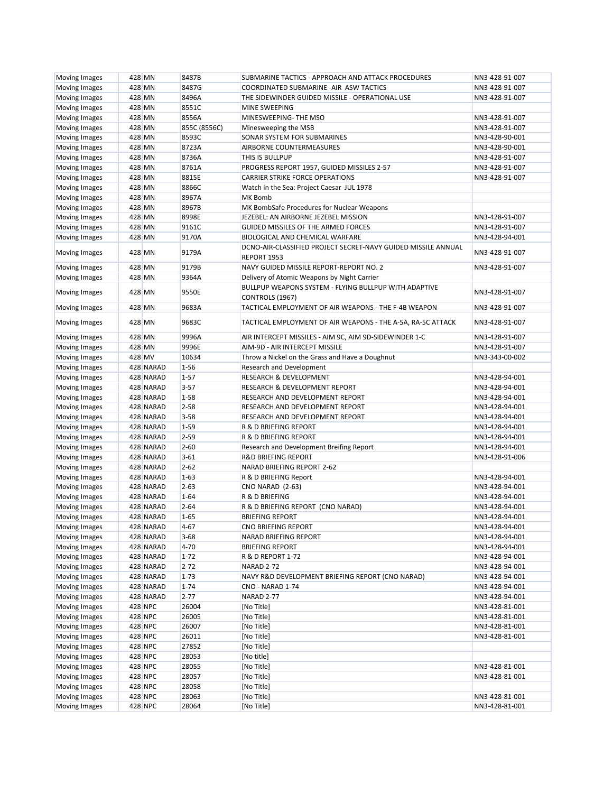| Moving Images        | 428 MN |           | 8487B        | SUBMARINE TACTICS - APPROACH AND ATTACK PROCEDURES            | NN3-428-91-007 |
|----------------------|--------|-----------|--------------|---------------------------------------------------------------|----------------|
| Moving Images        | 428 MN |           | 8487G        | COORDINATED SUBMARINE - AIR ASW TACTICS                       | NN3-428-91-007 |
| <b>Moving Images</b> | 428 MN |           | 8496A        | THE SIDEWINDER GUIDED MISSILE - OPERATIONAL USE               | NN3-428-91-007 |
| Moving Images        | 428 MN |           | 8551C        | MINE SWEEPING                                                 |                |
| Moving Images        | 428 MN |           | 8556A        | MINESWEEPING- THE MSO                                         | NN3-428-91-007 |
| Moving Images        | 428 MN |           | 855C (8556C) | Minesweeping the MSB                                          | NN3-428-91-007 |
| Moving Images        | 428 MN |           | 8593C        | SONAR SYSTEM FOR SUBMARINES                                   | NN3-428-90-001 |
| Moving Images        | 428 MN |           | 8723A        | AIRBORNE COUNTERMEASURES                                      | NN3-428-90-001 |
| Moving Images        | 428 MN |           | 8736A        | THIS IS BULLPUP                                               | NN3-428-91-007 |
| Moving Images        | 428 MN |           | 8761A        | PROGRESS REPORT 1957, GUIDED MISSILES 2-57                    | NN3-428-91-007 |
| Moving Images        | 428 MN |           | 8815E        | <b>CARRIER STRIKE FORCE OPERATIONS</b>                        | NN3-428-91-007 |
| Moving Images        | 428 MN |           | 8866C        | Watch in the Sea: Project Caesar JUL 1978                     |                |
| Moving Images        | 428 MN |           | 8967A        | <b>MK Bomb</b>                                                |                |
| Moving Images        | 428 MN |           | 8967B        | MK BombSafe Procedures for Nuclear Weapons                    |                |
| Moving Images        | 428 MN |           | 8998E        | JEZEBEL: AN AIRBORNE JEZEBEL MISSION                          | NN3-428-91-007 |
| Moving Images        | 428 MN |           | 9161C        | GUIDED MISSILES OF THE ARMED FORCES                           | NN3-428-91-007 |
| Moving Images        | 428 MN |           | 9170A        | BIOLOGICAL AND CHEMICAL WARFARE                               | NN3-428-94-001 |
|                      |        |           |              | DCNO-AIR-CLASSIFIED PROJECT SECRET-NAVY GUIDED MISSILE ANNUAL |                |
| Moving Images        | 428 MN |           | 9179A        | REPORT 1953                                                   | NN3-428-91-007 |
| Moving Images        | 428 MN |           | 9179B        | NAVY GUIDED MISSILE REPORT-REPORT NO. 2                       | NN3-428-91-007 |
| Moving Images        | 428 MN |           | 9364A        | Delivery of Atomic Weapons by Night Carrier                   |                |
| Moving Images        | 428 MN |           | 9550E        | BULLPUP WEAPONS SYSTEM - FLYING BULLPUP WITH ADAPTIVE         | NN3-428-91-007 |
|                      |        |           |              | <b>CONTROLS (1967)</b>                                        |                |
| Moving Images        | 428 MN |           | 9683A        | TACTICAL EMPLOYMENT OF AIR WEAPONS - THE F-4B WEAPON          | NN3-428-91-007 |
| Moving Images        | 428 MN |           | 9683C        | TACTICAL EMPLOYMENT OF AIR WEAPONS - THE A-5A, RA-5C ATTACK   | NN3-428-91-007 |
| Moving Images        | 428 MN |           | 9996A        | AIR INTERCEPT MISSILES - AIM 9C, AIM 9D-SIDEWINDER 1-C        | NN3-428-91-007 |
| Moving Images        | 428 MN |           | 9996E        | AIM-9D - AIR INTERCEPT MISSILE                                | NN3-428-91-007 |
| Moving Images        | 428 MV |           | 10634        | Throw a Nickel on the Grass and Have a Doughnut               | NN3-343-00-002 |
| Moving Images        |        | 428 NARAD | $1 - 56$     | Research and Development                                      |                |
| Moving Images        |        | 428 NARAD | $1 - 57$     | <b>RESEARCH &amp; DEVELOPMENT</b>                             | NN3-428-94-001 |
| Moving Images        |        | 428 NARAD | $3 - 57$     | <b>RESEARCH &amp; DEVELOPMENT REPORT</b>                      | NN3-428-94-001 |
| Moving Images        |        | 428 NARAD | $1 - 58$     | RESEARCH AND DEVELOPMENT REPORT                               | NN3-428-94-001 |
| Moving Images        |        | 428 NARAD | $2 - 58$     | RESEARCH AND DEVELOPMENT REPORT                               | NN3-428-94-001 |
| Moving Images        |        | 428 NARAD | $3 - 58$     | RESEARCH AND DEVELOPMENT REPORT                               | NN3-428-94-001 |
| Moving Images        |        | 428 NARAD | $1 - 59$     | R & D BRIEFING REPORT                                         | NN3-428-94-001 |
| Moving Images        |        | 428 NARAD | $2 - 59$     | R & D BRIEFING REPORT                                         | NN3-428-94-001 |
| Moving Images        |        | 428 NARAD | $2 - 60$     | Research and Development Breifing Report                      | NN3-428-94-001 |
| Moving Images        |        | 428 NARAD | $3 - 61$     | <b>R&amp;D BRIEFING REPORT</b>                                | NN3-428-91-006 |
| Moving Images        |        | 428 NARAD | $2 - 62$     | <b>NARAD BRIEFING REPORT 2-62</b>                             |                |
| Moving Images        |        | 428 NARAD | $1 - 63$     | R & D BRIEFING Report                                         | NN3-428-94-001 |
| <b>Moving Images</b> |        | 428 NARAD | $2 - 63$     | <b>CNO NARAD (2-63)</b>                                       | NN3-428-94-001 |
| Moving Images        |        | 428 NARAD | $1 - 64$     | R & D BRIEFING                                                | NN3-428-94-001 |
| Moving Images        |        | 428 NARAD | $2 - 64$     | R & D BRIEFING REPORT (CNO NARAD)                             | NN3-428-94-001 |
| Moving Images        |        | 428 NARAD | $1 - 65$     | <b>BRIEFING REPORT</b>                                        | NN3-428-94-001 |
| Moving Images        |        | 428 NARAD | $4 - 67$     | <b>CNO BRIEFING REPORT</b>                                    | NN3-428-94-001 |
| Moving Images        |        | 428 NARAD | $3 - 68$     | NARAD BRIEFING REPORT                                         | NN3-428-94-001 |
| Moving Images        |        | 428 NARAD | $4 - 70$     | <b>BRIEFING REPORT</b>                                        | NN3-428-94-001 |
| Moving Images        |        | 428 NARAD | $1 - 72$     | <b>R &amp; D REPORT 1-72</b>                                  | NN3-428-94-001 |
| Moving Images        |        | 428 NARAD | $2 - 72$     | NARAD 2-72                                                    | NN3-428-94-001 |
| Moving Images        |        | 428 NARAD | $1 - 73$     | NAVY R&D DEVELOPMENT BRIEFING REPORT (CNO NARAD)              | NN3-428-94-001 |
| Moving Images        |        | 428 NARAD | $1 - 74$     | CNO - NARAD 1-74                                              | NN3-428-94-001 |
| Moving Images        |        | 428 NARAD | $2 - 77$     | NARAD 2-77                                                    | NN3-428-94-001 |
| Moving Images        |        | 428 NPC   | 26004        | [No Title]                                                    | NN3-428-81-001 |
| Moving Images        |        | 428 NPC   | 26005        | [No Title]                                                    | NN3-428-81-001 |
| Moving Images        |        | 428 NPC   | 26007        | [No Title]                                                    | NN3-428-81-001 |
| Moving Images        |        | 428 NPC   | 26011        | [No Title]                                                    | NN3-428-81-001 |
| Moving Images        |        | 428 NPC   | 27852        | [No Title]                                                    |                |
| Moving Images        |        | 428 NPC   | 28053        | [No title]                                                    |                |
| Moving Images        |        | 428 NPC   | 28055        | [No Title]                                                    | NN3-428-81-001 |
| Moving Images        |        | 428 NPC   | 28057        | [No Title]                                                    | NN3-428-81-001 |
| Moving Images        |        | 428 NPC   | 28058        | [No Title]                                                    |                |
| Moving Images        |        | 428 NPC   | 28063        | [No Title]                                                    | NN3-428-81-001 |
| Moving Images        |        | 428 NPC   | 28064        | [No Title]                                                    | NN3-428-81-001 |
|                      |        |           |              |                                                               |                |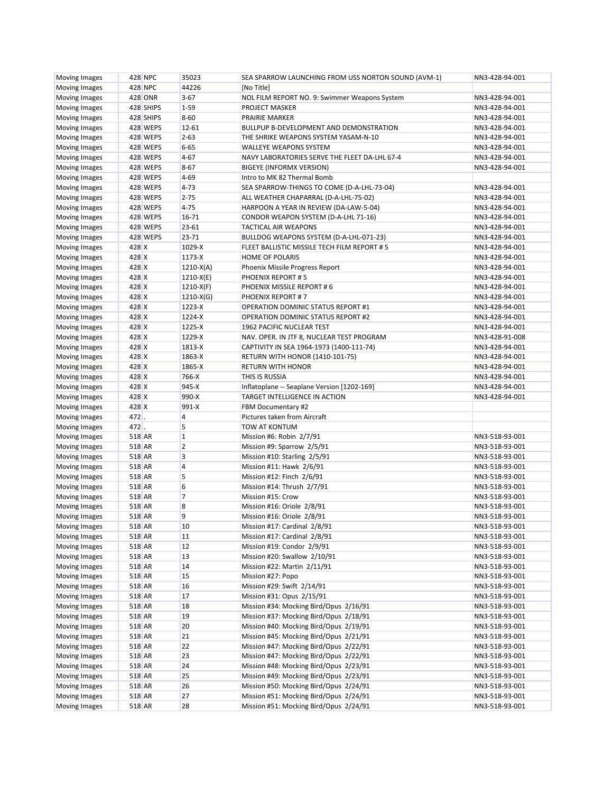| <b>Moving Images</b>           |        | 428 NPC   | 35023                   | SEA SPARROW LAUNCHING FROM USS NORTON SOUND (AVM-1) | NN3-428-94-001 |
|--------------------------------|--------|-----------|-------------------------|-----------------------------------------------------|----------------|
| Moving Images                  |        | 428 NPC   | 44226                   | [No Title]                                          |                |
| Moving Images                  |        | 428 ONR   | $3 - 67$                | NOL FILM REPORT NO. 9: Swimmer Weapons System       | NN3-428-94-001 |
| Moving Images                  |        | 428 SHIPS | $1 - 59$                | <b>PROJECT MASKER</b>                               | NN3-428-94-001 |
| Moving Images                  |        | 428 SHIPS | 8-60                    | PRAIRIE MARKER                                      | NN3-428-94-001 |
| Moving Images                  |        | 428 WEPS  | 12-61                   | BULLPUP B-DEVELOPMENT AND DEMONSTRATION             | NN3-428-94-001 |
| Moving Images                  |        | 428 WEPS  | $2 - 63$                | THE SHRIKE WEAPONS SYSTEM YASAM-N-10                | NN3-428-94-001 |
| Moving Images                  |        | 428 WEPS  | $6 - 65$                | <b>WALLEYE WEAPONS SYSTEM</b>                       | NN3-428-94-001 |
| Moving Images                  |        | 428 WEPS  | $4 - 67$                | NAVY LABORATORIES SERVE THE FLEET DA-LHL 67-4       | NN3-428-94-001 |
| Moving Images                  |        | 428 WEPS  | $8 - 67$                | <b>BIGEYE (INFORMX VERSION)</b>                     | NN3-428-94-001 |
| Moving Images                  |        | 428 WEPS  | $4 - 69$                | Intro to MK 82 Thermal Bomb                         |                |
| Moving Images                  |        | 428 WEPS  | $4 - 73$                | SEA SPARROW-THINGS TO COME (D-A-LHL-73-04)          | NN3-428-94-001 |
| Moving Images                  |        | 428 WEPS  | $2 - 75$                | ALL WEATHER CHAPARRAL (D-A-LHL-75-02)               | NN3-428-94-001 |
| Moving Images                  |        | 428 WEPS  | $4 - 75$                | HARPOON A YEAR IN REVIEW (DA-LAW-5-04)              | NN3-428-94-001 |
| Moving Images                  |        | 428 WEPS  | 16-71                   | CONDOR WEAPON SYSTEM (D-A-LHL 71-16)                | NN3-428-94-001 |
| Moving Images                  |        | 428 WEPS  | 23-61                   | <b>TACTICAL AIR WEAPONS</b>                         | NN3-428-94-001 |
| Moving Images                  |        | 428 WEPS  | 23-71                   | BULLDOG WEAPONS SYSTEM (D-A-LHL-071-23)             | NN3-428-94-001 |
| Moving Images                  | 428 X  |           | 1029-X                  | FLEET BALLISTIC MISSILE TECH FILM REPORT #5         | NN3-428-94-001 |
| Moving Images                  | 428 X  |           | 1173-X                  | <b>HOME OF POLARIS</b>                              | NN3-428-94-001 |
| Moving Images                  | 428 X  |           | $1210-X(A)$             | Phoenix Missile Progress Report                     | NN3-428-94-001 |
| Moving Images                  | 428 X  |           | $1210-X(E)$             | PHOENIX REPORT #5                                   | NN3-428-94-001 |
| Moving Images                  | 428 X  |           | $1210-X(F)$             | PHOENIX MISSILE REPORT #6                           | NN3-428-94-001 |
| Moving Images                  | 428 X  |           | $1210-X(G)$             | PHOENIX REPORT #7                                   | NN3-428-94-001 |
| Moving Images                  | 428 X  |           | 1223-X                  | <b>OPERATION DOMINIC STATUS REPORT #1</b>           | NN3-428-94-001 |
| Moving Images                  | 428 X  |           | 1224-X                  | <b>OPERATION DOMINIC STATUS REPORT #2</b>           | NN3-428-94-001 |
| Moving Images                  | 428 X  |           | 1225-X                  | 1962 PACIFIC NUCLEAR TEST                           | NN3-428-94-001 |
| Moving Images                  | 428 X  |           | 1229-X                  | NAV. OPER. IN JTF 8, NUCLEAR TEST PROGRAM           | NN3-428-91-008 |
| Moving Images                  | 428 X  |           | 1813-X                  | CAPTIVITY IN SEA 1964-1973 (1400-111-74)            | NN3-428-94-001 |
| Moving Images                  | 428 X  |           | 1863-X                  | <b>RETURN WITH HONOR (1410-101-75)</b>              | NN3-428-94-001 |
| Moving Images                  | 428 X  |           | 1865-X                  | <b>RETURN WITH HONOR</b>                            | NN3-428-94-001 |
| Moving Images                  | 428 X  |           | 766-X                   | THIS IS RUSSIA                                      | NN3-428-94-001 |
| Moving Images                  | 428 X  |           | 945-X                   | Inflatoplane -- Seaplane Version [1202-169]         | NN3-428-94-001 |
| Moving Images                  | 428 X  |           | 990-X                   | TARGET INTELLIGENCE IN ACTION                       | NN3-428-94-001 |
| Moving Images                  | 428 X  |           | 991-X                   | FBM Documentary #2                                  |                |
| Moving Images                  | 472.   |           | $\overline{4}$          | Pictures taken from Aircraft                        |                |
| Moving Images                  | 472.   |           | 5                       | <b>TOW AT KONTUM</b>                                |                |
| Moving Images                  | 518 AR |           | $\overline{1}$          | Mission #6: Robin 2/7/91                            | NN3-518-93-001 |
| Moving Images                  | 518 AR |           | $\overline{2}$          | Mission #9: Sparrow 2/5/91                          | NN3-518-93-001 |
| Moving Images                  | 518 AR |           | $\overline{\mathbf{3}}$ | Mission #10: Starling 2/5/91                        | NN3-518-93-001 |
| Moving Images                  | 518 AR |           | $\overline{4}$          | Mission #11: Hawk 2/6/91                            | NN3-518-93-001 |
| Moving Images                  | 518 AR |           | 5                       | Mission #12: Finch 2/6/91                           | NN3-518-93-001 |
| Moving Images                  | 518 AR |           | 6                       | Mission #14: Thrush 2/7/91                          | NN3-518-93-001 |
| Moving Images                  | 518 AR |           | $\overline{7}$          | Mission #15: Crow                                   | NN3-518-93-001 |
| Moving Images                  | 518 AR |           | 8                       | Mission #16: Oriole 2/8/91                          | NN3-518-93-001 |
| Moving Images                  | 518 AR |           | $\overline{9}$          | Mission #16: Oriole 2/8/91                          | NN3-518-93-001 |
| Moving Images                  | 518 AR |           | 10                      | Mission #17: Cardinal 2/8/91                        | NN3-518-93-001 |
| Moving Images                  | 518 AR |           | 11                      | Mission #17: Cardinal 2/8/91                        | NN3-518-93-001 |
| Moving Images                  | 518 AR |           | 12                      | Mission #19: Condor 2/9/91                          | NN3-518-93-001 |
| Moving Images                  | 518 AR |           | 13                      | Mission #20: Swallow 2/10/91                        | NN3-518-93-001 |
| Moving Images                  | 518 AR |           | 14                      | Mission #22: Martin 2/11/91                         | NN3-518-93-001 |
| Moving Images                  | 518 AR |           | 15                      | Mission #27: Popo                                   | NN3-518-93-001 |
| Moving Images                  | 518 AR |           | 16                      | Mission #29: Swift 2/14/91                          | NN3-518-93-001 |
| Moving Images                  | 518 AR |           | 17                      | Mission #31: Opus 2/15/91                           | NN3-518-93-001 |
| Moving Images                  | 518 AR |           | 18                      | Mission #34: Mocking Bird/Opus 2/16/91              | NN3-518-93-001 |
| Moving Images                  | 518 AR |           | 19                      | Mission #37: Mocking Bird/Opus 2/18/91              | NN3-518-93-001 |
| Moving Images                  | 518 AR |           | 20                      | Mission #40: Mocking Bird/Opus 2/19/91              | NN3-518-93-001 |
| Moving Images                  | 518 AR |           | 21                      | Mission #45: Mocking Bird/Opus 2/21/91              | NN3-518-93-001 |
| Moving Images                  | 518 AR |           | 22                      | Mission #47: Mocking Bird/Opus 2/22/91              | NN3-518-93-001 |
|                                | 518 AR |           | 23                      | Mission #47: Mocking Bird/Opus 2/22/91              | NN3-518-93-001 |
| Moving Images                  | 518 AR |           | 24                      | Mission #48: Mocking Bird/Opus 2/23/91              | NN3-518-93-001 |
| Moving Images<br>Moving Images | 518 AR |           | 25                      | Mission #49: Mocking Bird/Opus 2/23/91              | NN3-518-93-001 |
|                                |        |           | 26                      | Mission #50: Mocking Bird/Opus 2/24/91              | NN3-518-93-001 |
| Moving Images                  | 518 AR |           | 27                      | Mission #51: Mocking Bird/Opus 2/24/91              | NN3-518-93-001 |
| Moving Images                  | 518 AR |           |                         |                                                     |                |
| Moving Images                  | 518 AR |           | 28                      | Mission #51: Mocking Bird/Opus 2/24/91              | NN3-518-93-001 |